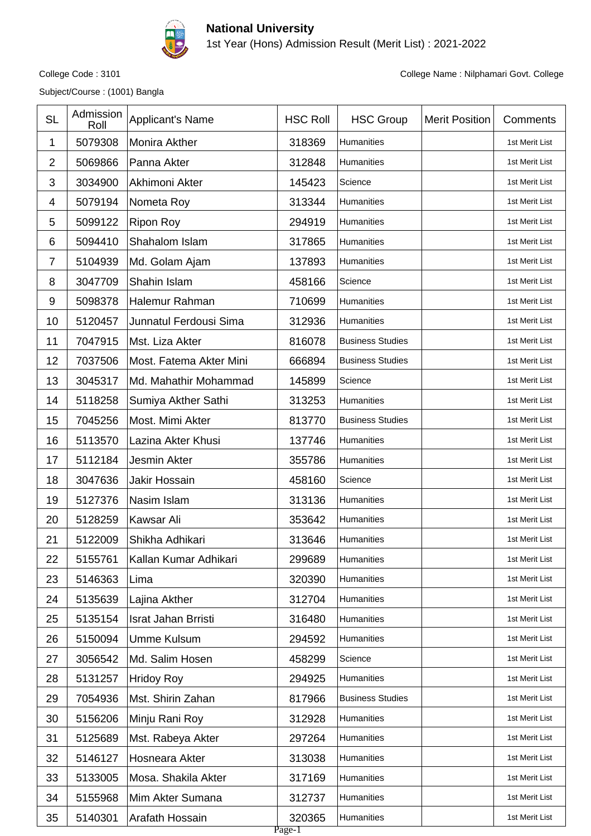

1st Year (Hons) Admission Result (Merit List) : 2021-2022

Subject/Course : (1001) Bangla

| <b>SL</b>        | Admission<br>Roll | <b>Applicant's Name</b>    | <b>HSC Roll</b>  | <b>HSC Group</b>        | <b>Merit Position</b> | Comments       |
|------------------|-------------------|----------------------------|------------------|-------------------------|-----------------------|----------------|
| 1                | 5079308           | Monira Akther              | 318369           | Humanities              |                       | 1st Merit List |
| $\overline{2}$   | 5069866           | Panna Akter                | 312848           | Humanities              |                       | 1st Merit List |
| 3                | 3034900           | Akhimoni Akter             | 145423           | Science                 |                       | 1st Merit List |
| 4                | 5079194           | Nometa Roy                 | 313344           | Humanities              |                       | 1st Merit List |
| 5                | 5099122           | <b>Ripon Roy</b>           | 294919           | <b>Humanities</b>       |                       | 1st Merit List |
| 6                | 5094410           | Shahalom Islam             | 317865           | Humanities              |                       | 1st Merit List |
| $\overline{7}$   | 5104939           | Md. Golam Ajam             | 137893           | Humanities              |                       | 1st Merit List |
| 8                | 3047709           | Shahin Islam               | 458166           | Science                 |                       | 1st Merit List |
| $\boldsymbol{9}$ | 5098378           | Halemur Rahman             | 710699           | Humanities              |                       | 1st Merit List |
| 10               | 5120457           | Junnatul Ferdousi Sima     | 312936           | Humanities              |                       | 1st Merit List |
| 11               | 7047915           | Mst. Liza Akter            | 816078           | <b>Business Studies</b> |                       | 1st Merit List |
| 12               | 7037506           | Most. Fatema Akter Mini    | 666894           | <b>Business Studies</b> |                       | 1st Merit List |
| 13               | 3045317           | Md. Mahathir Mohammad      | 145899           | Science                 |                       | 1st Merit List |
| 14               | 5118258           | Sumiya Akther Sathi        | 313253           | Humanities              |                       | 1st Merit List |
| 15               | 7045256           | Most. Mimi Akter           | 813770           | <b>Business Studies</b> |                       | 1st Merit List |
| 16               | 5113570           | Lazina Akter Khusi         | 137746           | Humanities              |                       | 1st Merit List |
| 17               | 5112184           | <b>Jesmin Akter</b>        | 355786           | Humanities              |                       | 1st Merit List |
| 18               | 3047636           | Jakir Hossain              | 458160           | Science                 |                       | 1st Merit List |
| 19               | 5127376           | Nasim Islam                | 313136           | Humanities              |                       | 1st Merit List |
| 20               | 5128259           | Kawsar Ali                 | 353642           | Humanities              |                       | 1st Merit List |
| 21               | 5122009           | Shikha Adhikari            | 313646           | Humanities              |                       | 1st Merit List |
| 22               | 5155761           | Kallan Kumar Adhikari      | 299689           | Humanities              |                       | 1st Merit List |
| 23               | 5146363           | Lima                       | 320390           | Humanities              |                       | 1st Merit List |
| 24               | 5135639           | Lajina Akther              | 312704           | Humanities              |                       | 1st Merit List |
| 25               | 5135154           | <b>Israt Jahan Brristi</b> | 316480           | Humanities              |                       | 1st Merit List |
| 26               | 5150094           | <b>Umme Kulsum</b>         | 294592           | Humanities              |                       | 1st Merit List |
| 27               | 3056542           | Md. Salim Hosen            | 458299           | Science                 |                       | 1st Merit List |
| 28               | 5131257           | <b>Hridoy Roy</b>          | 294925           | Humanities              |                       | 1st Merit List |
| 29               | 7054936           | Mst. Shirin Zahan          | 817966           | <b>Business Studies</b> |                       | 1st Merit List |
| 30               | 5156206           | Minju Rani Roy             | 312928           | Humanities              |                       | 1st Merit List |
| 31               | 5125689           | Mst. Rabeya Akter          | 297264           | Humanities              |                       | 1st Merit List |
| 32               | 5146127           | Hosneara Akter             | 313038           | Humanities              |                       | 1st Merit List |
| 33               | 5133005           | Mosa. Shakila Akter        | 317169           | Humanities              |                       | 1st Merit List |
| 34               | 5155968           | Mim Akter Sumana           | 312737           | Humanities              |                       | 1st Merit List |
| 35               | 5140301           | Arafath Hossain            | 320365<br>Page-1 | Humanities              |                       | 1st Merit List |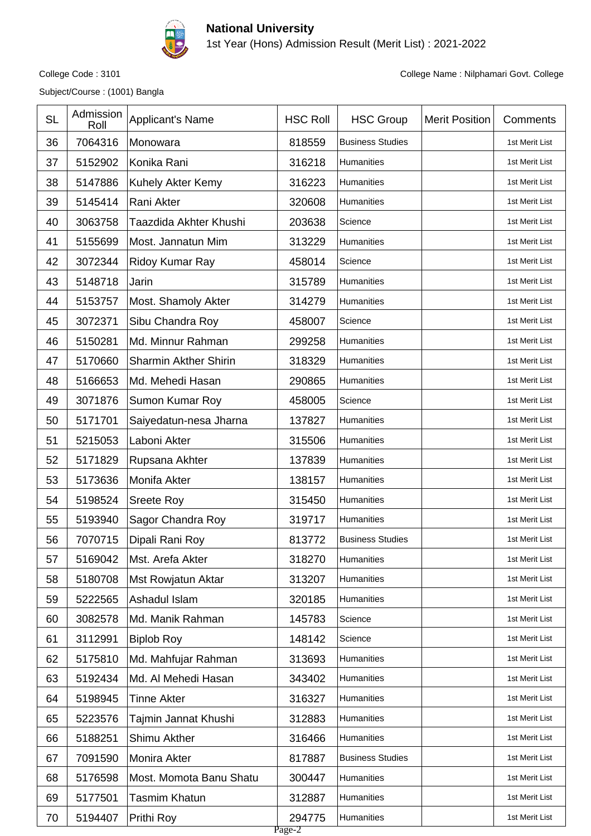

1st Year (Hons) Admission Result (Merit List) : 2021-2022

Subject/Course : (1001) Bangla

| <b>SL</b> | Admission<br>Roll | Applicant's Name             | <b>HSC Roll</b>  | <b>HSC Group</b>        | <b>Merit Position</b> | Comments       |
|-----------|-------------------|------------------------------|------------------|-------------------------|-----------------------|----------------|
| 36        | 7064316           | Monowara                     | 818559           | <b>Business Studies</b> |                       | 1st Merit List |
| 37        | 5152902           | Konika Rani                  | 316218           | Humanities              |                       | 1st Merit List |
| 38        | 5147886           | Kuhely Akter Kemy            | 316223           | Humanities              |                       | 1st Merit List |
| 39        | 5145414           | Rani Akter                   | 320608           | Humanities              |                       | 1st Merit List |
| 40        | 3063758           | Taazdida Akhter Khushi       | 203638           | Science                 |                       | 1st Merit List |
| 41        | 5155699           | Most. Jannatun Mim           | 313229           | Humanities              |                       | 1st Merit List |
| 42        | 3072344           | Ridoy Kumar Ray              | 458014           | Science                 |                       | 1st Merit List |
| 43        | 5148718           | Jarin                        | 315789           | Humanities              |                       | 1st Merit List |
| 44        | 5153757           | Most. Shamoly Akter          | 314279           | Humanities              |                       | 1st Merit List |
| 45        | 3072371           | Sibu Chandra Roy             | 458007           | Science                 |                       | 1st Merit List |
| 46        | 5150281           | Md. Minnur Rahman            | 299258           | <b>Humanities</b>       |                       | 1st Merit List |
| 47        | 5170660           | <b>Sharmin Akther Shirin</b> | 318329           | Humanities              |                       | 1st Merit List |
| 48        | 5166653           | Md. Mehedi Hasan             | 290865           | Humanities              |                       | 1st Merit List |
| 49        | 3071876           | Sumon Kumar Roy              | 458005           | Science                 |                       | 1st Merit List |
| 50        | 5171701           | Saiyedatun-nesa Jharna       | 137827           | Humanities              |                       | 1st Merit List |
| 51        | 5215053           | Laboni Akter                 | 315506           | Humanities              |                       | 1st Merit List |
| 52        | 5171829           | Rupsana Akhter               | 137839           | Humanities              |                       | 1st Merit List |
| 53        | 5173636           | Monifa Akter                 | 138157           | Humanities              |                       | 1st Merit List |
| 54        | 5198524           | <b>Sreete Roy</b>            | 315450           | Humanities              |                       | 1st Merit List |
| 55        | 5193940           | Sagor Chandra Roy            | 319717           | Humanities              |                       | 1st Merit List |
| 56        | 7070715           | Dipali Rani Roy              | 813772           | <b>Business Studies</b> |                       | 1st Merit List |
| 57        | 5169042           | Mst. Arefa Akter             | 318270           | Humanities              |                       | 1st Merit List |
| 58        | 5180708           | Mst Rowjatun Aktar           | 313207           | Humanities              |                       | 1st Merit List |
| 59        | 5222565           | Ashadul Islam                | 320185           | Humanities              |                       | 1st Merit List |
| 60        | 3082578           | Md. Manik Rahman             | 145783           | Science                 |                       | 1st Merit List |
| 61        | 3112991           | <b>Biplob Roy</b>            | 148142           | Science                 |                       | 1st Merit List |
| 62        | 5175810           | Md. Mahfujar Rahman          | 313693           | Humanities              |                       | 1st Merit List |
| 63        | 5192434           | Md. Al Mehedi Hasan          | 343402           | Humanities              |                       | 1st Merit List |
| 64        | 5198945           | Tinne Akter                  | 316327           | Humanities              |                       | 1st Merit List |
| 65        | 5223576           | Tajmin Jannat Khushi         | 312883           | Humanities              |                       | 1st Merit List |
| 66        | 5188251           | Shimu Akther                 | 316466           | Humanities              |                       | 1st Merit List |
| 67        | 7091590           | Monira Akter                 | 817887           | <b>Business Studies</b> |                       | 1st Merit List |
| 68        | 5176598           | Most. Momota Banu Shatu      | 300447           | Humanities              |                       | 1st Merit List |
| 69        | 5177501           | Tasmim Khatun                | 312887           | Humanities              |                       | 1st Merit List |
| 70        | 5194407           | Prithi Roy                   | 294775<br>Page-2 | Humanities              |                       | 1st Merit List |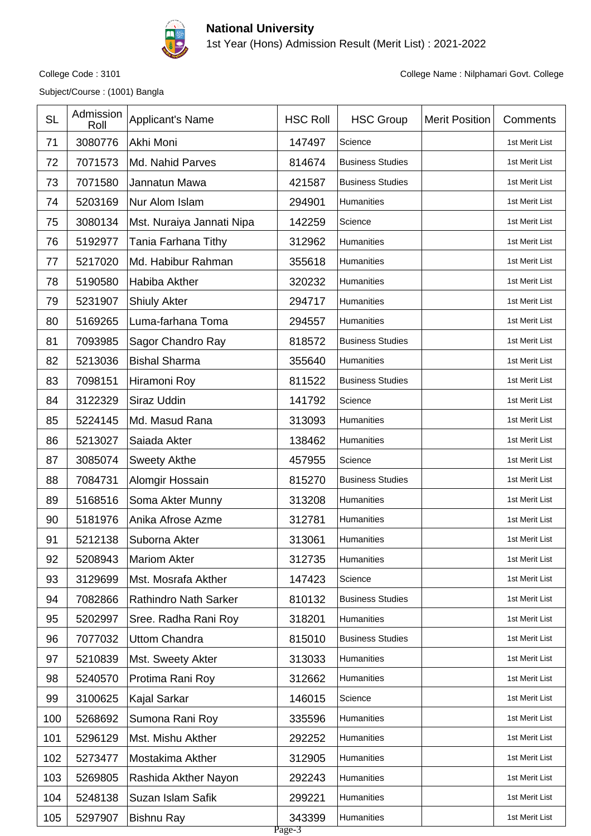

1st Year (Hons) Admission Result (Merit List) : 2021-2022

Subject/Course : (1001) Bangla

| <b>SL</b> | Admission<br>Roll | Applicant's Name             | <b>HSC Roll</b>  | <b>HSC Group</b>        | <b>Merit Position</b> | Comments       |
|-----------|-------------------|------------------------------|------------------|-------------------------|-----------------------|----------------|
| 71        | 3080776           | Akhi Moni                    | 147497           | Science                 |                       | 1st Merit List |
| 72        | 7071573           | Md. Nahid Parves             | 814674           | <b>Business Studies</b> |                       | 1st Merit List |
| 73        | 7071580           | Jannatun Mawa                | 421587           | <b>Business Studies</b> |                       | 1st Merit List |
| 74        | 5203169           | Nur Alom Islam               | 294901           | Humanities              |                       | 1st Merit List |
| 75        | 3080134           | Mst. Nuraiya Jannati Nipa    | 142259           | Science                 |                       | 1st Merit List |
| 76        | 5192977           | Tania Farhana Tithy          | 312962           | Humanities              |                       | 1st Merit List |
| 77        | 5217020           | Md. Habibur Rahman           | 355618           | Humanities              |                       | 1st Merit List |
| 78        | 5190580           | Habiba Akther                | 320232           | Humanities              |                       | 1st Merit List |
| 79        | 5231907           | <b>Shiuly Akter</b>          | 294717           | Humanities              |                       | 1st Merit List |
| 80        | 5169265           | Luma-farhana Toma            | 294557           | Humanities              |                       | 1st Merit List |
| 81        | 7093985           | Sagor Chandro Ray            | 818572           | <b>Business Studies</b> |                       | 1st Merit List |
| 82        | 5213036           | <b>Bishal Sharma</b>         | 355640           | Humanities              |                       | 1st Merit List |
| 83        | 7098151           | Hiramoni Roy                 | 811522           | <b>Business Studies</b> |                       | 1st Merit List |
| 84        | 3122329           | Siraz Uddin                  | 141792           | Science                 |                       | 1st Merit List |
| 85        | 5224145           | Md. Masud Rana               | 313093           | Humanities              |                       | 1st Merit List |
| 86        | 5213027           | Saiada Akter                 | 138462           | Humanities              |                       | 1st Merit List |
| 87        | 3085074           | <b>Sweety Akthe</b>          | 457955           | Science                 |                       | 1st Merit List |
| 88        | 7084731           | Alomgir Hossain              | 815270           | <b>Business Studies</b> |                       | 1st Merit List |
| 89        | 5168516           | Soma Akter Munny             | 313208           | Humanities              |                       | 1st Merit List |
| 90        | 5181976           | Anika Afrose Azme            | 312781           | Humanities              |                       | 1st Merit List |
| 91        | 5212138           | Suborna Akter                | 313061           | Humanities              |                       | 1st Merit List |
| 92        | 5208943           | <b>Mariom Akter</b>          | 312735           | Humanities              |                       | 1st Merit List |
| 93        | 3129699           | Mst. Mosrafa Akther          | 147423           | Science                 |                       | 1st Merit List |
| 94        | 7082866           | <b>Rathindro Nath Sarker</b> | 810132           | <b>Business Studies</b> |                       | 1st Merit List |
| 95        | 5202997           | Sree. Radha Rani Roy         | 318201           | Humanities              |                       | 1st Merit List |
| 96        | 7077032           | <b>Uttom Chandra</b>         | 815010           | <b>Business Studies</b> |                       | 1st Merit List |
| 97        | 5210839           | Mst. Sweety Akter            | 313033           | Humanities              |                       | 1st Merit List |
| 98        | 5240570           | Protima Rani Roy             | 312662           | Humanities              |                       | 1st Merit List |
| 99        | 3100625           | Kajal Sarkar                 | 146015           | Science                 |                       | 1st Merit List |
| 100       | 5268692           | Sumona Rani Roy              | 335596           | Humanities              |                       | 1st Merit List |
| 101       | 5296129           | Mst. Mishu Akther            | 292252           | Humanities              |                       | 1st Merit List |
| 102       | 5273477           | Mostakima Akther             | 312905           | Humanities              |                       | 1st Merit List |
| 103       | 5269805           | Rashida Akther Nayon         | 292243           | Humanities              |                       | 1st Merit List |
| 104       | 5248138           | Suzan Islam Safik            | 299221           | Humanities              |                       | 1st Merit List |
| 105       | 5297907           | <b>Bishnu Ray</b>            | 343399<br>Page-3 | Humanities              |                       | 1st Merit List |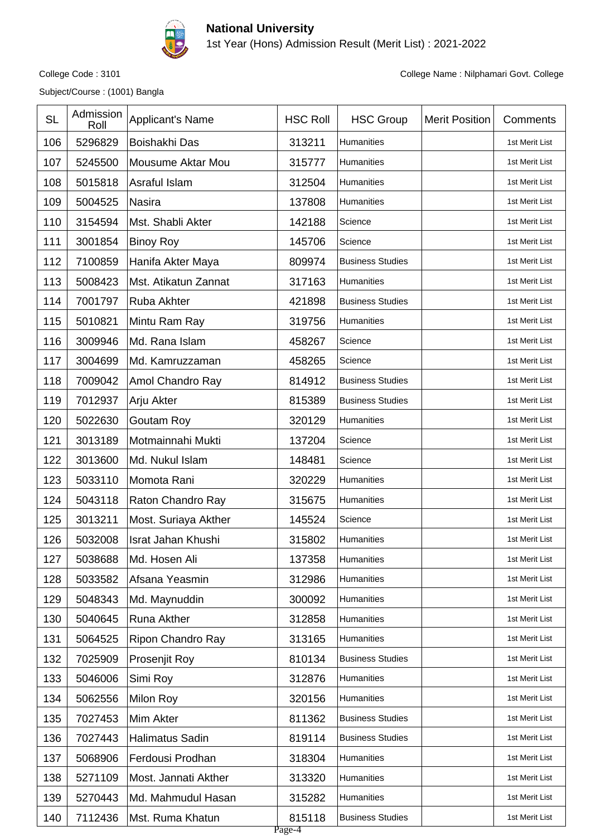

1st Year (Hons) Admission Result (Merit List) : 2021-2022

Subject/Course : (1001) Bangla

| <b>SL</b> | Admission<br>Roll | Applicant's Name       | <b>HSC Roll</b>  | <b>HSC Group</b>        | <b>Merit Position</b> | Comments       |
|-----------|-------------------|------------------------|------------------|-------------------------|-----------------------|----------------|
| 106       | 5296829           | Boishakhi Das          | 313211           | Humanities              |                       | 1st Merit List |
| 107       | 5245500           | Mousume Aktar Mou      | 315777           | Humanities              |                       | 1st Merit List |
| 108       | 5015818           | Asraful Islam          | 312504           | Humanities              |                       | 1st Merit List |
| 109       | 5004525           | <b>Nasira</b>          | 137808           | Humanities              |                       | 1st Merit List |
| 110       | 3154594           | Mst. Shabli Akter      | 142188           | Science                 |                       | 1st Merit List |
| 111       | 3001854           | <b>Binoy Roy</b>       | 145706           | Science                 |                       | 1st Merit List |
| 112       | 7100859           | Hanifa Akter Maya      | 809974           | <b>Business Studies</b> |                       | 1st Merit List |
| 113       | 5008423           | Mst. Atikatun Zannat   | 317163           | Humanities              |                       | 1st Merit List |
| 114       | 7001797           | Ruba Akhter            | 421898           | <b>Business Studies</b> |                       | 1st Merit List |
| 115       | 5010821           | Mintu Ram Ray          | 319756           | Humanities              |                       | 1st Merit List |
| 116       | 3009946           | Md. Rana Islam         | 458267           | Science                 |                       | 1st Merit List |
| 117       | 3004699           | Md. Kamruzzaman        | 458265           | Science                 |                       | 1st Merit List |
| 118       | 7009042           | Amol Chandro Ray       | 814912           | <b>Business Studies</b> |                       | 1st Merit List |
| 119       | 7012937           | Arju Akter             | 815389           | <b>Business Studies</b> |                       | 1st Merit List |
| 120       | 5022630           | <b>Goutam Roy</b>      | 320129           | Humanities              |                       | 1st Merit List |
| 121       | 3013189           | Motmainnahi Mukti      | 137204           | Science                 |                       | 1st Merit List |
| 122       | 3013600           | Md. Nukul Islam        | 148481           | Science                 |                       | 1st Merit List |
| 123       | 5033110           | Momota Rani            | 320229           | Humanities              |                       | 1st Merit List |
| 124       | 5043118           | Raton Chandro Ray      | 315675           | Humanities              |                       | 1st Merit List |
| 125       | 3013211           | Most. Suriaya Akther   | 145524           | Science                 |                       | 1st Merit List |
| 126       | 5032008           | Israt Jahan Khushi     | 315802           | <b>Humanities</b>       |                       | 1st Merit List |
| 127       | 5038688           | Md. Hosen Ali          | 137358           | Humanities              |                       | 1st Merit List |
| 128       | 5033582           | Afsana Yeasmin         | 312986           | Humanities              |                       | 1st Merit List |
| 129       | 5048343           | Md. Maynuddin          | 300092           | <b>Humanities</b>       |                       | 1st Merit List |
| 130       | 5040645           | Runa Akther            | 312858           | Humanities              |                       | 1st Merit List |
| 131       | 5064525           | Ripon Chandro Ray      | 313165           | <b>Humanities</b>       |                       | 1st Merit List |
| 132       | 7025909           | Prosenjit Roy          | 810134           | <b>Business Studies</b> |                       | 1st Merit List |
| 133       | 5046006           | Simi Roy               | 312876           | Humanities              |                       | 1st Merit List |
| 134       | 5062556           | Milon Roy              | 320156           | Humanities              |                       | 1st Merit List |
| 135       | 7027453           | Mim Akter              | 811362           | <b>Business Studies</b> |                       | 1st Merit List |
| 136       | 7027443           | <b>Halimatus Sadin</b> | 819114           | <b>Business Studies</b> |                       | 1st Merit List |
| 137       | 5068906           | Ferdousi Prodhan       | 318304           | Humanities              |                       | 1st Merit List |
| 138       | 5271109           | Most. Jannati Akther   | 313320           | Humanities              |                       | 1st Merit List |
| 139       | 5270443           | Md. Mahmudul Hasan     | 315282           | Humanities              |                       | 1st Merit List |
| 140       | 7112436           | Mst. Ruma Khatun       | 815118<br>Page-4 | <b>Business Studies</b> |                       | 1st Merit List |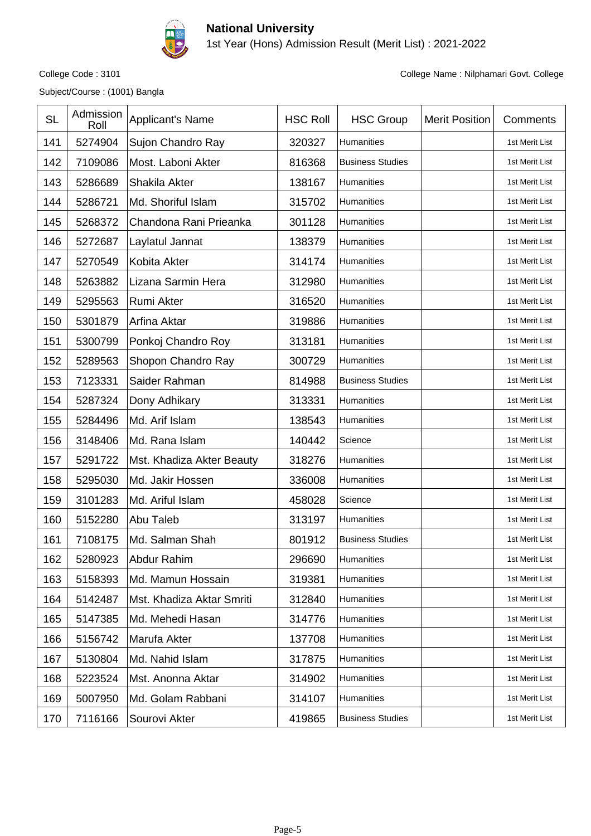

1st Year (Hons) Admission Result (Merit List) : 2021-2022

Subject/Course : (1001) Bangla

| <b>SL</b> | Admission<br>Roll | Applicant's Name          | <b>HSC Roll</b> | <b>HSC Group</b>        | <b>Merit Position</b> | Comments       |
|-----------|-------------------|---------------------------|-----------------|-------------------------|-----------------------|----------------|
| 141       | 5274904           | Sujon Chandro Ray         | 320327          | Humanities              |                       | 1st Merit List |
| 142       | 7109086           | Most. Laboni Akter        | 816368          | <b>Business Studies</b> |                       | 1st Merit List |
| 143       | 5286689           | Shakila Akter             | 138167          | Humanities              |                       | 1st Merit List |
| 144       | 5286721           | Md. Shoriful Islam        | 315702          | Humanities              |                       | 1st Merit List |
| 145       | 5268372           | Chandona Rani Prieanka    | 301128          | <b>Humanities</b>       |                       | 1st Merit List |
| 146       | 5272687           | Laylatul Jannat           | 138379          | Humanities              |                       | 1st Merit List |
| 147       | 5270549           | <b>Kobita Akter</b>       | 314174          | Humanities              |                       | 1st Merit List |
| 148       | 5263882           | Lizana Sarmin Hera        | 312980          | Humanities              |                       | 1st Merit List |
| 149       | 5295563           | Rumi Akter                | 316520          | Humanities              |                       | 1st Merit List |
| 150       | 5301879           | Arfina Aktar              | 319886          | Humanities              |                       | 1st Merit List |
| 151       | 5300799           | Ponkoj Chandro Roy        | 313181          | Humanities              |                       | 1st Merit List |
| 152       | 5289563           | Shopon Chandro Ray        | 300729          | Humanities              |                       | 1st Merit List |
| 153       | 7123331           | Saider Rahman             | 814988          | <b>Business Studies</b> |                       | 1st Merit List |
| 154       | 5287324           | Dony Adhikary             | 313331          | Humanities              |                       | 1st Merit List |
| 155       | 5284496           | Md. Arif Islam            | 138543          | Humanities              |                       | 1st Merit List |
| 156       | 3148406           | Md. Rana Islam            | 140442          | Science                 |                       | 1st Merit List |
| 157       | 5291722           | Mst. Khadiza Akter Beauty | 318276          | Humanities              |                       | 1st Merit List |
| 158       | 5295030           | Md. Jakir Hossen          | 336008          | Humanities              |                       | 1st Merit List |
| 159       | 3101283           | Md. Ariful Islam          | 458028          | Science                 |                       | 1st Merit List |
| 160       | 5152280           | Abu Taleb                 | 313197          | Humanities              |                       | 1st Merit List |
| 161       | 7108175           | Md. Salman Shah           | 801912          | <b>Business Studies</b> |                       | 1st Merit List |
| 162       | 5280923           | Abdur Rahim               | 296690          | Humanities              |                       | 1st Merit List |
| 163       | 5158393           | Md. Mamun Hossain         | 319381          | <b>Humanities</b>       |                       | 1st Merit List |
| 164       | 5142487           | Mst. Khadiza Aktar Smriti | 312840          | Humanities              |                       | 1st Merit List |
| 165       | 5147385           | Md. Mehedi Hasan          | 314776          | Humanities              |                       | 1st Merit List |
| 166       | 5156742           | Marufa Akter              | 137708          | Humanities              |                       | 1st Merit List |
| 167       | 5130804           | Md. Nahid Islam           | 317875          | Humanities              |                       | 1st Merit List |
| 168       | 5223524           | Mst. Anonna Aktar         | 314902          | Humanities              |                       | 1st Merit List |
| 169       | 5007950           | Md. Golam Rabbani         | 314107          | Humanities              |                       | 1st Merit List |
| 170       | 7116166           | Sourovi Akter             | 419865          | <b>Business Studies</b> |                       | 1st Merit List |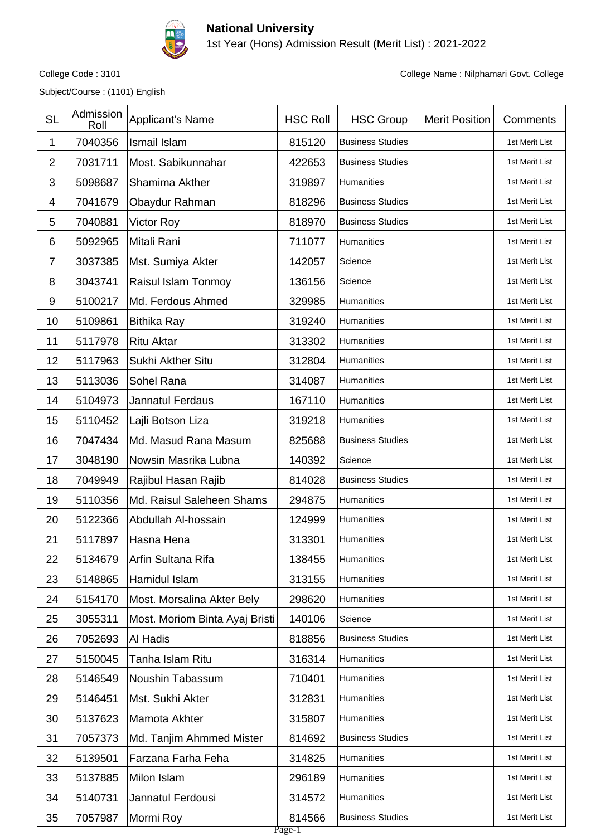

1st Year (Hons) Admission Result (Merit List) : 2021-2022

Subject/Course : (1101) English

| <b>SL</b>      | Admission<br>Roll | Applicant's Name               | <b>HSC Roll</b>  | <b>HSC Group</b>        | <b>Merit Position</b> | Comments       |
|----------------|-------------------|--------------------------------|------------------|-------------------------|-----------------------|----------------|
| 1              | 7040356           | Ismail Islam                   | 815120           | <b>Business Studies</b> |                       | 1st Merit List |
| $\overline{2}$ | 7031711           | Most. Sabikunnahar             | 422653           | <b>Business Studies</b> |                       | 1st Merit List |
| 3              | 5098687           | Shamima Akther                 | 319897           | Humanities              |                       | 1st Merit List |
| 4              | 7041679           | Obaydur Rahman                 | 818296           | <b>Business Studies</b> |                       | 1st Merit List |
| 5              | 7040881           | <b>Victor Roy</b>              | 818970           | <b>Business Studies</b> |                       | 1st Merit List |
| 6              | 5092965           | Mitali Rani                    | 711077           | Humanities              |                       | 1st Merit List |
| $\overline{7}$ | 3037385           | Mst. Sumiya Akter              | 142057           | Science                 |                       | 1st Merit List |
| 8              | 3043741           | Raisul Islam Tonmoy            | 136156           | Science                 |                       | 1st Merit List |
| 9              | 5100217           | Md. Ferdous Ahmed              | 329985           | Humanities              |                       | 1st Merit List |
| 10             | 5109861           | <b>Bithika Ray</b>             | 319240           | Humanities              |                       | 1st Merit List |
| 11             | 5117978           | <b>Ritu Aktar</b>              | 313302           | Humanities              |                       | 1st Merit List |
| 12             | 5117963           | Sukhi Akther Situ              | 312804           | Humanities              |                       | 1st Merit List |
| 13             | 5113036           | Sohel Rana                     | 314087           | Humanities              |                       | 1st Merit List |
| 14             | 5104973           | Jannatul Ferdaus               | 167110           | Humanities              |                       | 1st Merit List |
| 15             | 5110452           | Lajli Botson Liza              | 319218           | Humanities              |                       | 1st Merit List |
| 16             | 7047434           | Md. Masud Rana Masum           | 825688           | <b>Business Studies</b> |                       | 1st Merit List |
| 17             | 3048190           | Nowsin Masrika Lubna           | 140392           | Science                 |                       | 1st Merit List |
| 18             | 7049949           | Rajibul Hasan Rajib            | 814028           | <b>Business Studies</b> |                       | 1st Merit List |
| 19             | 5110356           | Md. Raisul Saleheen Shams      | 294875           | Humanities              |                       | 1st Merit List |
| 20             | 5122366           | Abdullah Al-hossain            | 124999           | <b>Humanities</b>       |                       | 1st Merit List |
| 21             | 5117897           | Hasna Hena                     | 313301           | Humanities              |                       | 1st Merit List |
| 22             | 5134679           | Arfin Sultana Rifa             | 138455           | Humanities              |                       | 1st Merit List |
| 23             | 5148865           | Hamidul Islam                  | 313155           | <b>Humanities</b>       |                       | 1st Merit List |
| 24             | 5154170           | Most. Morsalina Akter Bely     | 298620           | Humanities              |                       | 1st Merit List |
| 25             | 3055311           | Most. Moriom Binta Ayaj Bristi | 140106           | Science                 |                       | 1st Merit List |
| 26             | 7052693           | Al Hadis                       | 818856           | <b>Business Studies</b> |                       | 1st Merit List |
| 27             | 5150045           | Tanha Islam Ritu               | 316314           | Humanities              |                       | 1st Merit List |
| 28             | 5146549           | Noushin Tabassum               | 710401           | Humanities              |                       | 1st Merit List |
| 29             | 5146451           | Mst. Sukhi Akter               | 312831           | Humanities              |                       | 1st Merit List |
| 30             | 5137623           | Mamota Akhter                  | 315807           | Humanities              |                       | 1st Merit List |
| 31             | 7057373           | Md. Tanjim Ahmmed Mister       | 814692           | <b>Business Studies</b> |                       | 1st Merit List |
| 32             | 5139501           | Farzana Farha Feha             | 314825           | Humanities              |                       | 1st Merit List |
| 33             | 5137885           | Milon Islam                    | 296189           | Humanities              |                       | 1st Merit List |
| 34             | 5140731           | Jannatul Ferdousi              | 314572           | Humanities              |                       | 1st Merit List |
| 35             | 7057987           | Mormi Roy                      | 814566<br>Page-1 | <b>Business Studies</b> |                       | 1st Merit List |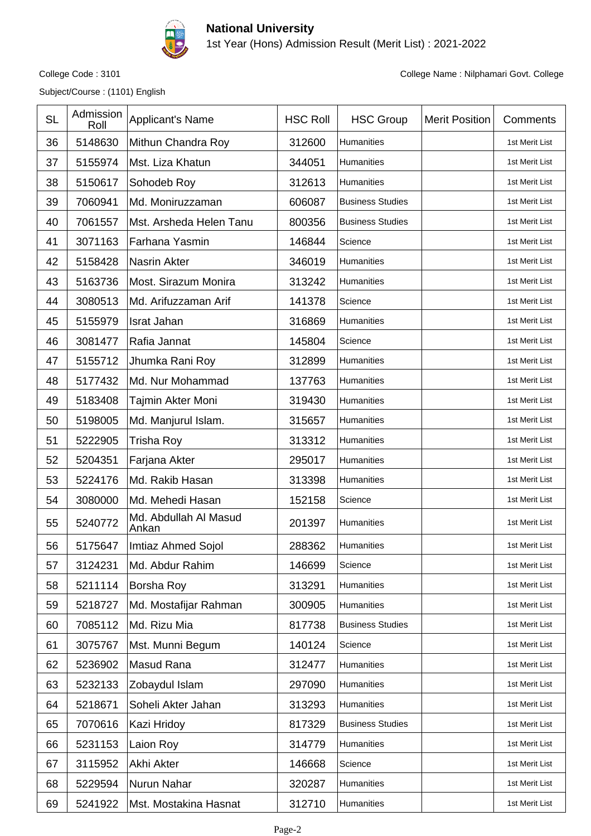

1st Year (Hons) Admission Result (Merit List) : 2021-2022

Subject/Course : (1101) English

| <b>SL</b> | Admission<br>Roll | Applicant's Name               | <b>HSC Roll</b> | <b>HSC Group</b>        | <b>Merit Position</b> | Comments       |
|-----------|-------------------|--------------------------------|-----------------|-------------------------|-----------------------|----------------|
| 36        | 5148630           | Mithun Chandra Roy             | 312600          | Humanities              |                       | 1st Merit List |
| 37        | 5155974           | Mst. Liza Khatun               | 344051          | Humanities              |                       | 1st Merit List |
| 38        | 5150617           | Sohodeb Roy                    | 312613          | Humanities              |                       | 1st Merit List |
| 39        | 7060941           | Md. Moniruzzaman               | 606087          | <b>Business Studies</b> |                       | 1st Merit List |
| 40        | 7061557           | Mst. Arsheda Helen Tanu        | 800356          | <b>Business Studies</b> |                       | 1st Merit List |
| 41        | 3071163           | Farhana Yasmin                 | 146844          | Science                 |                       | 1st Merit List |
| 42        | 5158428           | <b>Nasrin Akter</b>            | 346019          | Humanities              |                       | 1st Merit List |
| 43        | 5163736           | Most. Sirazum Monira           | 313242          | Humanities              |                       | 1st Merit List |
| 44        | 3080513           | Md. Arifuzzaman Arif           | 141378          | Science                 |                       | 1st Merit List |
| 45        | 5155979           | <b>Israt Jahan</b>             | 316869          | Humanities              |                       | 1st Merit List |
| 46        | 3081477           | Rafia Jannat                   | 145804          | Science                 |                       | 1st Merit List |
| 47        | 5155712           | Jhumka Rani Roy                | 312899          | Humanities              |                       | 1st Merit List |
| 48        | 5177432           | Md. Nur Mohammad               | 137763          | Humanities              |                       | 1st Merit List |
| 49        | 5183408           | Tajmin Akter Moni              | 319430          | Humanities              |                       | 1st Merit List |
| 50        | 5198005           | Md. Manjurul Islam.            | 315657          | Humanities              |                       | 1st Merit List |
| 51        | 5222905           | <b>Trisha Roy</b>              | 313312          | Humanities              |                       | 1st Merit List |
| 52        | 5204351           | Farjana Akter                  | 295017          | Humanities              |                       | 1st Merit List |
| 53        | 5224176           | Md. Rakib Hasan                | 313398          | Humanities              |                       | 1st Merit List |
| 54        | 3080000           | Md. Mehedi Hasan               | 152158          | Science                 |                       | 1st Merit List |
| 55        | 5240772           | Md. Abdullah Al Masud<br>Ankan | 201397          | Humanities              |                       | 1st Merit List |
| 56        | 5175647           | Imtiaz Ahmed Sojol             | 288362          | <b>Humanities</b>       |                       | 1st Merit List |
| 57        | 3124231           | Md. Abdur Rahim                | 146699          | Science                 |                       | 1st Merit List |
| 58        | 5211114           | Borsha Roy                     | 313291          | Humanities              |                       | 1st Merit List |
| 59        | 5218727           | Md. Mostafijar Rahman          | 300905          | Humanities              |                       | 1st Merit List |
| 60        | 7085112           | Md. Rizu Mia                   | 817738          | <b>Business Studies</b> |                       | 1st Merit List |
| 61        | 3075767           | Mst. Munni Begum               | 140124          | Science                 |                       | 1st Merit List |
| 62        | 5236902           | Masud Rana                     | 312477          | Humanities              |                       | 1st Merit List |
| 63        | 5232133           | Zobaydul Islam                 | 297090          | Humanities              |                       | 1st Merit List |
| 64        | 5218671           | Soheli Akter Jahan             | 313293          | Humanities              |                       | 1st Merit List |
| 65        | 7070616           | Kazi Hridoy                    | 817329          | <b>Business Studies</b> |                       | 1st Merit List |
| 66        | 5231153           | Laion Roy                      | 314779          | Humanities              |                       | 1st Merit List |
| 67        | 3115952           | Akhi Akter                     | 146668          | Science                 |                       | 1st Merit List |
| 68        | 5229594           | Nurun Nahar                    | 320287          | Humanities              |                       | 1st Merit List |
| 69        | 5241922           | Mst. Mostakina Hasnat          | 312710          | Humanities              |                       | 1st Merit List |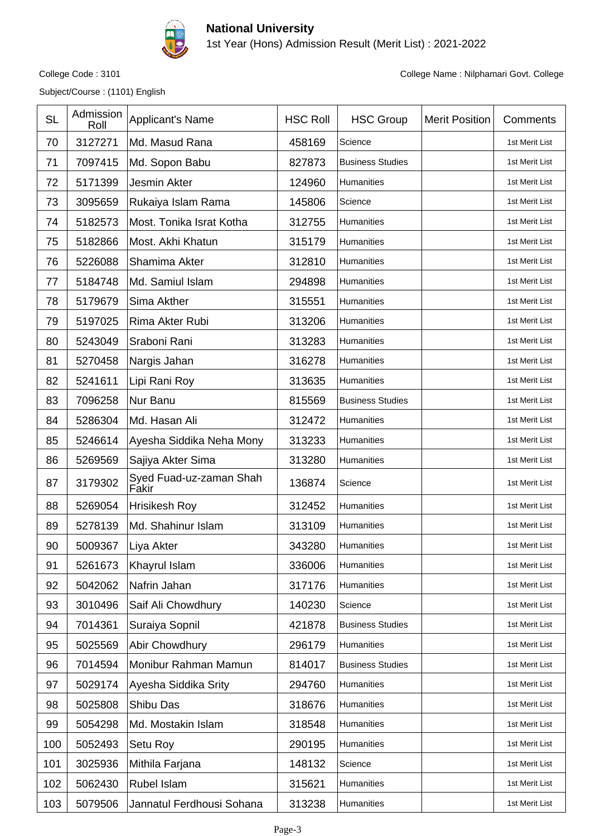

1st Year (Hons) Admission Result (Merit List) : 2021-2022

Subject/Course : (1101) English

| <b>SL</b> | Admission<br>Roll | <b>Applicant's Name</b>          | <b>HSC Roll</b> | <b>HSC Group</b>        | <b>Merit Position</b> | Comments       |
|-----------|-------------------|----------------------------------|-----------------|-------------------------|-----------------------|----------------|
| 70        | 3127271           | Md. Masud Rana                   | 458169          | Science                 |                       | 1st Merit List |
| 71        | 7097415           | Md. Sopon Babu                   | 827873          | <b>Business Studies</b> |                       | 1st Merit List |
| 72        | 5171399           | Jesmin Akter                     | 124960          | Humanities              |                       | 1st Merit List |
| 73        | 3095659           | Rukaiya Islam Rama               | 145806          | Science                 |                       | 1st Merit List |
| 74        | 5182573           | Most. Tonika Israt Kotha         | 312755          | Humanities              |                       | 1st Merit List |
| 75        | 5182866           | Most. Akhi Khatun                | 315179          | Humanities              |                       | 1st Merit List |
| 76        | 5226088           | Shamima Akter                    | 312810          | Humanities              |                       | 1st Merit List |
| 77        | 5184748           | Md. Samiul Islam                 | 294898          | Humanities              |                       | 1st Merit List |
| 78        | 5179679           | Sima Akther                      | 315551          | Humanities              |                       | 1st Merit List |
| 79        | 5197025           | Rima Akter Rubi                  | 313206          | Humanities              |                       | 1st Merit List |
| 80        | 5243049           | Sraboni Rani                     | 313283          | Humanities              |                       | 1st Merit List |
| 81        | 5270458           | Nargis Jahan                     | 316278          | <b>Humanities</b>       |                       | 1st Merit List |
| 82        | 5241611           | Lipi Rani Roy                    | 313635          | Humanities              |                       | 1st Merit List |
| 83        | 7096258           | Nur Banu                         | 815569          | <b>Business Studies</b> |                       | 1st Merit List |
| 84        | 5286304           | Md. Hasan Ali                    | 312472          | Humanities              |                       | 1st Merit List |
| 85        | 5246614           | Ayesha Siddika Neha Mony         | 313233          | Humanities              |                       | 1st Merit List |
| 86        | 5269569           | Sajiya Akter Sima                | 313280          | Humanities              |                       | 1st Merit List |
| 87        | 3179302           | Syed Fuad-uz-zaman Shah<br>Fakir | 136874          | Science                 |                       | 1st Merit List |
| 88        | 5269054           | <b>Hrisikesh Roy</b>             | 312452          | Humanities              |                       | 1st Merit List |
| 89        | 5278139           | Md. Shahinur Islam               | 313109          | Humanities              |                       | 1st Merit List |
| 90        | 5009367           | Liya Akter                       | 343280          | Humanities              |                       | 1st Merit List |
| 91        | 5261673           | Khayrul Islam                    | 336006          | Humanities              |                       | 1st Merit List |
| 92        | 5042062           | Nafrin Jahan                     | 317176          | Humanities              |                       | 1st Merit List |
| 93        | 3010496           | Saif Ali Chowdhury               | 140230          | Science                 |                       | 1st Merit List |
| 94        | 7014361           | Suraiya Sopnil                   | 421878          | <b>Business Studies</b> |                       | 1st Merit List |
| 95        | 5025569           | Abir Chowdhury                   | 296179          | Humanities              |                       | 1st Merit List |
| 96        | 7014594           | Monibur Rahman Mamun             | 814017          | <b>Business Studies</b> |                       | 1st Merit List |
| 97        | 5029174           | Ayesha Siddika Srity             | 294760          | Humanities              |                       | 1st Merit List |
| 98        | 5025808           | Shibu Das                        | 318676          | Humanities              |                       | 1st Merit List |
| 99        | 5054298           | Md. Mostakin Islam               | 318548          | Humanities              |                       | 1st Merit List |
| 100       | 5052493           | Setu Roy                         | 290195          | Humanities              |                       | 1st Merit List |
| 101       | 3025936           | Mithila Farjana                  | 148132          | Science                 |                       | 1st Merit List |
| 102       | 5062430           | Rubel Islam                      | 315621          | Humanities              |                       | 1st Merit List |
| 103       | 5079506           | Jannatul Ferdhousi Sohana        | 313238          | Humanities              |                       | 1st Merit List |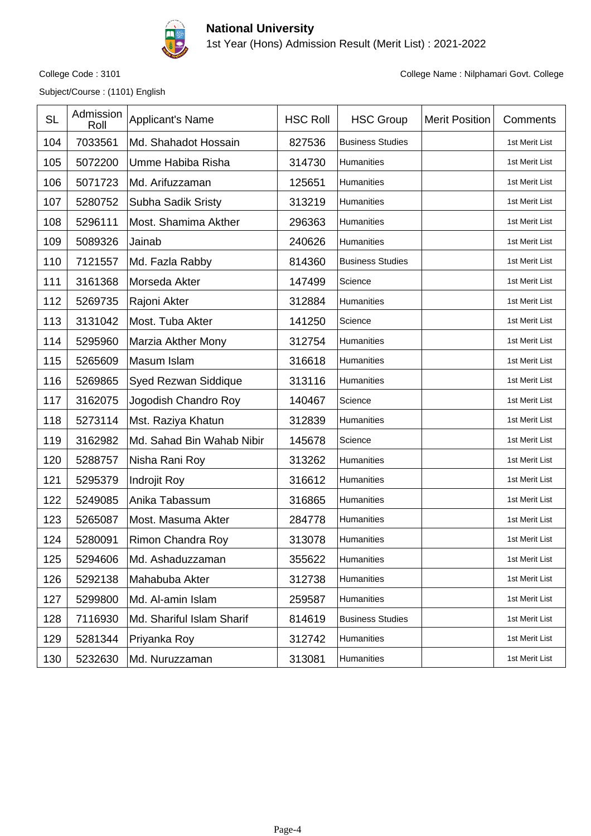

#### **National University** 1st Year (Hons) Admission Result (Merit List) : 2021-2022

Subject/Course : (1101) English

| <b>SL</b> | Admission<br>Roll | Applicant's Name          | <b>HSC Roll</b> | <b>HSC Group</b>        | <b>Merit Position</b> | Comments       |
|-----------|-------------------|---------------------------|-----------------|-------------------------|-----------------------|----------------|
| 104       | 7033561           | Md. Shahadot Hossain      | 827536          | <b>Business Studies</b> |                       | 1st Merit List |
| 105       | 5072200           | Umme Habiba Risha         | 314730          | Humanities              |                       | 1st Merit List |
| 106       | 5071723           | Md. Arifuzzaman           | 125651          | Humanities              |                       | 1st Merit List |
| 107       | 5280752           | Subha Sadik Sristy        | 313219          | Humanities              |                       | 1st Merit List |
| 108       | 5296111           | Most. Shamima Akther      | 296363          | Humanities              |                       | 1st Merit List |
| 109       | 5089326           | Jainab                    | 240626          | Humanities              |                       | 1st Merit List |
| 110       | 7121557           | Md. Fazla Rabby           | 814360          | <b>Business Studies</b> |                       | 1st Merit List |
| 111       | 3161368           | Morseda Akter             | 147499          | Science                 |                       | 1st Merit List |
| 112       | 5269735           | Rajoni Akter              | 312884          | Humanities              |                       | 1st Merit List |
| 113       | 3131042           | Most. Tuba Akter          | 141250          | Science                 |                       | 1st Merit List |
| 114       | 5295960           | Marzia Akther Mony        | 312754          | Humanities              |                       | 1st Merit List |
| 115       | 5265609           | Masum Islam               | 316618          | Humanities              |                       | 1st Merit List |
| 116       | 5269865           | Syed Rezwan Siddique      | 313116          | Humanities              |                       | 1st Merit List |
| 117       | 3162075           | Jogodish Chandro Roy      | 140467          | Science                 |                       | 1st Merit List |
| 118       | 5273114           | Mst. Raziya Khatun        | 312839          | Humanities              |                       | 1st Merit List |
| 119       | 3162982           | Md. Sahad Bin Wahab Nibir | 145678          | Science                 |                       | 1st Merit List |
| 120       | 5288757           | Nisha Rani Roy            | 313262          | Humanities              |                       | 1st Merit List |
| 121       | 5295379           | Indrojit Roy              | 316612          | Humanities              |                       | 1st Merit List |
| 122       | 5249085           | Anika Tabassum            | 316865          | Humanities              |                       | 1st Merit List |
| 123       | 5265087           | Most. Masuma Akter        | 284778          | <b>Humanities</b>       |                       | 1st Merit List |
| 124       | 5280091           | Rimon Chandra Roy         | 313078          | Humanities              |                       | 1st Merit List |
| 125       | 5294606           | Md. Ashaduzzaman          | 355622          | Humanities              |                       | 1st Merit List |
| 126       | 5292138           | Mahabuba Akter            | 312738          | <b>Humanities</b>       |                       | 1st Merit List |
| 127       | 5299800           | Md. Al-amin Islam         | 259587          | Humanities              |                       | 1st Merit List |
| 128       | 7116930           | Md. Shariful Islam Sharif | 814619          | <b>Business Studies</b> |                       | 1st Merit List |
| 129       | 5281344           | Priyanka Roy              | 312742          | Humanities              |                       | 1st Merit List |
| 130       | 5232630           | Md. Nuruzzaman            | 313081          | Humanities              |                       | 1st Merit List |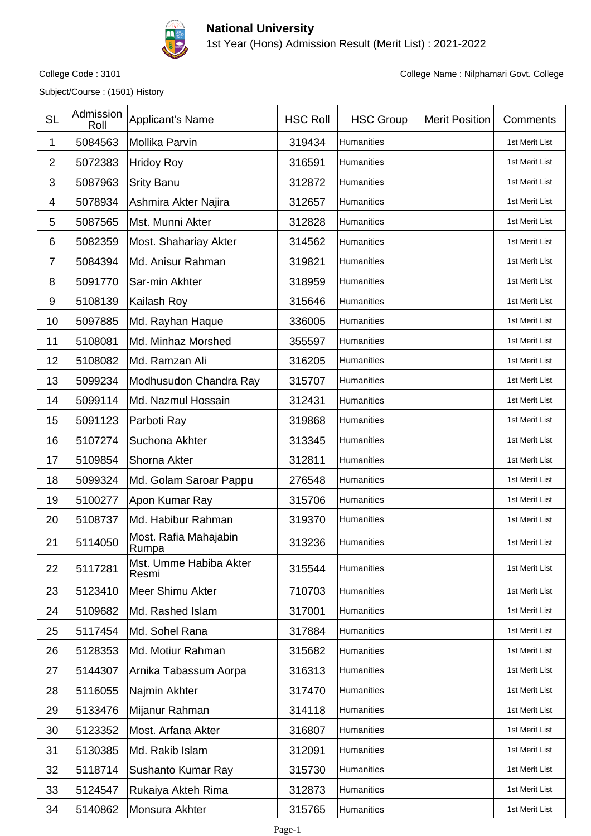

1st Year (Hons) Admission Result (Merit List) : 2021-2022

Subject/Course : (1501) History

| <b>SL</b>      | Admission<br>Roll | <b>Applicant's Name</b>         | <b>HSC Roll</b> | <b>HSC Group</b>  | <b>Merit Position</b> | Comments       |
|----------------|-------------------|---------------------------------|-----------------|-------------------|-----------------------|----------------|
| 1              | 5084563           | Mollika Parvin                  | 319434          | Humanities        |                       | 1st Merit List |
| $\overline{2}$ | 5072383           | <b>Hridoy Roy</b>               | 316591          | Humanities        |                       | 1st Merit List |
| 3              | 5087963           | <b>Srity Banu</b>               | 312872          | Humanities        |                       | 1st Merit List |
| 4              | 5078934           | Ashmira Akter Najira            | 312657          | Humanities        |                       | 1st Merit List |
| 5              | 5087565           | Mst. Munni Akter                | 312828          | Humanities        |                       | 1st Merit List |
| 6              | 5082359           | Most. Shahariay Akter           | 314562          | Humanities        |                       | 1st Merit List |
| $\overline{7}$ | 5084394           | Md. Anisur Rahman               | 319821          | Humanities        |                       | 1st Merit List |
| 8              | 5091770           | Sar-min Akhter                  | 318959          | Humanities        |                       | 1st Merit List |
| 9              | 5108139           | Kailash Roy                     | 315646          | Humanities        |                       | 1st Merit List |
| 10             | 5097885           | Md. Rayhan Haque                | 336005          | <b>Humanities</b> |                       | 1st Merit List |
| 11             | 5108081           | Md. Minhaz Morshed              | 355597          | Humanities        |                       | 1st Merit List |
| 12             | 5108082           | Md. Ramzan Ali                  | 316205          | Humanities        |                       | 1st Merit List |
| 13             | 5099234           | Modhusudon Chandra Ray          | 315707          | Humanities        |                       | 1st Merit List |
| 14             | 5099114           | Md. Nazmul Hossain              | 312431          | Humanities        |                       | 1st Merit List |
| 15             | 5091123           | Parboti Ray                     | 319868          | Humanities        |                       | 1st Merit List |
| 16             | 5107274           | Suchona Akhter                  | 313345          | Humanities        |                       | 1st Merit List |
| 17             | 5109854           | Shorna Akter                    | 312811          | Humanities        |                       | 1st Merit List |
| 18             | 5099324           | Md. Golam Saroar Pappu          | 276548          | Humanities        |                       | 1st Merit List |
| 19             | 5100277           | Apon Kumar Ray                  | 315706          | Humanities        |                       | 1st Merit List |
| 20             | 5108737           | Md. Habibur Rahman              | 319370          | Humanities        |                       | 1st Merit List |
| 21             | 5114050           | Most. Rafia Mahajabin<br>Rumpa  | 313236          | Humanities        |                       | 1st Merit List |
| 22             | 5117281           | Mst. Umme Habiba Akter<br>Resmi | 315544          | Humanities        |                       | 1st Merit List |
| 23             | 5123410           | Meer Shimu Akter                | 710703          | Humanities        |                       | 1st Merit List |
| 24             | 5109682           | Md. Rashed Islam                | 317001          | Humanities        |                       | 1st Merit List |
| 25             | 5117454           | Md. Sohel Rana                  | 317884          | Humanities        |                       | 1st Merit List |
| 26             | 5128353           | Md. Motiur Rahman               | 315682          | Humanities        |                       | 1st Merit List |
| 27             | 5144307           | Arnika Tabassum Aorpa           | 316313          | Humanities        |                       | 1st Merit List |
| 28             | 5116055           | Najmin Akhter                   | 317470          | Humanities        |                       | 1st Merit List |
| 29             | 5133476           | Mijanur Rahman                  | 314118          | Humanities        |                       | 1st Merit List |
| 30             | 5123352           | Most. Arfana Akter              | 316807          | Humanities        |                       | 1st Merit List |
| 31             | 5130385           | Md. Rakib Islam                 | 312091          | Humanities        |                       | 1st Merit List |
| 32             | 5118714           | Sushanto Kumar Ray              | 315730          | Humanities        |                       | 1st Merit List |
| 33             | 5124547           | Rukaiya Akteh Rima              | 312873          | Humanities        |                       | 1st Merit List |
| 34             | 5140862           | Monsura Akhter                  | 315765          | Humanities        |                       | 1st Merit List |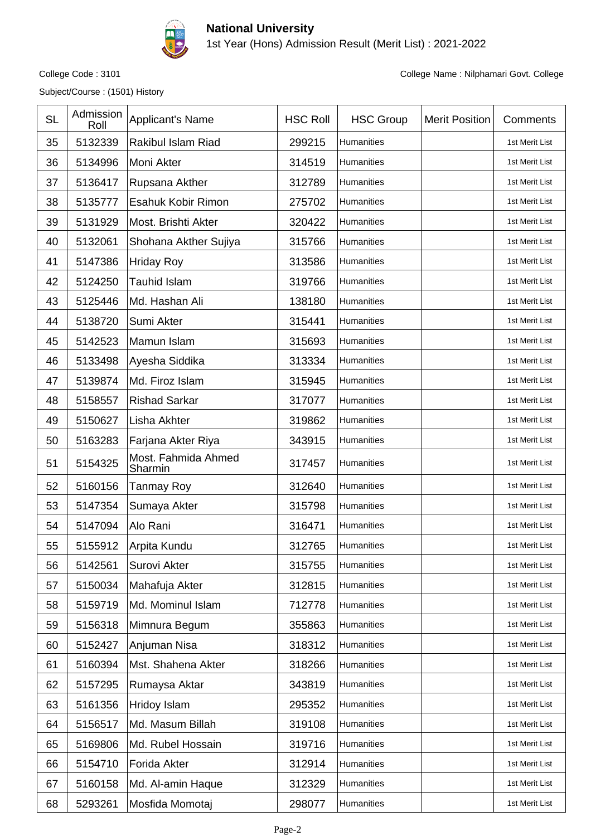

1st Year (Hons) Admission Result (Merit List) : 2021-2022

Subject/Course : (1501) History

| <b>SL</b> | Admission<br>Roll | <b>Applicant's Name</b>        | <b>HSC Roll</b> | <b>HSC Group</b> | <b>Merit Position</b> | Comments       |
|-----------|-------------------|--------------------------------|-----------------|------------------|-----------------------|----------------|
| 35        | 5132339           | Rakibul Islam Riad             | 299215          | Humanities       |                       | 1st Merit List |
| 36        | 5134996           | Moni Akter                     | 314519          | Humanities       |                       | 1st Merit List |
| 37        | 5136417           | Rupsana Akther                 | 312789          | Humanities       |                       | 1st Merit List |
| 38        | 5135777           | Esahuk Kobir Rimon             | 275702          | Humanities       |                       | 1st Merit List |
| 39        | 5131929           | Most. Brishti Akter            | 320422          | Humanities       |                       | 1st Merit List |
| 40        | 5132061           | Shohana Akther Sujiya          | 315766          | Humanities       |                       | 1st Merit List |
| 41        | 5147386           | <b>Hriday Roy</b>              | 313586          | Humanities       |                       | 1st Merit List |
| 42        | 5124250           | <b>Tauhid Islam</b>            | 319766          | Humanities       |                       | 1st Merit List |
| 43        | 5125446           | Md. Hashan Ali                 | 138180          | Humanities       |                       | 1st Merit List |
| 44        | 5138720           | Sumi Akter                     | 315441          | Humanities       |                       | 1st Merit List |
| 45        | 5142523           | Mamun Islam                    | 315693          | Humanities       |                       | 1st Merit List |
| 46        | 5133498           | Ayesha Siddika                 | 313334          | Humanities       |                       | 1st Merit List |
| 47        | 5139874           | Md. Firoz Islam                | 315945          | Humanities       |                       | 1st Merit List |
| 48        | 5158557           | <b>Rishad Sarkar</b>           | 317077          | Humanities       |                       | 1st Merit List |
| 49        | 5150627           | Lisha Akhter                   | 319862          | Humanities       |                       | 1st Merit List |
| 50        | 5163283           | Farjana Akter Riya             | 343915          | Humanities       |                       | 1st Merit List |
| 51        | 5154325           | Most. Fahmida Ahmed<br>Sharmin | 317457          | Humanities       |                       | 1st Merit List |
| 52        | 5160156           | Tanmay Roy                     | 312640          | Humanities       |                       | 1st Merit List |
| 53        | 5147354           | Sumaya Akter                   | 315798          | Humanities       |                       | 1st Merit List |
| 54        | 5147094           | Alo Rani                       | 316471          | Humanities       |                       | 1st Merit List |
| 55        | 5155912           | Arpita Kundu                   | 312765          | Humanities       |                       | 1st Merit List |
| 56        | 5142561           | Surovi Akter                   | 315755          | Humanities       |                       | 1st Merit List |
| 57        | 5150034           | Mahafuja Akter                 | 312815          | Humanities       |                       | 1st Merit List |
| 58        | 5159719           | Md. Mominul Islam              | 712778          | Humanities       |                       | 1st Merit List |
| 59        | 5156318           | Mimnura Begum                  | 355863          | Humanities       |                       | 1st Merit List |
| 60        | 5152427           | Anjuman Nisa                   | 318312          | Humanities       |                       | 1st Merit List |
| 61        | 5160394           | Mst. Shahena Akter             | 318266          | Humanities       |                       | 1st Merit List |
| 62        | 5157295           | Rumaysa Aktar                  | 343819          | Humanities       |                       | 1st Merit List |
| 63        | 5161356           | Hridoy Islam                   | 295352          | Humanities       |                       | 1st Merit List |
| 64        | 5156517           | Md. Masum Billah               | 319108          | Humanities       |                       | 1st Merit List |
| 65        | 5169806           | Md. Rubel Hossain              | 319716          | Humanities       |                       | 1st Merit List |
| 66        | 5154710           | Forida Akter                   | 312914          | Humanities       |                       | 1st Merit List |
| 67        | 5160158           | Md. Al-amin Haque              | 312329          | Humanities       |                       | 1st Merit List |
| 68        | 5293261           | Mosfida Momotaj                | 298077          | Humanities       |                       | 1st Merit List |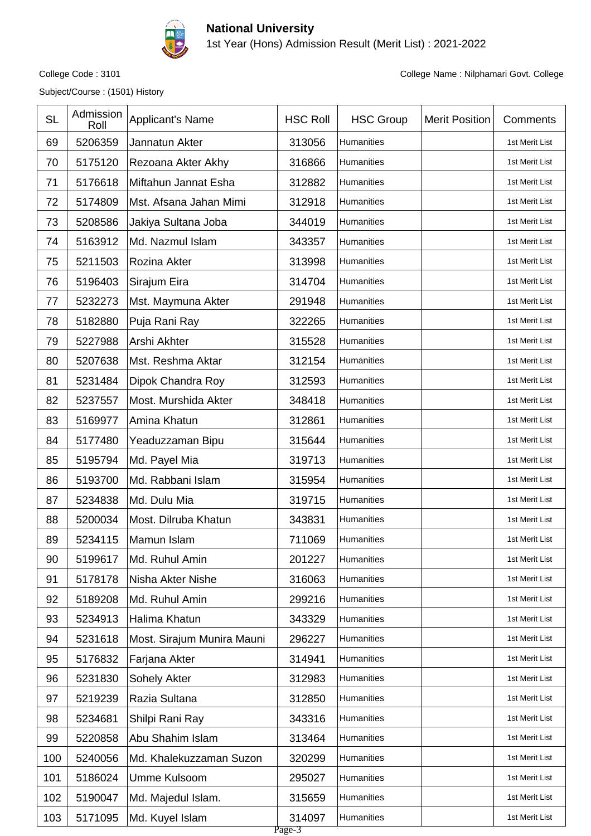

1st Year (Hons) Admission Result (Merit List) : 2021-2022

Subject/Course : (1501) History

College Code : 3101 College Name : Nilphamari Govt. College

| <b>SL</b> | Admission<br>Roll | <b>Applicant's Name</b>    | <b>HSC Roll</b>     | <b>HSC Group</b>  | <b>Merit Position</b> | Comments       |
|-----------|-------------------|----------------------------|---------------------|-------------------|-----------------------|----------------|
| 69        | 5206359           | Jannatun Akter             | 313056              | Humanities        |                       | 1st Merit List |
| 70        | 5175120           | Rezoana Akter Akhy         | 316866              | Humanities        |                       | 1st Merit List |
| 71        | 5176618           | Miftahun Jannat Esha       | 312882              | Humanities        |                       | 1st Merit List |
| 72        | 5174809           | Mst. Afsana Jahan Mimi     | 312918              | Humanities        |                       | 1st Merit List |
| 73        | 5208586           | Jakiya Sultana Joba        | 344019              | Humanities        |                       | 1st Merit List |
| 74        | 5163912           | Md. Nazmul Islam           | 343357              | Humanities        |                       | 1st Merit List |
| 75        | 5211503           | Rozina Akter               | 313998              | Humanities        |                       | 1st Merit List |
| 76        | 5196403           | Sirajum Eira               | 314704              | Humanities        |                       | 1st Merit List |
| 77        | 5232273           | Mst. Maymuna Akter         | 291948              | Humanities        |                       | 1st Merit List |
| 78        | 5182880           | Puja Rani Ray              | 322265              | Humanities        |                       | 1st Merit List |
| 79        | 5227988           | Arshi Akhter               | 315528              | Humanities        |                       | 1st Merit List |
| 80        | 5207638           | Mst. Reshma Aktar          | 312154              | Humanities        |                       | 1st Merit List |
| 81        | 5231484           | Dipok Chandra Roy          | 312593              | Humanities        |                       | 1st Merit List |
| 82        | 5237557           | Most. Murshida Akter       | 348418              | Humanities        |                       | 1st Merit List |
| 83        | 5169977           | Amina Khatun               | 312861              | Humanities        |                       | 1st Merit List |
| 84        | 5177480           | Yeaduzzaman Bipu           | 315644              | Humanities        |                       | 1st Merit List |
| 85        | 5195794           | Md. Payel Mia              | 319713              | Humanities        |                       | 1st Merit List |
| 86        | 5193700           | Md. Rabbani Islam          | 315954              | Humanities        |                       | 1st Merit List |
| 87        | 5234838           | Md. Dulu Mia               | 319715              | Humanities        |                       | 1st Merit List |
| 88        | 5200034           | Most. Dilruba Khatun       | 343831              | Humanities        |                       | 1st Merit List |
| 89        | 5234115           | Mamun Islam                | 711069              | Humanities        |                       | 1st Merit List |
| 90        | 5199617           | Md. Ruhul Amin             | 201227              | Humanities        |                       | 1st Merit List |
| 91        | 5178178           | Nisha Akter Nishe          | 316063              | Humanities        |                       | 1st Merit List |
| 92        | 5189208           | Md. Ruhul Amin             | 299216              | <b>Humanities</b> |                       | 1st Merit List |
| 93        | 5234913           | Halima Khatun              | 343329              | Humanities        |                       | 1st Merit List |
| 94        | 5231618           | Most. Sirajum Munira Mauni | 296227              | Humanities        |                       | 1st Merit List |
| 95        | 5176832           | Farjana Akter              | 314941              | <b>Humanities</b> |                       | 1st Merit List |
| 96        | 5231830           | Sohely Akter               | 312983              | Humanities        |                       | 1st Merit List |
| 97        | 5219239           | Razia Sultana              | 312850              | Humanities        |                       | 1st Merit List |
| 98        | 5234681           | Shilpi Rani Ray            | 343316              | Humanities        |                       | 1st Merit List |
| 99        | 5220858           | Abu Shahim Islam           | 313464              | Humanities        |                       | 1st Merit List |
| 100       | 5240056           | Md. Khalekuzzaman Suzon    | 320299              | Humanities        |                       | 1st Merit List |
| 101       | 5186024           | Umme Kulsoom               | 295027              | Humanities        |                       | 1st Merit List |
| 102       | 5190047           | Md. Majedul Islam.         | 315659              | Humanities        |                       | 1st Merit List |
| 103       | 5171095           | Md. Kuyel Islam            | 314097<br>$P$ age-3 | Humanities        |                       | 1st Merit List |

ւչյ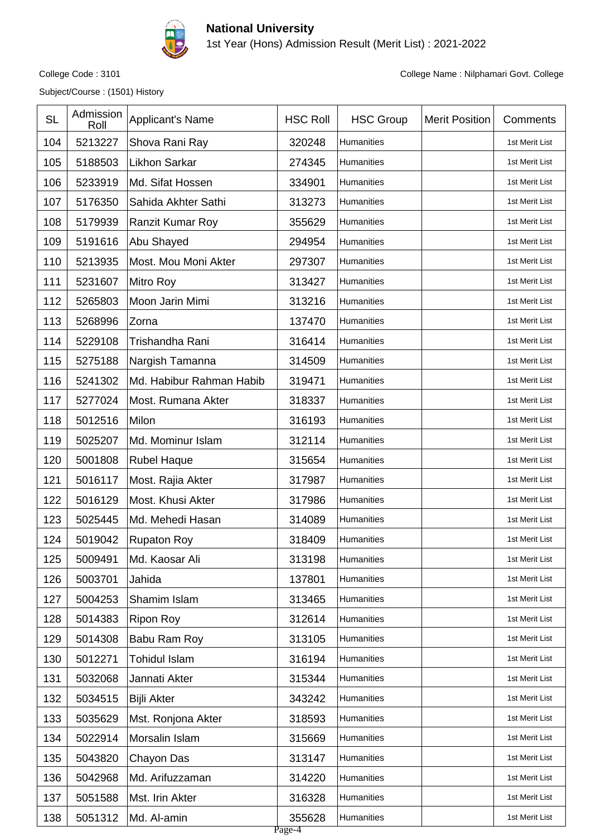

1st Year (Hons) Admission Result (Merit List) : 2021-2022

Subject/Course : (1501) History

| <b>SL</b> | Admission<br>Roll | Applicant's Name         | <b>HSC Roll</b>  | <b>HSC Group</b>  | <b>Merit Position</b> | Comments       |
|-----------|-------------------|--------------------------|------------------|-------------------|-----------------------|----------------|
| 104       | 5213227           | Shova Rani Ray           | 320248           | Humanities        |                       | 1st Merit List |
| 105       | 5188503           | <b>Likhon Sarkar</b>     | 274345           | Humanities        |                       | 1st Merit List |
| 106       | 5233919           | Md. Sifat Hossen         | 334901           | Humanities        |                       | 1st Merit List |
| 107       | 5176350           | Sahida Akhter Sathi      | 313273           | Humanities        |                       | 1st Merit List |
| 108       | 5179939           | Ranzit Kumar Roy         | 355629           | Humanities        |                       | 1st Merit List |
| 109       | 5191616           | Abu Shayed               | 294954           | Humanities        |                       | 1st Merit List |
| 110       | 5213935           | Most. Mou Moni Akter     | 297307           | Humanities        |                       | 1st Merit List |
| 111       | 5231607           | Mitro Roy                | 313427           | Humanities        |                       | 1st Merit List |
| 112       | 5265803           | Moon Jarin Mimi          | 313216           | Humanities        |                       | 1st Merit List |
| 113       | 5268996           | Zorna                    | 137470           | <b>Humanities</b> |                       | 1st Merit List |
| 114       | 5229108           | Trishandha Rani          | 316414           | Humanities        |                       | 1st Merit List |
| 115       | 5275188           | Nargish Tamanna          | 314509           | Humanities        |                       | 1st Merit List |
| 116       | 5241302           | Md. Habibur Rahman Habib | 319471           | Humanities        |                       | 1st Merit List |
| 117       | 5277024           | Most. Rumana Akter       | 318337           | Humanities        |                       | 1st Merit List |
| 118       | 5012516           | Milon                    | 316193           | Humanities        |                       | 1st Merit List |
| 119       | 5025207           | Md. Mominur Islam        | 312114           | Humanities        |                       | 1st Merit List |
| 120       | 5001808           | <b>Rubel Haque</b>       | 315654           | Humanities        |                       | 1st Merit List |
| 121       | 5016117           | Most. Rajia Akter        | 317987           | Humanities        |                       | 1st Merit List |
| 122       | 5016129           | Most. Khusi Akter        | 317986           | Humanities        |                       | 1st Merit List |
| 123       | 5025445           | Md. Mehedi Hasan         | 314089           | Humanities        |                       | 1st Merit List |
| 124       | 5019042           | <b>Rupaton Roy</b>       | 318409           | <b>Humanities</b> |                       | 1st Merit List |
| 125       | 5009491           | Md. Kaosar Ali           | 313198           | Humanities        |                       | 1st Merit List |
| 126       | 5003701           | Jahida                   | 137801           | Humanities        |                       | 1st Merit List |
| 127       | 5004253           | Shamim Islam             | 313465           | Humanities        |                       | 1st Merit List |
| 128       | 5014383           | <b>Ripon Roy</b>         | 312614           | Humanities        |                       | 1st Merit List |
| 129       | 5014308           | Babu Ram Roy             | 313105           | Humanities        |                       | 1st Merit List |
| 130       | 5012271           | <b>Tohidul Islam</b>     | 316194           | Humanities        |                       | 1st Merit List |
| 131       | 5032068           | Jannati Akter            | 315344           | Humanities        |                       | 1st Merit List |
| 132       | 5034515           | <b>Bijli Akter</b>       | 343242           | <b>Humanities</b> |                       | 1st Merit List |
| 133       | 5035629           | Mst. Ronjona Akter       | 318593           | Humanities        |                       | 1st Merit List |
| 134       | 5022914           | Morsalin Islam           | 315669           | Humanities        |                       | 1st Merit List |
| 135       | 5043820           | Chayon Das               | 313147           | Humanities        |                       | 1st Merit List |
| 136       | 5042968           | Md. Arifuzzaman          | 314220           | Humanities        |                       | 1st Merit List |
| 137       | 5051588           | Mst. Irin Akter          | 316328           | Humanities        |                       | 1st Merit List |
| 138       | 5051312           | Md. Al-amin              | 355628<br>Page-4 | Humanities        |                       | 1st Merit List |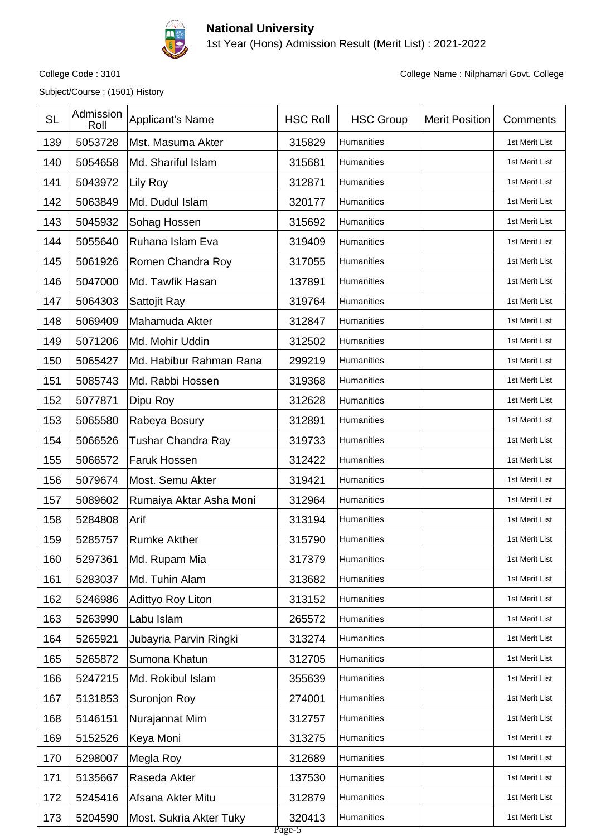

1st Year (Hons) Admission Result (Merit List) : 2021-2022

Subject/Course : (1501) History

| <b>SL</b> | Admission<br>Roll | Applicant's Name        | <b>HSC Roll</b>  | <b>HSC Group</b>  | <b>Merit Position</b> | Comments       |
|-----------|-------------------|-------------------------|------------------|-------------------|-----------------------|----------------|
| 139       | 5053728           | Mst. Masuma Akter       | 315829           | Humanities        |                       | 1st Merit List |
| 140       | 5054658           | Md. Shariful Islam      | 315681           | Humanities        |                       | 1st Merit List |
| 141       | 5043972           | Lily Roy                | 312871           | Humanities        |                       | 1st Merit List |
| 142       | 5063849           | Md. Dudul Islam         | 320177           | Humanities        |                       | 1st Merit List |
| 143       | 5045932           | Sohag Hossen            | 315692           | Humanities        |                       | 1st Merit List |
| 144       | 5055640           | Ruhana Islam Eva        | 319409           | Humanities        |                       | 1st Merit List |
| 145       | 5061926           | Romen Chandra Roy       | 317055           | Humanities        |                       | 1st Merit List |
| 146       | 5047000           | Md. Tawfik Hasan        | 137891           | Humanities        |                       | 1st Merit List |
| 147       | 5064303           | Sattojit Ray            | 319764           | Humanities        |                       | 1st Merit List |
| 148       | 5069409           | Mahamuda Akter          | 312847           | Humanities        |                       | 1st Merit List |
| 149       | 5071206           | Md. Mohir Uddin         | 312502           | Humanities        |                       | 1st Merit List |
| 150       | 5065427           | Md. Habibur Rahman Rana | 299219           | Humanities        |                       | 1st Merit List |
| 151       | 5085743           | Md. Rabbi Hossen        | 319368           | Humanities        |                       | 1st Merit List |
| 152       | 5077871           | Dipu Roy                | 312628           | Humanities        |                       | 1st Merit List |
| 153       | 5065580           | Rabeya Bosury           | 312891           | Humanities        |                       | 1st Merit List |
| 154       | 5066526           | Tushar Chandra Ray      | 319733           | Humanities        |                       | 1st Merit List |
| 155       | 5066572           | <b>Faruk Hossen</b>     | 312422           | Humanities        |                       | 1st Merit List |
| 156       | 5079674           | Most. Semu Akter        | 319421           | Humanities        |                       | 1st Merit List |
| 157       | 5089602           | Rumaiya Aktar Asha Moni | 312964           | Humanities        |                       | 1st Merit List |
| 158       | 5284808           | Arif                    | 313194           | Humanities        |                       | 1st Merit List |
| 159       | 5285757           | <b>Rumke Akther</b>     | 315790           | <b>Humanities</b> |                       | 1st Merit List |
| 160       | 5297361           | Md. Rupam Mia           | 317379           | Humanities        |                       | 1st Merit List |
| 161       | 5283037           | Md. Tuhin Alam          | 313682           | Humanities        |                       | 1st Merit List |
| 162       | 5246986           | Adittyo Roy Liton       | 313152           | Humanities        |                       | 1st Merit List |
| 163       | 5263990           | Labu Islam              | 265572           | Humanities        |                       | 1st Merit List |
| 164       | 5265921           | Jubayria Parvin Ringki  | 313274           | Humanities        |                       | 1st Merit List |
| 165       | 5265872           | Sumona Khatun           | 312705           | Humanities        |                       | 1st Merit List |
| 166       | 5247215           | Md. Rokibul Islam       | 355639           | Humanities        |                       | 1st Merit List |
| 167       | 5131853           | Suronjon Roy            | 274001           | Humanities        |                       | 1st Merit List |
| 168       | 5146151           | Nurajannat Mim          | 312757           | Humanities        |                       | 1st Merit List |
| 169       | 5152526           | Keya Moni               | 313275           | Humanities        |                       | 1st Merit List |
| 170       | 5298007           | Megla Roy               | 312689           | Humanities        |                       | 1st Merit List |
| 171       | 5135667           | Raseda Akter            | 137530           | Humanities        |                       | 1st Merit List |
| 172       | 5245416           | Afsana Akter Mitu       | 312879           | Humanities        |                       | 1st Merit List |
| 173       | 5204590           | Most. Sukria Akter Tuky | 320413<br>Page-5 | Humanities        |                       | 1st Merit List |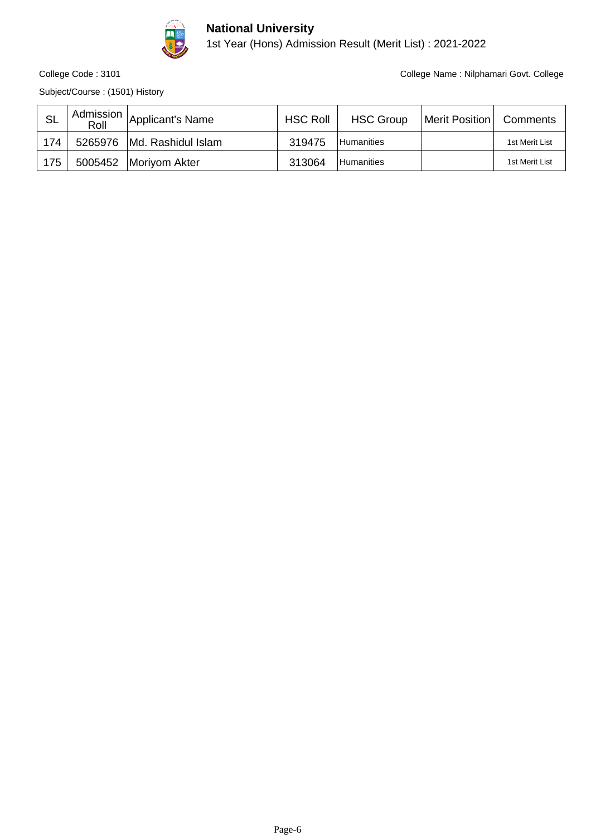

1st Year (Hons) Admission Result (Merit List) : 2021-2022

Subject/Course : (1501) History

| -SL | Admission  <br>Roll | Applicant's Name             | <b>HSC Roll</b> | <b>HSC Group</b> | Merit Position   Comments |                |
|-----|---------------------|------------------------------|-----------------|------------------|---------------------------|----------------|
| 174 |                     | 5265976   Md. Rashidul Islam | 319475          | l Humanities     |                           | 1st Merit List |
| 175 |                     | 5005452   Moriyom Akter      | 313064          | l Humanities     |                           | 1st Merit List |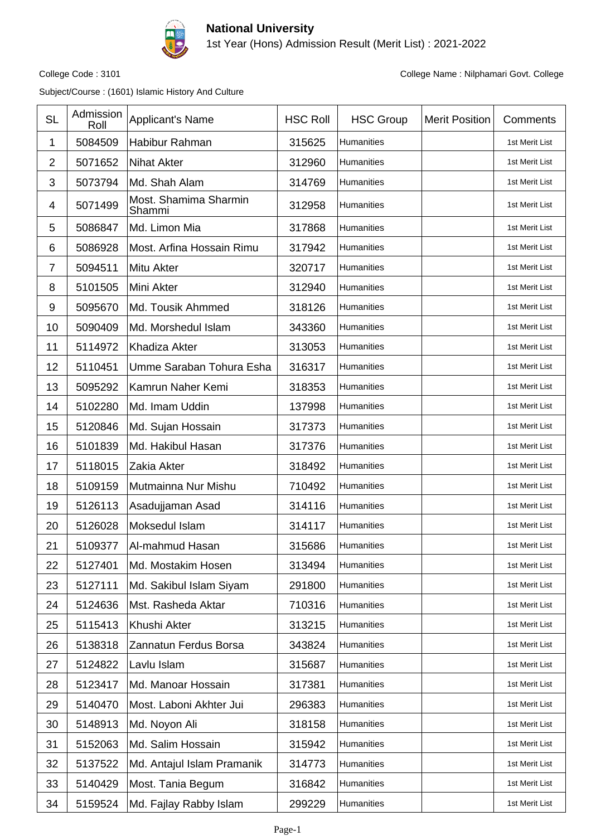

1st Year (Hons) Admission Result (Merit List) : 2021-2022

College Code : 3101 College Name : Nilphamari Govt. College

| <b>SL</b>      | Admission<br>Roll | <b>Applicant's Name</b>         | <b>HSC Roll</b> | <b>HSC Group</b>  | <b>Merit Position</b> | Comments       |
|----------------|-------------------|---------------------------------|-----------------|-------------------|-----------------------|----------------|
| 1              | 5084509           | Habibur Rahman                  | 315625          | <b>Humanities</b> |                       | 1st Merit List |
| $\overline{2}$ | 5071652           | <b>Nihat Akter</b>              | 312960          | Humanities        |                       | 1st Merit List |
| 3              | 5073794           | Md. Shah Alam                   | 314769          | Humanities        |                       | 1st Merit List |
| 4              | 5071499           | Most. Shamima Sharmin<br>Shammi | 312958          | Humanities        |                       | 1st Merit List |
| 5              | 5086847           | Md. Limon Mia                   | 317868          | Humanities        |                       | 1st Merit List |
| 6              | 5086928           | Most. Arfina Hossain Rimu       | 317942          | Humanities        |                       | 1st Merit List |
| $\overline{7}$ | 5094511           | Mitu Akter                      | 320717          | Humanities        |                       | 1st Merit List |
| 8              | 5101505           | Mini Akter                      | 312940          | Humanities        |                       | 1st Merit List |
| 9              | 5095670           | Md. Tousik Ahmmed               | 318126          | Humanities        |                       | 1st Merit List |
| 10             | 5090409           | Md. Morshedul Islam             | 343360          | Humanities        |                       | 1st Merit List |
| 11             | 5114972           | <b>Khadiza Akter</b>            | 313053          | Humanities        |                       | 1st Merit List |
| 12             | 5110451           | Umme Saraban Tohura Esha        | 316317          | <b>Humanities</b> |                       | 1st Merit List |
| 13             | 5095292           | Kamrun Naher Kemi               | 318353          | Humanities        |                       | 1st Merit List |
| 14             | 5102280           | Md. Imam Uddin                  | 137998          | Humanities        |                       | 1st Merit List |
| 15             | 5120846           | Md. Sujan Hossain               | 317373          | Humanities        |                       | 1st Merit List |
| 16             | 5101839           | Md. Hakibul Hasan               | 317376          | Humanities        |                       | 1st Merit List |
| 17             | 5118015           | Zakia Akter                     | 318492          | Humanities        |                       | 1st Merit List |
| 18             | 5109159           | Mutmainna Nur Mishu             | 710492          | Humanities        |                       | 1st Merit List |
| 19             | 5126113           | Asadujjaman Asad                | 314116          | <b>Humanities</b> |                       | 1st Merit List |
| 20             | 5126028           | Moksedul Islam                  | 314117          | Humanities        |                       | 1st Merit List |
| 21             | 5109377           | Al-mahmud Hasan                 | 315686          | Humanities        |                       | 1st Merit List |
| 22             | 5127401           | Md. Mostakim Hosen              | 313494          | Humanities        |                       | 1st Merit List |
| 23             | 5127111           | Md. Sakibul Islam Siyam         | 291800          | Humanities        |                       | 1st Merit List |
| 24             | 5124636           | Mst. Rasheda Aktar              | 710316          | Humanities        |                       | 1st Merit List |
| 25             | 5115413           | Khushi Akter                    | 313215          | Humanities        |                       | 1st Merit List |
| 26             | 5138318           | Zannatun Ferdus Borsa           | 343824          | Humanities        |                       | 1st Merit List |
| 27             | 5124822           | Lavlu Islam                     | 315687          | Humanities        |                       | 1st Merit List |
| 28             | 5123417           | Md. Manoar Hossain              | 317381          | Humanities        |                       | 1st Merit List |
| 29             | 5140470           | Most. Laboni Akhter Jui         | 296383          | Humanities        |                       | 1st Merit List |
| 30             | 5148913           | Md. Noyon Ali                   | 318158          | Humanities        |                       | 1st Merit List |
| 31             | 5152063           | Md. Salim Hossain               | 315942          | Humanities        |                       | 1st Merit List |
| 32             | 5137522           | Md. Antajul Islam Pramanik      | 314773          | Humanities        |                       | 1st Merit List |
| 33             | 5140429           | Most. Tania Begum               | 316842          | Humanities        |                       | 1st Merit List |
| 34             | 5159524           | Md. Fajlay Rabby Islam          | 299229          | Humanities        |                       | 1st Merit List |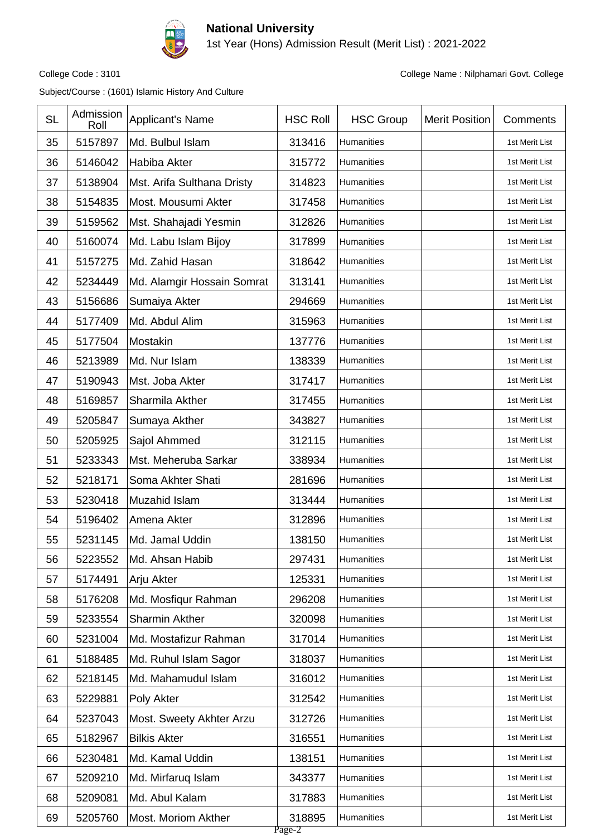

1st Year (Hons) Admission Result (Merit List) : 2021-2022

College Code : 3101 College Name : Nilphamari Govt. College

| <b>SL</b> | Admission<br>Roll | <b>Applicant's Name</b>    | <b>HSC Roll</b>  | <b>HSC Group</b>  | <b>Merit Position</b> | Comments       |
|-----------|-------------------|----------------------------|------------------|-------------------|-----------------------|----------------|
| 35        | 5157897           | Md. Bulbul Islam           | 313416           | <b>Humanities</b> |                       | 1st Merit List |
| 36        | 5146042           | Habiba Akter               | 315772           | Humanities        |                       | 1st Merit List |
| 37        | 5138904           | Mst. Arifa Sulthana Dristy | 314823           | Humanities        |                       | 1st Merit List |
| 38        | 5154835           | Most. Mousumi Akter        | 317458           | <b>Humanities</b> |                       | 1st Merit List |
| 39        | 5159562           | Mst. Shahajadi Yesmin      | 312826           | Humanities        |                       | 1st Merit List |
| 40        | 5160074           | Md. Labu Islam Bijoy       | 317899           | Humanities        |                       | 1st Merit List |
| 41        | 5157275           | Md. Zahid Hasan            | 318642           | Humanities        |                       | 1st Merit List |
| 42        | 5234449           | Md. Alamgir Hossain Somrat | 313141           | Humanities        |                       | 1st Merit List |
| 43        | 5156686           | Sumaiya Akter              | 294669           | Humanities        |                       | 1st Merit List |
| 44        | 5177409           | Md. Abdul Alim             | 315963           | Humanities        |                       | 1st Merit List |
| 45        | 5177504           | Mostakin                   | 137776           | Humanities        |                       | 1st Merit List |
| 46        | 5213989           | Md. Nur Islam              | 138339           | Humanities        |                       | 1st Merit List |
| 47        | 5190943           | Mst. Joba Akter            | 317417           | Humanities        |                       | 1st Merit List |
| 48        | 5169857           | Sharmila Akther            | 317455           | Humanities        |                       | 1st Merit List |
| 49        | 5205847           | Sumaya Akther              | 343827           | Humanities        |                       | 1st Merit List |
| 50        | 5205925           | Sajol Ahmmed               | 312115           | Humanities        |                       | 1st Merit List |
| 51        | 5233343           | Mst. Meheruba Sarkar       | 338934           | Humanities        |                       | 1st Merit List |
| 52        | 5218171           | Soma Akhter Shati          | 281696           | Humanities        |                       | 1st Merit List |
| 53        | 5230418           | Muzahid Islam              | 313444           | Humanities        |                       | 1st Merit List |
| 54        | 5196402           | Amena Akter                | 312896           | Humanities        |                       | 1st Merit List |
| 55        | 5231145           | Md. Jamal Uddin            | 138150           | Humanities        |                       | 1st Merit List |
| 56        | 5223552           | Md. Ahsan Habib            | 297431           | Humanities        |                       | 1st Merit List |
| 57        | 5174491           | Arju Akter                 | 125331           | Humanities        |                       | 1st Merit List |
| 58        | 5176208           | Md. Mosfiqur Rahman        | 296208           | Humanities        |                       | 1st Merit List |
| 59        | 5233554           | Sharmin Akther             | 320098           | Humanities        |                       | 1st Merit List |
| 60        | 5231004           | Md. Mostafizur Rahman      | 317014           | Humanities        |                       | 1st Merit List |
| 61        | 5188485           | Md. Ruhul Islam Sagor      | 318037           | Humanities        |                       | 1st Merit List |
| 62        | 5218145           | Md. Mahamudul Islam        | 316012           | Humanities        |                       | 1st Merit List |
| 63        | 5229881           | Poly Akter                 | 312542           | Humanities        |                       | 1st Merit List |
| 64        | 5237043           | Most. Sweety Akhter Arzu   | 312726           | Humanities        |                       | 1st Merit List |
| 65        | 5182967           | <b>Bilkis Akter</b>        | 316551           | Humanities        |                       | 1st Merit List |
| 66        | 5230481           | Md. Kamal Uddin            | 138151           | Humanities        |                       | 1st Merit List |
| 67        | 5209210           | Md. Mirfaruq Islam         | 343377           | Humanities        |                       | 1st Merit List |
| 68        | 5209081           | Md. Abul Kalam             | 317883           | Humanities        |                       | 1st Merit List |
| 69        | 5205760           | <b>Most. Moriom Akther</b> | 318895<br>Page-2 | Humanities        |                       | 1st Merit List |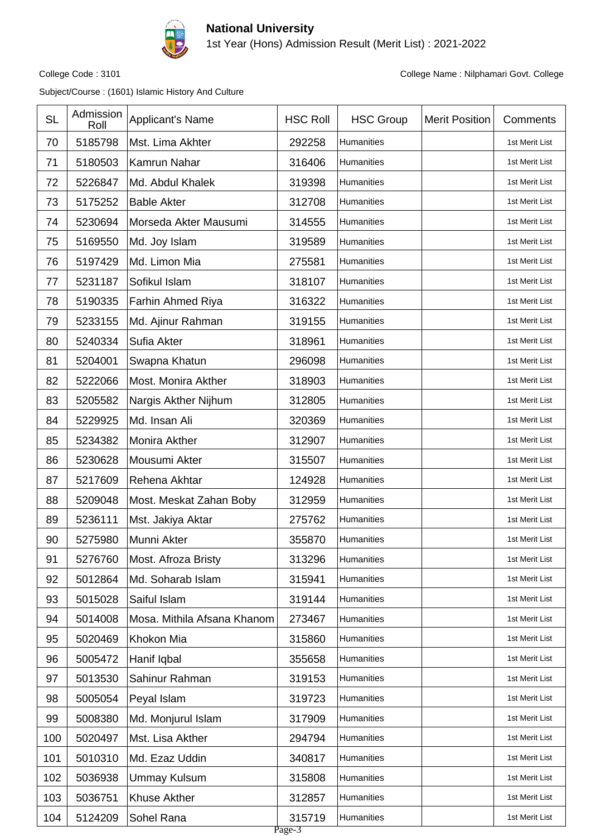

1st Year (Hons) Admission Result (Merit List) : 2021-2022

College Code : 3101 College Name : Nilphamari Govt. College

| <b>SL</b> | Admission<br>Roll | Applicant's Name            | <b>HSC Roll</b>  | <b>HSC Group</b> | <b>Merit Position</b> | Comments       |
|-----------|-------------------|-----------------------------|------------------|------------------|-----------------------|----------------|
| 70        | 5185798           | Mst. Lima Akhter            | 292258           | Humanities       |                       | 1st Merit List |
| 71        | 5180503           | Kamrun Nahar                | 316406           | Humanities       |                       | 1st Merit List |
| 72        | 5226847           | Md. Abdul Khalek            | 319398           | Humanities       |                       | 1st Merit List |
| 73        | 5175252           | <b>Bable Akter</b>          | 312708           | Humanities       |                       | 1st Merit List |
| 74        | 5230694           | Morseda Akter Mausumi       | 314555           | Humanities       |                       | 1st Merit List |
| 75        | 5169550           | Md. Joy Islam               | 319589           | Humanities       |                       | 1st Merit List |
| 76        | 5197429           | Md. Limon Mia               | 275581           | Humanities       |                       | 1st Merit List |
| 77        | 5231187           | Sofikul Islam               | 318107           | Humanities       |                       | 1st Merit List |
| 78        | 5190335           | Farhin Ahmed Riya           | 316322           | Humanities       |                       | 1st Merit List |
| 79        | 5233155           | Md. Ajinur Rahman           | 319155           | Humanities       |                       | 1st Merit List |
| 80        | 5240334           | Sufia Akter                 | 318961           | Humanities       |                       | 1st Merit List |
| 81        | 5204001           | Swapna Khatun               | 296098           | Humanities       |                       | 1st Merit List |
| 82        | 5222066           | Most. Monira Akther         | 318903           | Humanities       |                       | 1st Merit List |
| 83        | 5205582           | Nargis Akther Nijhum        | 312805           | Humanities       |                       | 1st Merit List |
| 84        | 5229925           | Md. Insan Ali               | 320369           | Humanities       |                       | 1st Merit List |
| 85        | 5234382           | Monira Akther               | 312907           | Humanities       |                       | 1st Merit List |
| 86        | 5230628           | Mousumi Akter               | 315507           | Humanities       |                       | 1st Merit List |
| 87        | 5217609           | Rehena Akhtar               | 124928           | Humanities       |                       | 1st Merit List |
| 88        | 5209048           | Most. Meskat Zahan Boby     | 312959           | Humanities       |                       | 1st Merit List |
| 89        | 5236111           | Mst. Jakiya Aktar           | 275762           | Humanities       |                       | 1st Merit List |
| 90        | 5275980           | Munni Akter                 | 355870           | Humanities       |                       | 1st Merit List |
| 91        | 5276760           | Most. Afroza Bristy         | 313296           | Humanities       |                       | 1st Merit List |
| 92        | 5012864           | Md. Soharab Islam           | 315941           | Humanities       |                       | 1st Merit List |
| 93        | 5015028           | Saiful Islam                | 319144           | Humanities       |                       | 1st Merit List |
| 94        | 5014008           | Mosa. Mithila Afsana Khanom | 273467           | Humanities       |                       | 1st Merit List |
| 95        | 5020469           | Khokon Mia                  | 315860           | Humanities       |                       | 1st Merit List |
| 96        | 5005472           | Hanif Iqbal                 | 355658           | Humanities       |                       | 1st Merit List |
| 97        | 5013530           | Sahinur Rahman              | 319153           | Humanities       |                       | 1st Merit List |
| 98        | 5005054           | Peyal Islam                 | 319723           | Humanities       |                       | 1st Merit List |
| 99        | 5008380           | Md. Monjurul Islam          | 317909           | Humanities       |                       | 1st Merit List |
| 100       | 5020497           | Mst. Lisa Akther            | 294794           | Humanities       |                       | 1st Merit List |
| 101       | 5010310           | Md. Ezaz Uddin              | 340817           | Humanities       |                       | 1st Merit List |
| 102       | 5036938           | <b>Ummay Kulsum</b>         | 315808           | Humanities       |                       | 1st Merit List |
| 103       | 5036751           | Khuse Akther                | 312857           | Humanities       |                       | 1st Merit List |
| 104       | 5124209           | Sohel Rana                  | 315719<br>Page-3 | Humanities       |                       | 1st Merit List |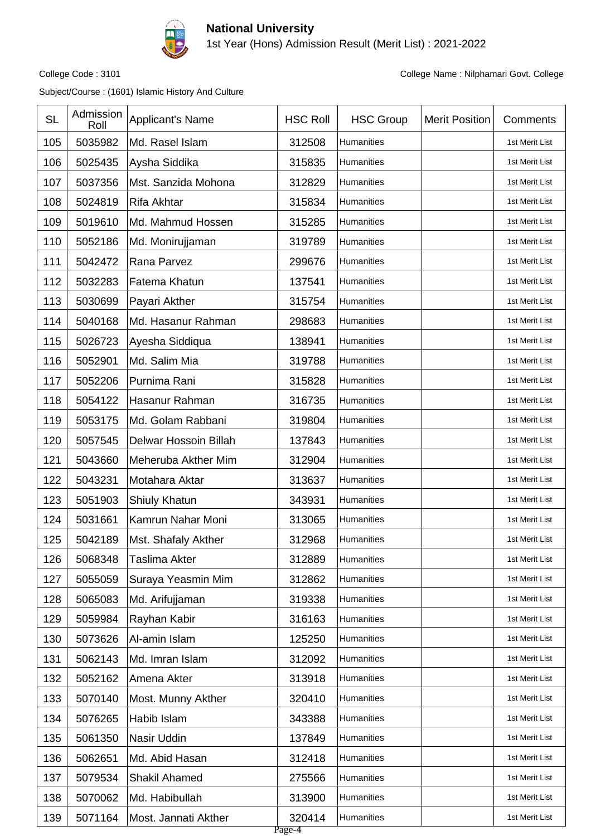

1st Year (Hons) Admission Result (Merit List) : 2021-2022

College Code : 3101 College Name : Nilphamari Govt. College

| <b>SL</b> | Admission<br>Roll | Applicant's Name      | <b>HSC Roll</b>  | <b>HSC Group</b>  | <b>Merit Position</b> | Comments       |
|-----------|-------------------|-----------------------|------------------|-------------------|-----------------------|----------------|
| 105       | 5035982           | Md. Rasel Islam       | 312508           | Humanities        |                       | 1st Merit List |
| 106       | 5025435           | Aysha Siddika         | 315835           | Humanities        |                       | 1st Merit List |
| 107       | 5037356           | Mst. Sanzida Mohona   | 312829           | Humanities        |                       | 1st Merit List |
| 108       | 5024819           | Rifa Akhtar           | 315834           | Humanities        |                       | 1st Merit List |
| 109       | 5019610           | Md. Mahmud Hossen     | 315285           | Humanities        |                       | 1st Merit List |
| 110       | 5052186           | Md. Monirujjaman      | 319789           | Humanities        |                       | 1st Merit List |
| 111       | 5042472           | Rana Parvez           | 299676           | <b>Humanities</b> |                       | 1st Merit List |
| 112       | 5032283           | Fatema Khatun         | 137541           | Humanities        |                       | 1st Merit List |
| 113       | 5030699           | Payari Akther         | 315754           | Humanities        |                       | 1st Merit List |
| 114       | 5040168           | Md. Hasanur Rahman    | 298683           | <b>Humanities</b> |                       | 1st Merit List |
| 115       | 5026723           | Ayesha Siddiqua       | 138941           | Humanities        |                       | 1st Merit List |
| 116       | 5052901           | Md. Salim Mia         | 319788           | Humanities        |                       | 1st Merit List |
| 117       | 5052206           | Purnima Rani          | 315828           | Humanities        |                       | 1st Merit List |
| 118       | 5054122           | Hasanur Rahman        | 316735           | Humanities        |                       | 1st Merit List |
| 119       | 5053175           | Md. Golam Rabbani     | 319804           | Humanities        |                       | 1st Merit List |
| 120       | 5057545           | Delwar Hossoin Billah | 137843           | Humanities        |                       | 1st Merit List |
| 121       | 5043660           | Meheruba Akther Mim   | 312904           | Humanities        |                       | 1st Merit List |
| 122       | 5043231           | Motahara Aktar        | 313637           | Humanities        |                       | 1st Merit List |
| 123       | 5051903           | Shiuly Khatun         | 343931           | <b>Humanities</b> |                       | 1st Merit List |
| 124       | 5031661           | Kamrun Nahar Moni     | 313065           | Humanities        |                       | 1st Merit List |
| 125       | 5042189           | Mst. Shafaly Akther   | 312968           | <b>Humanities</b> |                       | 1st Merit List |
| 126       | 5068348           | Taslima Akter         | 312889           | Humanities        |                       | 1st Merit List |
| 127       | 5055059           | Suraya Yeasmin Mim    | 312862           | Humanities        |                       | 1st Merit List |
| 128       | 5065083           | Md. Arifujjaman       | 319338           | Humanities        |                       | 1st Merit List |
| 129       | 5059984           | Rayhan Kabir          | 316163           | Humanities        |                       | 1st Merit List |
| 130       | 5073626           | Al-amin Islam         | 125250           | Humanities        |                       | 1st Merit List |
| 131       | 5062143           | Md. Imran Islam       | 312092           | Humanities        |                       | 1st Merit List |
| 132       | 5052162           | Amena Akter           | 313918           | Humanities        |                       | 1st Merit List |
| 133       | 5070140           | Most. Munny Akther    | 320410           | Humanities        |                       | 1st Merit List |
| 134       | 5076265           | Habib Islam           | 343388           | Humanities        |                       | 1st Merit List |
| 135       | 5061350           | Nasir Uddin           | 137849           | Humanities        |                       | 1st Merit List |
| 136       | 5062651           | Md. Abid Hasan        | 312418           | Humanities        |                       | 1st Merit List |
| 137       | 5079534           | <b>Shakil Ahamed</b>  | 275566           | Humanities        |                       | 1st Merit List |
| 138       | 5070062           | Md. Habibullah        | 313900           | Humanities        |                       | 1st Merit List |
| 139       | 5071164           | Most. Jannati Akther  | 320414<br>Page-4 | Humanities        |                       | 1st Merit List |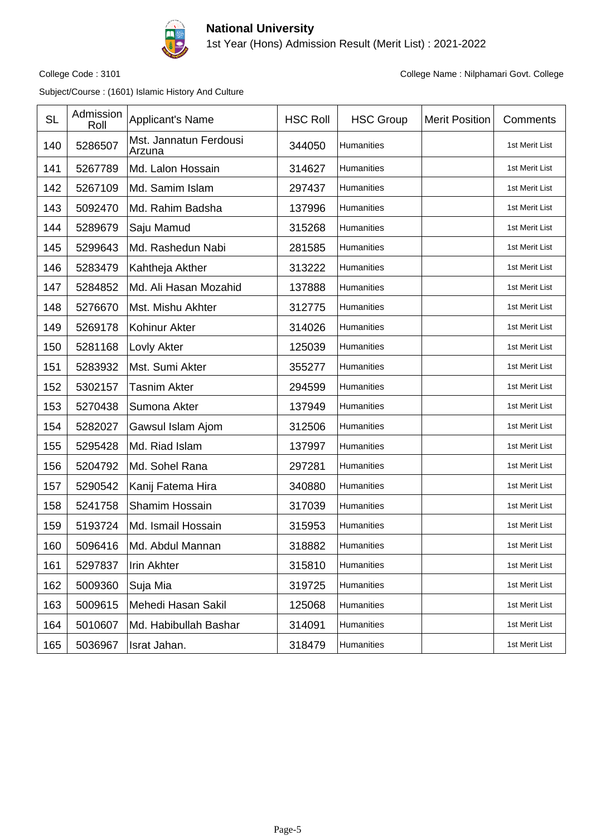

1st Year (Hons) Admission Result (Merit List) : 2021-2022

College Code : 3101 College Name : Nilphamari Govt. College

| <b>SL</b> | Admission<br>Roll | Applicant's Name                 | <b>HSC Roll</b> | <b>HSC Group</b> | <b>Merit Position</b> | Comments       |
|-----------|-------------------|----------------------------------|-----------------|------------------|-----------------------|----------------|
| 140       | 5286507           | Mst. Jannatun Ferdousi<br>Arzuna | 344050          | Humanities       |                       | 1st Merit List |
| 141       | 5267789           | Md. Lalon Hossain                | 314627          | Humanities       |                       | 1st Merit List |
| 142       | 5267109           | Md. Samim Islam                  | 297437          | Humanities       |                       | 1st Merit List |
| 143       | 5092470           | Md. Rahim Badsha                 | 137996          | Humanities       |                       | 1st Merit List |
| 144       | 5289679           | Saju Mamud                       | 315268          | Humanities       |                       | 1st Merit List |
| 145       | 5299643           | Md. Rashedun Nabi                | 281585          | Humanities       |                       | 1st Merit List |
| 146       | 5283479           | Kahtheja Akther                  | 313222          | Humanities       |                       | 1st Merit List |
| 147       | 5284852           | Md. Ali Hasan Mozahid            | 137888          | Humanities       |                       | 1st Merit List |
| 148       | 5276670           | Mst. Mishu Akhter                | 312775          | Humanities       |                       | 1st Merit List |
| 149       | 5269178           | Kohinur Akter                    | 314026          | Humanities       |                       | 1st Merit List |
| 150       | 5281168           | Lovly Akter                      | 125039          | Humanities       |                       | 1st Merit List |
| 151       | 5283932           | Mst. Sumi Akter                  | 355277          | Humanities       |                       | 1st Merit List |
| 152       | 5302157           | <b>Tasnim Akter</b>              | 294599          | Humanities       |                       | 1st Merit List |
| 153       | 5270438           | Sumona Akter                     | 137949          | Humanities       |                       | 1st Merit List |
| 154       | 5282027           | Gawsul Islam Ajom                | 312506          | Humanities       |                       | 1st Merit List |
| 155       | 5295428           | Md. Riad Islam                   | 137997          | Humanities       |                       | 1st Merit List |
| 156       | 5204792           | Md. Sohel Rana                   | 297281          | Humanities       |                       | 1st Merit List |
| 157       | 5290542           | Kanij Fatema Hira                | 340880          | Humanities       |                       | 1st Merit List |
| 158       | 5241758           | Shamim Hossain                   | 317039          | Humanities       |                       | 1st Merit List |
| 159       | 5193724           | Md. Ismail Hossain               | 315953          | Humanities       |                       | 1st Merit List |
| 160       | 5096416           | Md. Abdul Mannan                 | 318882          | Humanities       |                       | 1st Merit List |
| 161       | 5297837           | Irin Akhter                      | 315810          | Humanities       |                       | 1st Merit List |
| 162       | 5009360           | Suja Mia                         | 319725          | Humanities       |                       | 1st Merit List |
| 163       | 5009615           | Mehedi Hasan Sakil               | 125068          | Humanities       |                       | 1st Merit List |
| 164       | 5010607           | Md. Habibullah Bashar            | 314091          | Humanities       |                       | 1st Merit List |
| 165       | 5036967           | Israt Jahan.                     | 318479          | Humanities       |                       | 1st Merit List |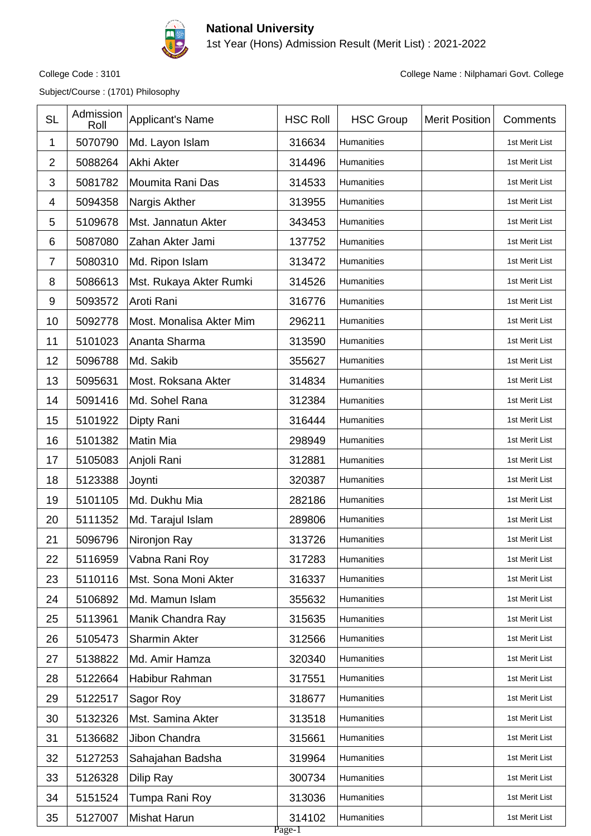

1st Year (Hons) Admission Result (Merit List) : 2021-2022

Subject/Course : (1701) Philosophy

| 1              | 5070790 |                          |                  |            | Comments       |
|----------------|---------|--------------------------|------------------|------------|----------------|
|                |         | Md. Layon Islam          | 316634           | Humanities | 1st Merit List |
| $\overline{2}$ | 5088264 | Akhi Akter               | 314496           | Humanities | 1st Merit List |
| 3              | 5081782 | Moumita Rani Das         | 314533           | Humanities | 1st Merit List |
| 4              | 5094358 | Nargis Akther            | 313955           | Humanities | 1st Merit List |
| 5              | 5109678 | Mst. Jannatun Akter      | 343453           | Humanities | 1st Merit List |
| $\,6$          | 5087080 | Zahan Akter Jami         | 137752           | Humanities | 1st Merit List |
| $\overline{7}$ | 5080310 | Md. Ripon Islam          | 313472           | Humanities | 1st Merit List |
| 8              | 5086613 | Mst. Rukaya Akter Rumki  | 314526           | Humanities | 1st Merit List |
| 9              | 5093572 | Aroti Rani               | 316776           | Humanities | 1st Merit List |
| 10             | 5092778 | Most. Monalisa Akter Mim | 296211           | Humanities | 1st Merit List |
| 11             | 5101023 | Ananta Sharma            | 313590           | Humanities | 1st Merit List |
| 12             | 5096788 | Md. Sakib                | 355627           | Humanities | 1st Merit List |
| 13             | 5095631 | Most. Roksana Akter      | 314834           | Humanities | 1st Merit List |
| 14             | 5091416 | Md. Sohel Rana           | 312384           | Humanities | 1st Merit List |
| 15             | 5101922 | Dipty Rani               | 316444           | Humanities | 1st Merit List |
| 16             | 5101382 | <b>Matin Mia</b>         | 298949           | Humanities | 1st Merit List |
| 17             | 5105083 | Anjoli Rani              | 312881           | Humanities | 1st Merit List |
| 18             | 5123388 | Joynti                   | 320387           | Humanities | 1st Merit List |
| 19             | 5101105 | Md. Dukhu Mia            | 282186           | Humanities | 1st Merit List |
| 20             | 5111352 | Md. Tarajul Islam        | 289806           | Humanities | 1st Merit List |
| 21             | 5096796 | Nironjon Ray             | 313726           | Humanities | 1st Merit List |
| 22             | 5116959 | Vabna Rani Roy           | 317283           | Humanities | 1st Merit List |
| 23             | 5110116 | Mst. Sona Moni Akter     | 316337           | Humanities | 1st Merit List |
| 24             | 5106892 | Md. Mamun Islam          | 355632           | Humanities | 1st Merit List |
| 25             | 5113961 | Manik Chandra Ray        | 315635           | Humanities | 1st Merit List |
| 26             | 5105473 | Sharmin Akter            | 312566           | Humanities | 1st Merit List |
| 27             | 5138822 | Md. Amir Hamza           | 320340           | Humanities | 1st Merit List |
| 28             | 5122664 | Habibur Rahman           | 317551           | Humanities | 1st Merit List |
| 29             | 5122517 | Sagor Roy                | 318677           | Humanities | 1st Merit List |
| 30             | 5132326 | Mst. Samina Akter        | 313518           | Humanities | 1st Merit List |
| 31             | 5136682 | Jibon Chandra            | 315661           | Humanities | 1st Merit List |
| 32             | 5127253 | Sahajahan Badsha         | 319964           | Humanities | 1st Merit List |
| 33             | 5126328 | Dilip Ray                | 300734           | Humanities | 1st Merit List |
| 34             | 5151524 | Tumpa Rani Roy           | 313036           | Humanities | 1st Merit List |
| 35             | 5127007 | <b>Mishat Harun</b>      | 314102<br>Page-1 | Humanities | 1st Merit List |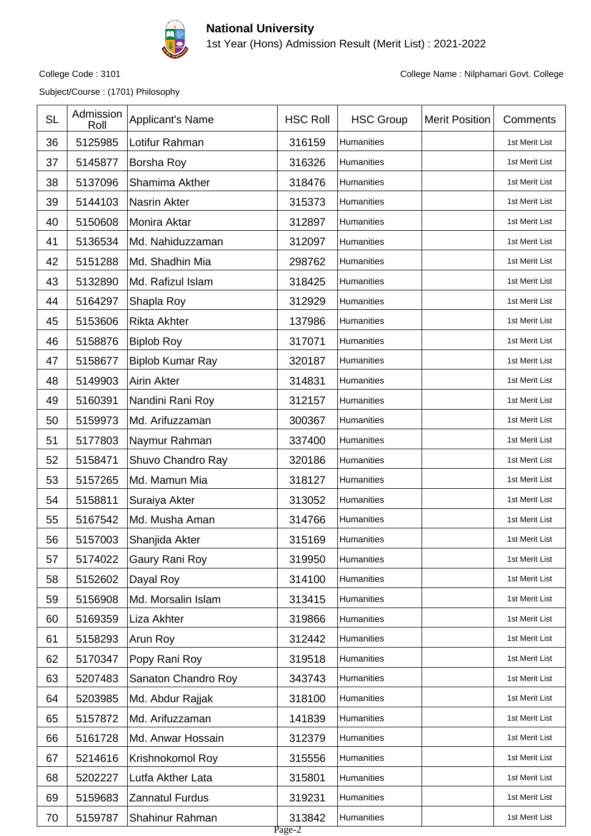

1st Year (Hons) Admission Result (Merit List) : 2021-2022

Subject/Course : (1701) Philosophy

| <b>SL</b> | Admission<br>Roll | Applicant's Name        | <b>HSC Roll</b>  | <b>HSC Group</b>  | <b>Merit Position</b> | Comments       |
|-----------|-------------------|-------------------------|------------------|-------------------|-----------------------|----------------|
| 36        | 5125985           | Lotifur Rahman          | 316159           | Humanities        |                       | 1st Merit List |
| 37        | 5145877           | Borsha Roy              | 316326           | <b>Humanities</b> |                       | 1st Merit List |
| 38        | 5137096           | Shamima Akther          | 318476           | Humanities        |                       | 1st Merit List |
| 39        | 5144103           | Nasrin Akter            | 315373           | Humanities        |                       | 1st Merit List |
| 40        | 5150608           | Monira Aktar            | 312897           | <b>Humanities</b> |                       | 1st Merit List |
| 41        | 5136534           | Md. Nahiduzzaman        | 312097           | Humanities        |                       | 1st Merit List |
| 42        | 5151288           | Md. Shadhin Mia         | 298762           | Humanities        |                       | 1st Merit List |
| 43        | 5132890           | Md. Rafizul Islam       | 318425           | Humanities        |                       | 1st Merit List |
| 44        | 5164297           | Shapla Roy              | 312929           | Humanities        |                       | 1st Merit List |
| 45        | 5153606           | <b>Rikta Akhter</b>     | 137986           | Humanities        |                       | 1st Merit List |
| 46        | 5158876           | <b>Biplob Roy</b>       | 317071           | Humanities        |                       | 1st Merit List |
| 47        | 5158677           | <b>Biplob Kumar Ray</b> | 320187           | Humanities        |                       | 1st Merit List |
| 48        | 5149903           | <b>Airin Akter</b>      | 314831           | Humanities        |                       | 1st Merit List |
| 49        | 5160391           | Nandini Rani Roy        | 312157           | Humanities        |                       | 1st Merit List |
| 50        | 5159973           | Md. Arifuzzaman         | 300367           | Humanities        |                       | 1st Merit List |
| 51        | 5177803           | Naymur Rahman           | 337400           | Humanities        |                       | 1st Merit List |
| 52        | 5158471           | Shuvo Chandro Ray       | 320186           | Humanities        |                       | 1st Merit List |
| 53        | 5157265           | Md. Mamun Mia           | 318127           | Humanities        |                       | 1st Merit List |
| 54        | 5158811           | Suraiya Akter           | 313052           | Humanities        |                       | 1st Merit List |
| 55        | 5167542           | Md. Musha Aman          | 314766           | Humanities        |                       | 1st Merit List |
| 56        | 5157003           | Shanjida Akter          | 315169           | Humanities        |                       | 1st Merit List |
| 57        | 5174022           | Gaury Rani Roy          | 319950           | Humanities        |                       | 1st Merit List |
| 58        | 5152602           | Dayal Roy               | 314100           | Humanities        |                       | 1st Merit List |
| 59        | 5156908           | Md. Morsalin Islam      | 313415           | Humanities        |                       | 1st Merit List |
| 60        | 5169359           | Liza Akhter             | 319866           | Humanities        |                       | 1st Merit List |
| 61        | 5158293           | Arun Roy                | 312442           | Humanities        |                       | 1st Merit List |
| 62        | 5170347           | Popy Rani Roy           | 319518           | Humanities        |                       | 1st Merit List |
| 63        | 5207483           | Sanaton Chandro Roy     | 343743           | Humanities        |                       | 1st Merit List |
| 64        | 5203985           | Md. Abdur Rajjak        | 318100           | Humanities        |                       | 1st Merit List |
| 65        | 5157872           | Md. Arifuzzaman         | 141839           | Humanities        |                       | 1st Merit List |
| 66        | 5161728           | Md. Anwar Hossain       | 312379           | Humanities        |                       | 1st Merit List |
| 67        | 5214616           | Krishnokomol Roy        | 315556           | Humanities        |                       | 1st Merit List |
| 68        | 5202227           | Lutfa Akther Lata       | 315801           | Humanities        |                       | 1st Merit List |
| 69        | 5159683           | Zannatul Furdus         | 319231           | Humanities        |                       | 1st Merit List |
| 70        | 5159787           | Shahinur Rahman         | 313842<br>Page-2 | Humanities        |                       | 1st Merit List |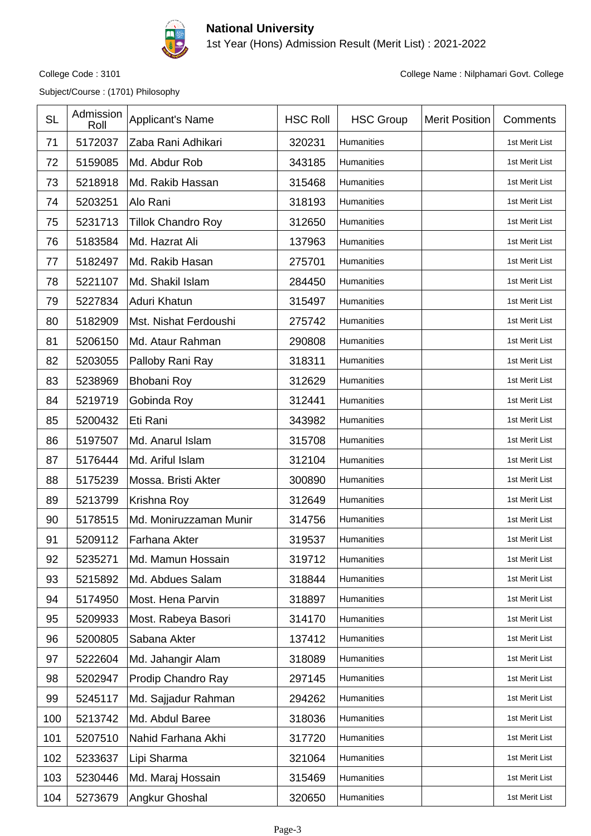

1st Year (Hons) Admission Result (Merit List) : 2021-2022

Subject/Course : (1701) Philosophy

| <b>SL</b> | Admission<br>Roll | <b>Applicant's Name</b>   | <b>HSC Roll</b> | <b>HSC Group</b> | <b>Merit Position</b> | Comments       |
|-----------|-------------------|---------------------------|-----------------|------------------|-----------------------|----------------|
| 71        | 5172037           | Zaba Rani Adhikari        | 320231          | Humanities       |                       | 1st Merit List |
| 72        | 5159085           | Md. Abdur Rob             | 343185          | Humanities       |                       | 1st Merit List |
| 73        | 5218918           | Md. Rakib Hassan          | 315468          | Humanities       |                       | 1st Merit List |
| 74        | 5203251           | Alo Rani                  | 318193          | Humanities       |                       | 1st Merit List |
| 75        | 5231713           | <b>Tillok Chandro Roy</b> | 312650          | Humanities       |                       | 1st Merit List |
| 76        | 5183584           | Md. Hazrat Ali            | 137963          | Humanities       |                       | 1st Merit List |
| 77        | 5182497           | Md. Rakib Hasan           | 275701          | Humanities       |                       | 1st Merit List |
| 78        | 5221107           | Md. Shakil Islam          | 284450          | Humanities       |                       | 1st Merit List |
| 79        | 5227834           | Aduri Khatun              | 315497          | Humanities       |                       | 1st Merit List |
| 80        | 5182909           | Mst. Nishat Ferdoushi     | 275742          | Humanities       |                       | 1st Merit List |
| 81        | 5206150           | Md. Ataur Rahman          | 290808          | Humanities       |                       | 1st Merit List |
| 82        | 5203055           | Palloby Rani Ray          | 318311          | Humanities       |                       | 1st Merit List |
| 83        | 5238969           | <b>Bhobani Roy</b>        | 312629          | Humanities       |                       | 1st Merit List |
| 84        | 5219719           | Gobinda Roy               | 312441          | Humanities       |                       | 1st Merit List |
| 85        | 5200432           | Eti Rani                  | 343982          | Humanities       |                       | 1st Merit List |
| 86        | 5197507           | Md. Anarul Islam          | 315708          | Humanities       |                       | 1st Merit List |
| 87        | 5176444           | Md. Ariful Islam          | 312104          | Humanities       |                       | 1st Merit List |
| 88        | 5175239           | Mossa. Bristi Akter       | 300890          | Humanities       |                       | 1st Merit List |
| 89        | 5213799           | Krishna Roy               | 312649          | Humanities       |                       | 1st Merit List |
| 90        | 5178515           | Md. Moniruzzaman Munir    | 314756          | Humanities       |                       | 1st Merit List |
| 91        | 5209112           | Farhana Akter             | 319537          | Humanities       |                       | 1st Merit List |
| 92        | 5235271           | Md. Mamun Hossain         | 319712          | Humanities       |                       | 1st Merit List |
| 93        | 5215892           | Md. Abdues Salam          | 318844          | Humanities       |                       | 1st Merit List |
| 94        | 5174950           | Most. Hena Parvin         | 318897          | Humanities       |                       | 1st Merit List |
| 95        | 5209933           | Most. Rabeya Basori       | 314170          | Humanities       |                       | 1st Merit List |
| 96        | 5200805           | Sabana Akter              | 137412          | Humanities       |                       | 1st Merit List |
| 97        | 5222604           | Md. Jahangir Alam         | 318089          | Humanities       |                       | 1st Merit List |
| 98        | 5202947           | Prodip Chandro Ray        | 297145          | Humanities       |                       | 1st Merit List |
| 99        | 5245117           | Md. Sajjadur Rahman       | 294262          | Humanities       |                       | 1st Merit List |
| 100       | 5213742           | Md. Abdul Baree           | 318036          | Humanities       |                       | 1st Merit List |
| 101       | 5207510           | Nahid Farhana Akhi        | 317720          | Humanities       |                       | 1st Merit List |
| 102       | 5233637           | Lipi Sharma               | 321064          | Humanities       |                       | 1st Merit List |
| 103       | 5230446           | Md. Maraj Hossain         | 315469          | Humanities       |                       | 1st Merit List |
| 104       | 5273679           | Angkur Ghoshal            | 320650          | Humanities       |                       | 1st Merit List |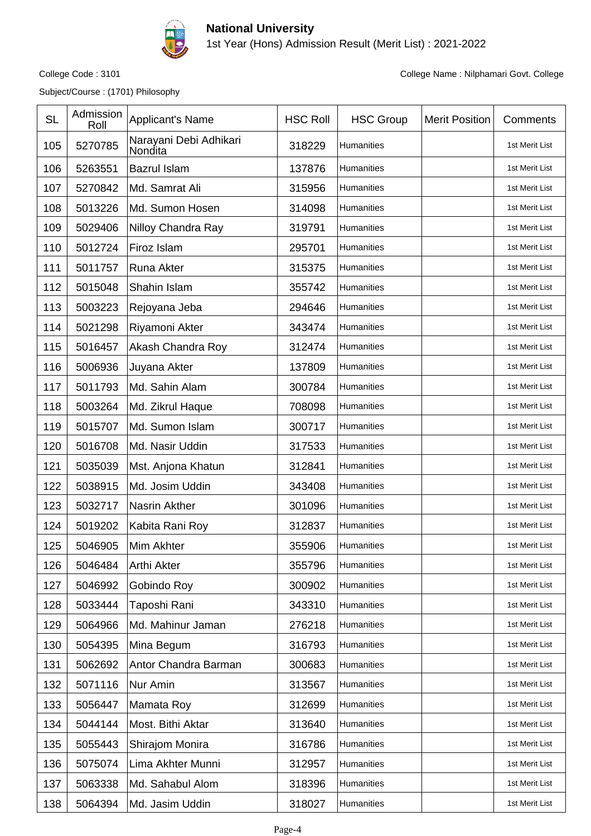

1st Year (Hons) Admission Result (Merit List) : 2021-2022

Subject/Course : (1701) Philosophy

| <b>SL</b> | Admission<br>Roll | Applicant's Name                  | <b>HSC Roll</b> | <b>HSC Group</b> | <b>Merit Position</b> | Comments       |
|-----------|-------------------|-----------------------------------|-----------------|------------------|-----------------------|----------------|
| 105       | 5270785           | Narayani Debi Adhikari<br>Nondita | 318229          | Humanities       |                       | 1st Merit List |
| 106       | 5263551           | <b>Bazrul Islam</b>               | 137876          | Humanities       |                       | 1st Merit List |
| 107       | 5270842           | Md. Samrat Ali                    | 315956          | Humanities       |                       | 1st Merit List |
| 108       | 5013226           | Md. Sumon Hosen                   | 314098          | Humanities       |                       | 1st Merit List |
| 109       | 5029406           | Nilloy Chandra Ray                | 319791          | Humanities       |                       | 1st Merit List |
| 110       | 5012724           | Firoz Islam                       | 295701          | Humanities       |                       | 1st Merit List |
| 111       | 5011757           | Runa Akter                        | 315375          | Humanities       |                       | 1st Merit List |
| 112       | 5015048           | Shahin Islam                      | 355742          | Humanities       |                       | 1st Merit List |
| 113       | 5003223           | Rejoyana Jeba                     | 294646          | Humanities       |                       | 1st Merit List |
| 114       | 5021298           | Riyamoni Akter                    | 343474          | Humanities       |                       | 1st Merit List |
| 115       | 5016457           | Akash Chandra Roy                 | 312474          | Humanities       |                       | 1st Merit List |
| 116       | 5006936           | Juyana Akter                      | 137809          | Humanities       |                       | 1st Merit List |
| 117       | 5011793           | Md. Sahin Alam                    | 300784          | Humanities       |                       | 1st Merit List |
| 118       | 5003264           | Md. Zikrul Haque                  | 708098          | Humanities       |                       | 1st Merit List |
| 119       | 5015707           | Md. Sumon Islam                   | 300717          | Humanities       |                       | 1st Merit List |
| 120       | 5016708           | Md. Nasir Uddin                   | 317533          | Humanities       |                       | 1st Merit List |
| 121       | 5035039           | Mst. Anjona Khatun                | 312841          | Humanities       |                       | 1st Merit List |
| 122       | 5038915           | Md. Josim Uddin                   | 343408          | Humanities       |                       | 1st Merit List |
| 123       | 5032717           | Nasrin Akther                     | 301096          | Humanities       |                       | 1st Merit List |
| 124       | 5019202           | Kabita Rani Roy                   | 312837          | Humanities       |                       | 1st Merit List |
| 125       | 5046905           | Mim Akhter                        | 355906          | Humanities       |                       | 1st Merit List |
| 126       | 5046484           | Arthi Akter                       | 355796          | Humanities       |                       | 1st Merit List |
| 127       | 5046992           | Gobindo Roy                       | 300902          | Humanities       |                       | 1st Merit List |
| 128       | 5033444           | Taposhi Rani                      | 343310          | Humanities       |                       | 1st Merit List |
| 129       | 5064966           | Md. Mahinur Jaman                 | 276218          | Humanities       |                       | 1st Merit List |
| 130       | 5054395           | Mina Begum                        | 316793          | Humanities       |                       | 1st Merit List |
| 131       | 5062692           | Antor Chandra Barman              | 300683          | Humanities       |                       | 1st Merit List |
| 132       | 5071116           | Nur Amin                          | 313567          | Humanities       |                       | 1st Merit List |
| 133       | 5056447           | Mamata Roy                        | 312699          | Humanities       |                       | 1st Merit List |
| 134       | 5044144           | Most. Bithi Aktar                 | 313640          | Humanities       |                       | 1st Merit List |
| 135       | 5055443           | Shirajom Monira                   | 316786          | Humanities       |                       | 1st Merit List |
| 136       | 5075074           | Lima Akhter Munni                 | 312957          | Humanities       |                       | 1st Merit List |
| 137       | 5063338           | Md. Sahabul Alom                  | 318396          | Humanities       |                       | 1st Merit List |
| 138       | 5064394           | Md. Jasim Uddin                   | 318027          | Humanities       |                       | 1st Merit List |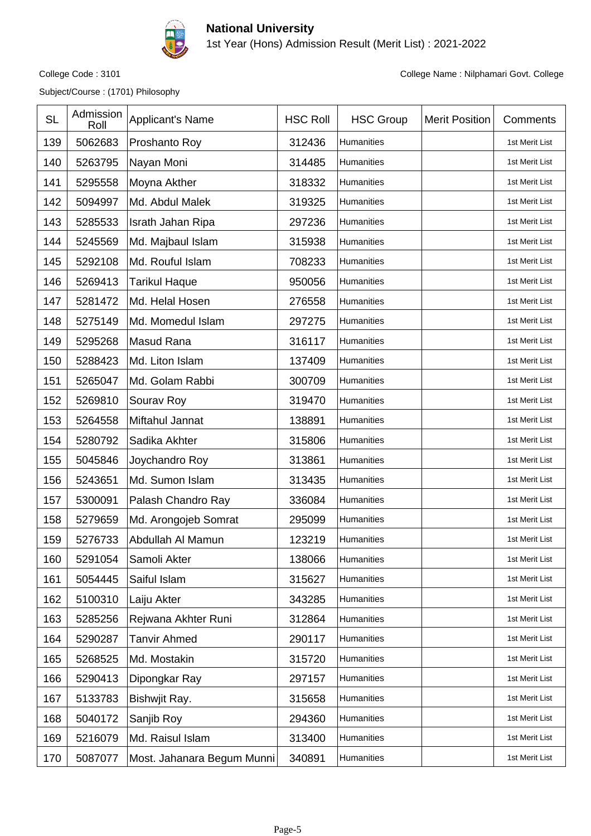

1st Year (Hons) Admission Result (Merit List) : 2021-2022

Subject/Course : (1701) Philosophy

| <b>SL</b> | Admission<br>Roll | <b>Applicant's Name</b>    | <b>HSC Roll</b> | <b>HSC Group</b> | <b>Merit Position</b> | Comments       |
|-----------|-------------------|----------------------------|-----------------|------------------|-----------------------|----------------|
| 139       | 5062683           | Proshanto Roy              | 312436          | Humanities       |                       | 1st Merit List |
| 140       | 5263795           | Nayan Moni                 | 314485          | Humanities       |                       | 1st Merit List |
| 141       | 5295558           | Moyna Akther               | 318332          | Humanities       |                       | 1st Merit List |
| 142       | 5094997           | Md. Abdul Malek            | 319325          | Humanities       |                       | 1st Merit List |
| 143       | 5285533           | Israth Jahan Ripa          | 297236          | Humanities       |                       | 1st Merit List |
| 144       | 5245569           | Md. Majbaul Islam          | 315938          | Humanities       |                       | 1st Merit List |
| 145       | 5292108           | Md. Rouful Islam           | 708233          | Humanities       |                       | 1st Merit List |
| 146       | 5269413           | <b>Tarikul Haque</b>       | 950056          | Humanities       |                       | 1st Merit List |
| 147       | 5281472           | Md. Helal Hosen            | 276558          | Humanities       |                       | 1st Merit List |
| 148       | 5275149           | Md. Momedul Islam          | 297275          | Humanities       |                       | 1st Merit List |
| 149       | 5295268           | Masud Rana                 | 316117          | Humanities       |                       | 1st Merit List |
| 150       | 5288423           | Md. Liton Islam            | 137409          | Humanities       |                       | 1st Merit List |
| 151       | 5265047           | Md. Golam Rabbi            | 300709          | Humanities       |                       | 1st Merit List |
| 152       | 5269810           | Sourav Roy                 | 319470          | Humanities       |                       | 1st Merit List |
| 153       | 5264558           | Miftahul Jannat            | 138891          | Humanities       |                       | 1st Merit List |
| 154       | 5280792           | Sadika Akhter              | 315806          | Humanities       |                       | 1st Merit List |
| 155       | 5045846           | Joychandro Roy             | 313861          | Humanities       |                       | 1st Merit List |
| 156       | 5243651           | Md. Sumon Islam            | 313435          | Humanities       |                       | 1st Merit List |
| 157       | 5300091           | Palash Chandro Ray         | 336084          | Humanities       |                       | 1st Merit List |
| 158       | 5279659           | Md. Arongojeb Somrat       | 295099          | Humanities       |                       | 1st Merit List |
| 159       | 5276733           | Abdullah Al Mamun          | 123219          | Humanities       |                       | 1st Merit List |
| 160       | 5291054           | Samoli Akter               | 138066          | Humanities       |                       | 1st Merit List |
| 161       | 5054445           | Saiful Islam               | 315627          | Humanities       |                       | 1st Merit List |
| 162       | 5100310           | Laiju Akter                | 343285          | Humanities       |                       | 1st Merit List |
| 163       | 5285256           | Rejwana Akhter Runi        | 312864          | Humanities       |                       | 1st Merit List |
| 164       | 5290287           | <b>Tanvir Ahmed</b>        | 290117          | Humanities       |                       | 1st Merit List |
| 165       | 5268525           | Md. Mostakin               | 315720          | Humanities       |                       | 1st Merit List |
| 166       | 5290413           | Dipongkar Ray              | 297157          | Humanities       |                       | 1st Merit List |
| 167       | 5133783           | Bishwjit Ray.              | 315658          | Humanities       |                       | 1st Merit List |
| 168       | 5040172           | Sanjib Roy                 | 294360          | Humanities       |                       | 1st Merit List |
| 169       | 5216079           | Md. Raisul Islam           | 313400          | Humanities       |                       | 1st Merit List |
| 170       | 5087077           | Most. Jahanara Begum Munni | 340891          | Humanities       |                       | 1st Merit List |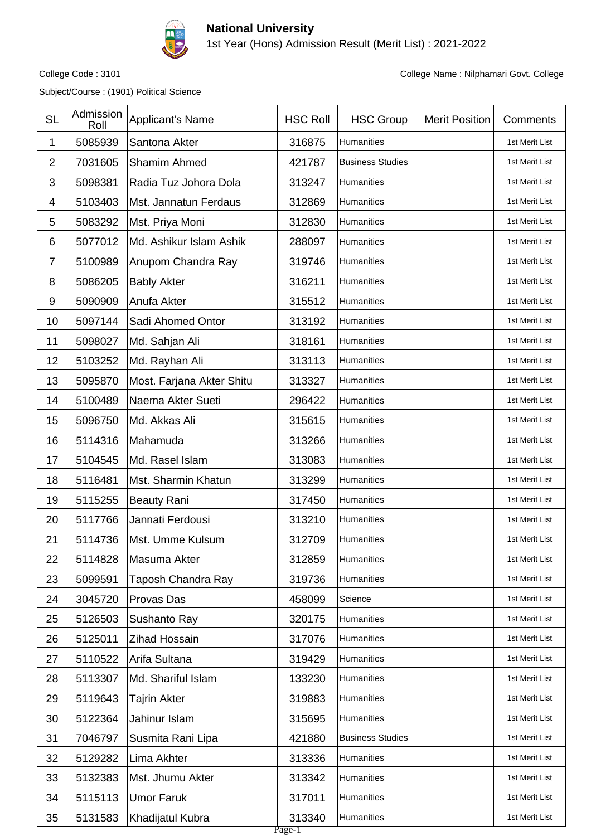

1st Year (Hons) Admission Result (Merit List) : 2021-2022

Subject/Course : (1901) Political Science

| <b>SL</b>       | Admission<br>Roll | Applicant's Name          | <b>HSC Roll</b>  | <b>HSC Group</b>        | <b>Merit Position</b> | Comments       |
|-----------------|-------------------|---------------------------|------------------|-------------------------|-----------------------|----------------|
| 1               | 5085939           | Santona Akter             | 316875           | Humanities              |                       | 1st Merit List |
| $\overline{2}$  | 7031605           | Shamim Ahmed              | 421787           | <b>Business Studies</b> |                       | 1st Merit List |
| 3               | 5098381           | Radia Tuz Johora Dola     | 313247           | Humanities              |                       | 1st Merit List |
| 4               | 5103403           | Mst. Jannatun Ferdaus     | 312869           | Humanities              |                       | 1st Merit List |
| 5               | 5083292           | Mst. Priya Moni           | 312830           | Humanities              |                       | 1st Merit List |
| $6\phantom{1}6$ | 5077012           | Md. Ashikur Islam Ashik   | 288097           | Humanities              |                       | 1st Merit List |
| $\overline{7}$  | 5100989           | Anupom Chandra Ray        | 319746           | Humanities              |                       | 1st Merit List |
| 8               | 5086205           | <b>Bably Akter</b>        | 316211           | Humanities              |                       | 1st Merit List |
| 9               | 5090909           | Anufa Akter               | 315512           | Humanities              |                       | 1st Merit List |
| 10              | 5097144           | Sadi Ahomed Ontor         | 313192           | Humanities              |                       | 1st Merit List |
| 11              | 5098027           | Md. Sahjan Ali            | 318161           | Humanities              |                       | 1st Merit List |
| 12              | 5103252           | Md. Rayhan Ali            | 313113           | Humanities              |                       | 1st Merit List |
| 13              | 5095870           | Most. Farjana Akter Shitu | 313327           | Humanities              |                       | 1st Merit List |
| 14              | 5100489           | Naema Akter Sueti         | 296422           | Humanities              |                       | 1st Merit List |
| 15              | 5096750           | Md. Akkas Ali             | 315615           | Humanities              |                       | 1st Merit List |
| 16              | 5114316           | Mahamuda                  | 313266           | Humanities              |                       | 1st Merit List |
| 17              | 5104545           | Md. Rasel Islam           | 313083           | Humanities              |                       | 1st Merit List |
| 18              | 5116481           | Mst. Sharmin Khatun       | 313299           | Humanities              |                       | 1st Merit List |
| 19              | 5115255           | <b>Beauty Rani</b>        | 317450           | Humanities              |                       | 1st Merit List |
| 20              | 5117766           | Jannati Ferdousi          | 313210           | Humanities              |                       | 1st Merit List |
| 21              | 5114736           | Mst. Umme Kulsum          | 312709           | Humanities              |                       | 1st Merit List |
| 22              | 5114828           | Masuma Akter              | 312859           | Humanities              |                       | 1st Merit List |
| 23              | 5099591           | Taposh Chandra Ray        | 319736           | Humanities              |                       | 1st Merit List |
| 24              | 3045720           | Provas Das                | 458099           | Science                 |                       | 1st Merit List |
| 25              | 5126503           | Sushanto Ray              | 320175           | Humanities              |                       | 1st Merit List |
| 26              | 5125011           | Zihad Hossain             | 317076           | Humanities              |                       | 1st Merit List |
| 27              | 5110522           | Arifa Sultana             | 319429           | Humanities              |                       | 1st Merit List |
| 28              | 5113307           | Md. Shariful Islam        | 133230           | Humanities              |                       | 1st Merit List |
| 29              | 5119643           | Tajrin Akter              | 319883           | Humanities              |                       | 1st Merit List |
| 30              | 5122364           | Jahinur Islam             | 315695           | Humanities              |                       | 1st Merit List |
| 31              | 7046797           | Susmita Rani Lipa         | 421880           | <b>Business Studies</b> |                       | 1st Merit List |
| 32              | 5129282           | Lima Akhter               | 313336           | Humanities              |                       | 1st Merit List |
| 33              | 5132383           | Mst. Jhumu Akter          | 313342           | Humanities              |                       | 1st Merit List |
| 34              | 5115113           | <b>Umor Faruk</b>         | 317011           | Humanities              |                       | 1st Merit List |
| 35              | 5131583           | Khadijatul Kubra          | 313340<br>Page-1 | Humanities              |                       | 1st Merit List |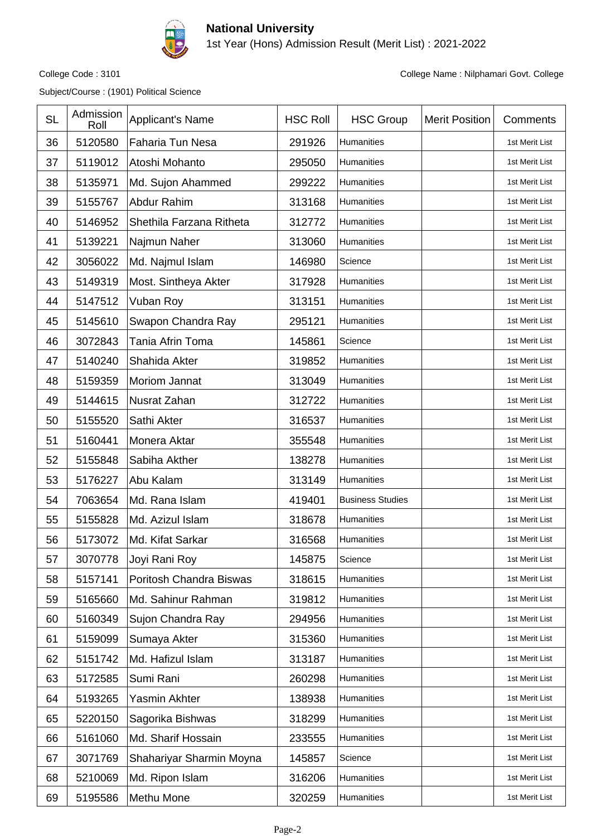

1st Year (Hons) Admission Result (Merit List) : 2021-2022

Subject/Course : (1901) Political Science

| <b>SL</b> | Admission<br>Roll | Applicant's Name         | <b>HSC Roll</b> | <b>HSC Group</b>        | <b>Merit Position</b> | Comments       |
|-----------|-------------------|--------------------------|-----------------|-------------------------|-----------------------|----------------|
| 36        | 5120580           | Faharia Tun Nesa         | 291926          | Humanities              |                       | 1st Merit List |
| 37        | 5119012           | Atoshi Mohanto           | 295050          | Humanities              |                       | 1st Merit List |
| 38        | 5135971           | Md. Sujon Ahammed        | 299222          | Humanities              |                       | 1st Merit List |
| 39        | 5155767           | Abdur Rahim              | 313168          | Humanities              |                       | 1st Merit List |
| 40        | 5146952           | Shethila Farzana Ritheta | 312772          | Humanities              |                       | 1st Merit List |
| 41        | 5139221           | Najmun Naher             | 313060          | Humanities              |                       | 1st Merit List |
| 42        | 3056022           | Md. Najmul Islam         | 146980          | Science                 |                       | 1st Merit List |
| 43        | 5149319           | Most. Sintheya Akter     | 317928          | Humanities              |                       | 1st Merit List |
| 44        | 5147512           | Vuban Roy                | 313151          | Humanities              |                       | 1st Merit List |
| 45        | 5145610           | Swapon Chandra Ray       | 295121          | Humanities              |                       | 1st Merit List |
| 46        | 3072843           | Tania Afrin Toma         | 145861          | Science                 |                       | 1st Merit List |
| 47        | 5140240           | Shahida Akter            | 319852          | Humanities              |                       | 1st Merit List |
| 48        | 5159359           | <b>Moriom Jannat</b>     | 313049          | Humanities              |                       | 1st Merit List |
| 49        | 5144615           | <b>Nusrat Zahan</b>      | 312722          | Humanities              |                       | 1st Merit List |
| 50        | 5155520           | Sathi Akter              | 316537          | Humanities              |                       | 1st Merit List |
| 51        | 5160441           | Monera Aktar             | 355548          | Humanities              |                       | 1st Merit List |
| 52        | 5155848           | Sabiha Akther            | 138278          | Humanities              |                       | 1st Merit List |
| 53        | 5176227           | Abu Kalam                | 313149          | Humanities              |                       | 1st Merit List |
| 54        | 7063654           | Md. Rana Islam           | 419401          | <b>Business Studies</b> |                       | 1st Merit List |
| 55        | 5155828           | Md. Azizul Islam         | 318678          | Humanities              |                       | 1st Merit List |
| 56        | 5173072           | Md. Kifat Sarkar         | 316568          | Humanities              |                       | 1st Merit List |
| 57        | 3070778           | Joyi Rani Roy            | 145875          | Science                 |                       | 1st Merit List |
| 58        | 5157141           | Poritosh Chandra Biswas  | 318615          | Humanities              |                       | 1st Merit List |
| 59        | 5165660           | Md. Sahinur Rahman       | 319812          | Humanities              |                       | 1st Merit List |
| 60        | 5160349           | Sujon Chandra Ray        | 294956          | Humanities              |                       | 1st Merit List |
| 61        | 5159099           | Sumaya Akter             | 315360          | Humanities              |                       | 1st Merit List |
| 62        | 5151742           | Md. Hafizul Islam        | 313187          | Humanities              |                       | 1st Merit List |
| 63        | 5172585           | Sumi Rani                | 260298          | Humanities              |                       | 1st Merit List |
| 64        | 5193265           | Yasmin Akhter            | 138938          | Humanities              |                       | 1st Merit List |
| 65        | 5220150           | Sagorika Bishwas         | 318299          | Humanities              |                       | 1st Merit List |
| 66        | 5161060           | Md. Sharif Hossain       | 233555          | Humanities              |                       | 1st Merit List |
| 67        | 3071769           | Shahariyar Sharmin Moyna | 145857          | Science                 |                       | 1st Merit List |
| 68        | 5210069           | Md. Ripon Islam          | 316206          | Humanities              |                       | 1st Merit List |
| 69        | 5195586           | Methu Mone               | 320259          | Humanities              |                       | 1st Merit List |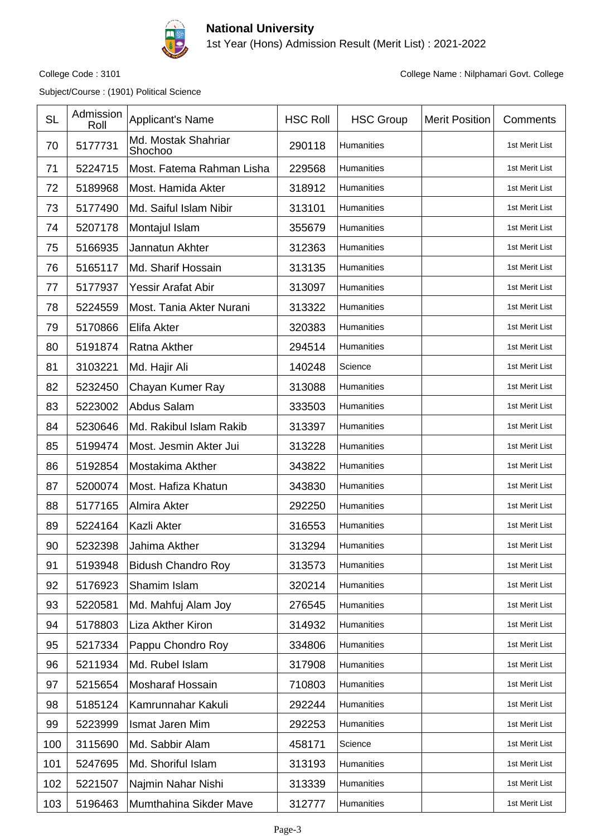

1st Year (Hons) Admission Result (Merit List) : 2021-2022

Subject/Course : (1901) Political Science

| <b>SL</b> | Admission<br>Roll | Applicant's Name               | <b>HSC Roll</b> | <b>HSC Group</b>  | <b>Merit Position</b> | Comments       |
|-----------|-------------------|--------------------------------|-----------------|-------------------|-----------------------|----------------|
| 70        | 5177731           | Md. Mostak Shahriar<br>Shochoo | 290118          | Humanities        |                       | 1st Merit List |
| 71        | 5224715           | Most. Fatema Rahman Lisha      | 229568          | <b>Humanities</b> |                       | 1st Merit List |
| 72        | 5189968           | Most. Hamida Akter             | 318912          | Humanities        |                       | 1st Merit List |
| 73        | 5177490           | Md. Saiful Islam Nibir         | 313101          | Humanities        |                       | 1st Merit List |
| 74        | 5207178           | Montajul Islam                 | 355679          | Humanities        |                       | 1st Merit List |
| 75        | 5166935           | Jannatun Akhter                | 312363          | Humanities        |                       | 1st Merit List |
| 76        | 5165117           | Md. Sharif Hossain             | 313135          | Humanities        |                       | 1st Merit List |
| 77        | 5177937           | <b>Yessir Arafat Abir</b>      | 313097          | Humanities        |                       | 1st Merit List |
| 78        | 5224559           | Most. Tania Akter Nurani       | 313322          | Humanities        |                       | 1st Merit List |
| 79        | 5170866           | Elifa Akter                    | 320383          | Humanities        |                       | 1st Merit List |
| 80        | 5191874           | Ratna Akther                   | 294514          | Humanities        |                       | 1st Merit List |
| 81        | 3103221           | Md. Hajir Ali                  | 140248          | Science           |                       | 1st Merit List |
| 82        | 5232450           | Chayan Kumer Ray               | 313088          | Humanities        |                       | 1st Merit List |
| 83        | 5223002           | Abdus Salam                    | 333503          | Humanities        |                       | 1st Merit List |
| 84        | 5230646           | Md. Rakibul Islam Rakib        | 313397          | Humanities        |                       | 1st Merit List |
| 85        | 5199474           | Most. Jesmin Akter Jui         | 313228          | Humanities        |                       | 1st Merit List |
| 86        | 5192854           | Mostakima Akther               | 343822          | Humanities        |                       | 1st Merit List |
| 87        | 5200074           | Most. Hafiza Khatun            | 343830          | Humanities        |                       | 1st Merit List |
| 88        | 5177165           | Almira Akter                   | 292250          | Humanities        |                       | 1st Merit List |
| 89        | 5224164           | Kazli Akter                    | 316553          | Humanities        |                       | 1st Merit List |
| 90        | 5232398           | Jahima Akther                  | 313294          | Humanities        |                       | 1st Merit List |
| 91        | 5193948           | <b>Bidush Chandro Roy</b>      | 313573          | Humanities        |                       | 1st Merit List |
| 92        | 5176923           | Shamim Islam                   | 320214          | Humanities        |                       | 1st Merit List |
| 93        | 5220581           | Md. Mahfuj Alam Joy            | 276545          | Humanities        |                       | 1st Merit List |
| 94        | 5178803           | Liza Akther Kiron              | 314932          | Humanities        |                       | 1st Merit List |
| 95        | 5217334           | Pappu Chondro Roy              | 334806          | Humanities        |                       | 1st Merit List |
| 96        | 5211934           | Md. Rubel Islam                | 317908          | Humanities        |                       | 1st Merit List |
| 97        | 5215654           | Mosharaf Hossain               | 710803          | Humanities        |                       | 1st Merit List |
| 98        | 5185124           | Kamrunnahar Kakuli             | 292244          | Humanities        |                       | 1st Merit List |
| 99        | 5223999           | Ismat Jaren Mim                | 292253          | Humanities        |                       | 1st Merit List |
| 100       | 3115690           | Md. Sabbir Alam                | 458171          | Science           |                       | 1st Merit List |
| 101       | 5247695           | Md. Shoriful Islam             | 313193          | Humanities        |                       | 1st Merit List |
| 102       | 5221507           | Najmin Nahar Nishi             | 313339          | Humanities        |                       | 1st Merit List |
| 103       | 5196463           | Mumthahina Sikder Mave         | 312777          | Humanities        |                       | 1st Merit List |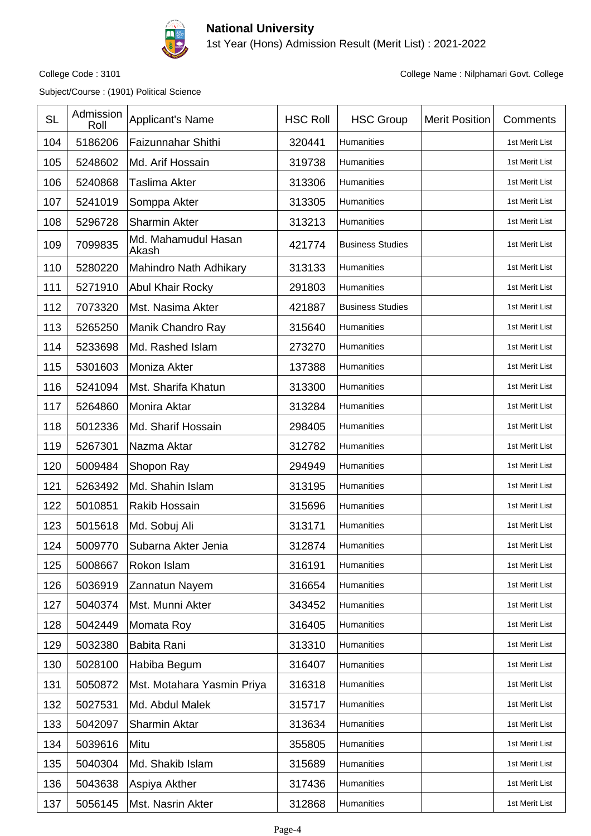

1st Year (Hons) Admission Result (Merit List) : 2021-2022

Subject/Course : (1901) Political Science

| <b>SL</b> | Admission<br>Roll | Applicant's Name             | <b>HSC Roll</b> | <b>HSC Group</b>        | <b>Merit Position</b> | Comments       |
|-----------|-------------------|------------------------------|-----------------|-------------------------|-----------------------|----------------|
| 104       | 5186206           | Faizunnahar Shithi           | 320441          | Humanities              |                       | 1st Merit List |
| 105       | 5248602           | Md. Arif Hossain             | 319738          | Humanities              |                       | 1st Merit List |
| 106       | 5240868           | Taslima Akter                | 313306          | Humanities              |                       | 1st Merit List |
| 107       | 5241019           | Somppa Akter                 | 313305          | <b>Humanities</b>       |                       | 1st Merit List |
| 108       | 5296728           | <b>Sharmin Akter</b>         | 313213          | Humanities              |                       | 1st Merit List |
| 109       | 7099835           | Md. Mahamudul Hasan<br>Akash | 421774          | <b>Business Studies</b> |                       | 1st Merit List |
| 110       | 5280220           | Mahindro Nath Adhikary       | 313133          | Humanities              |                       | 1st Merit List |
| 111       | 5271910           | <b>Abul Khair Rocky</b>      | 291803          | Humanities              |                       | 1st Merit List |
| 112       | 7073320           | Mst. Nasima Akter            | 421887          | <b>Business Studies</b> |                       | 1st Merit List |
| 113       | 5265250           | Manik Chandro Ray            | 315640          | <b>Humanities</b>       |                       | 1st Merit List |
| 114       | 5233698           | Md. Rashed Islam             | 273270          | Humanities              |                       | 1st Merit List |
| 115       | 5301603           | Moniza Akter                 | 137388          | Humanities              |                       | 1st Merit List |
| 116       | 5241094           | Mst. Sharifa Khatun          | 313300          | Humanities              |                       | 1st Merit List |
| 117       | 5264860           | Monira Aktar                 | 313284          | Humanities              |                       | 1st Merit List |
| 118       | 5012336           | Md. Sharif Hossain           | 298405          | Humanities              |                       | 1st Merit List |
| 119       | 5267301           | Nazma Aktar                  | 312782          | Humanities              |                       | 1st Merit List |
| 120       | 5009484           | Shopon Ray                   | 294949          | Humanities              |                       | 1st Merit List |
| 121       | 5263492           | Md. Shahin Islam             | 313195          | Humanities              |                       | 1st Merit List |
| 122       | 5010851           | Rakib Hossain                | 315696          | Humanities              |                       | 1st Merit List |
| 123       | 5015618           | Md. Sobuj Ali                | 313171          | Humanities              |                       | 1st Merit List |
| 124       | 5009770           | Subarna Akter Jenia          | 312874          | <b>Humanities</b>       |                       | 1st Merit List |
| 125       | 5008667           | Rokon Islam                  | 316191          | Humanities              |                       | 1st Merit List |
| 126       | 5036919           | Zannatun Nayem               | 316654          | Humanities              |                       | 1st Merit List |
| 127       | 5040374           | Mst. Munni Akter             | 343452          | Humanities              |                       | 1st Merit List |
| 128       | 5042449           | Momata Roy                   | 316405          | Humanities              |                       | 1st Merit List |
| 129       | 5032380           | Babita Rani                  | 313310          | Humanities              |                       | 1st Merit List |
| 130       | 5028100           | Habiba Begum                 | 316407          | Humanities              |                       | 1st Merit List |
| 131       | 5050872           | Mst. Motahara Yasmin Priya   | 316318          | Humanities              |                       | 1st Merit List |
| 132       | 5027531           | Md. Abdul Malek              | 315717          | Humanities              |                       | 1st Merit List |
| 133       | 5042097           | <b>Sharmin Aktar</b>         | 313634          | Humanities              |                       | 1st Merit List |
| 134       | 5039616           | Mitu                         | 355805          | Humanities              |                       | 1st Merit List |
| 135       | 5040304           | Md. Shakib Islam             | 315689          | Humanities              |                       | 1st Merit List |
| 136       | 5043638           | Aspiya Akther                | 317436          | Humanities              |                       | 1st Merit List |
| 137       | 5056145           | Mst. Nasrin Akter            | 312868          | Humanities              |                       | 1st Merit List |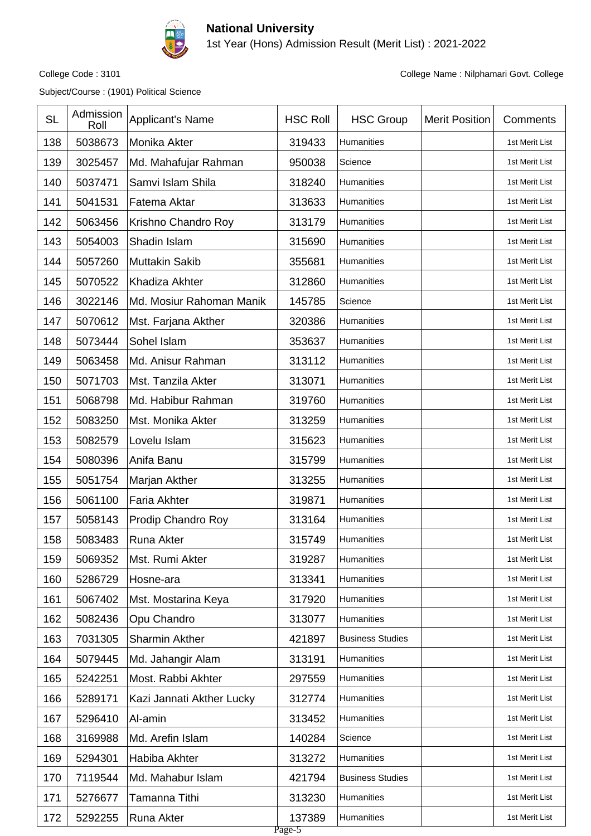

1st Year (Hons) Admission Result (Merit List) : 2021-2022

Subject/Course : (1901) Political Science

| <b>SL</b> | Admission<br>Roll | Applicant's Name          | <b>HSC Roll</b>  | <b>HSC Group</b>        | <b>Merit Position</b> | Comments       |
|-----------|-------------------|---------------------------|------------------|-------------------------|-----------------------|----------------|
| 138       | 5038673           | Monika Akter              | 319433           | Humanities              |                       | 1st Merit List |
| 139       | 3025457           | Md. Mahafujar Rahman      | 950038           | Science                 |                       | 1st Merit List |
| 140       | 5037471           | Samvi Islam Shila         | 318240           | Humanities              |                       | 1st Merit List |
| 141       | 5041531           | Fatema Aktar              | 313633           | Humanities              |                       | 1st Merit List |
| 142       | 5063456           | Krishno Chandro Roy       | 313179           | Humanities              |                       | 1st Merit List |
| 143       | 5054003           | Shadin Islam              | 315690           | Humanities              |                       | 1st Merit List |
| 144       | 5057260           | <b>Muttakin Sakib</b>     | 355681           | Humanities              |                       | 1st Merit List |
| 145       | 5070522           | Khadiza Akhter            | 312860           | Humanities              |                       | 1st Merit List |
| 146       | 3022146           | Md. Mosiur Rahoman Manik  | 145785           | Science                 |                       | 1st Merit List |
| 147       | 5070612           | Mst. Farjana Akther       | 320386           | Humanities              |                       | 1st Merit List |
| 148       | 5073444           | Sohel Islam               | 353637           | Humanities              |                       | 1st Merit List |
| 149       | 5063458           | Md. Anisur Rahman         | 313112           | Humanities              |                       | 1st Merit List |
| 150       | 5071703           | Mst. Tanzila Akter        | 313071           | Humanities              |                       | 1st Merit List |
| 151       | 5068798           | Md. Habibur Rahman        | 319760           | Humanities              |                       | 1st Merit List |
| 152       | 5083250           | Mst. Monika Akter         | 313259           | Humanities              |                       | 1st Merit List |
| 153       | 5082579           | Lovelu Islam              | 315623           | Humanities              |                       | 1st Merit List |
| 154       | 5080396           | Anifa Banu                | 315799           | Humanities              |                       | 1st Merit List |
| 155       | 5051754           | Marjan Akther             | 313255           | Humanities              |                       | 1st Merit List |
| 156       | 5061100           | <b>Faria Akhter</b>       | 319871           | Humanities              |                       | 1st Merit List |
| 157       | 5058143           | Prodip Chandro Roy        | 313164           | Humanities              |                       | 1st Merit List |
| 158       | 5083483           | Runa Akter                | 315749           | Humanities              |                       | 1st Merit List |
| 159       | 5069352           | Mst. Rumi Akter           | 319287           | Humanities              |                       | 1st Merit List |
| 160       | 5286729           | Hosne-ara                 | 313341           | Humanities              |                       | 1st Merit List |
| 161       | 5067402           | Mst. Mostarina Keya       | 317920           | <b>Humanities</b>       |                       | 1st Merit List |
| 162       | 5082436           | Opu Chandro               | 313077           | Humanities              |                       | 1st Merit List |
| 163       | 7031305           | Sharmin Akther            | 421897           | <b>Business Studies</b> |                       | 1st Merit List |
| 164       | 5079445           | Md. Jahangir Alam         | 313191           | Humanities              |                       | 1st Merit List |
| 165       | 5242251           | Most. Rabbi Akhter        | 297559           | Humanities              |                       | 1st Merit List |
| 166       | 5289171           | Kazi Jannati Akther Lucky | 312774           | Humanities              |                       | 1st Merit List |
| 167       | 5296410           | Al-amin                   | 313452           | Humanities              |                       | 1st Merit List |
| 168       | 3169988           | Md. Arefin Islam          | 140284           | Science                 |                       | 1st Merit List |
| 169       | 5294301           | Habiba Akhter             | 313272           | <b>Humanities</b>       |                       | 1st Merit List |
| 170       | 7119544           | Md. Mahabur Islam         | 421794           | <b>Business Studies</b> |                       | 1st Merit List |
| 171       | 5276677           | Tamanna Tithi             | 313230           | Humanities              |                       | 1st Merit List |
| 172       | 5292255           | Runa Akter                | 137389<br>Page-5 | Humanities              |                       | 1st Merit List |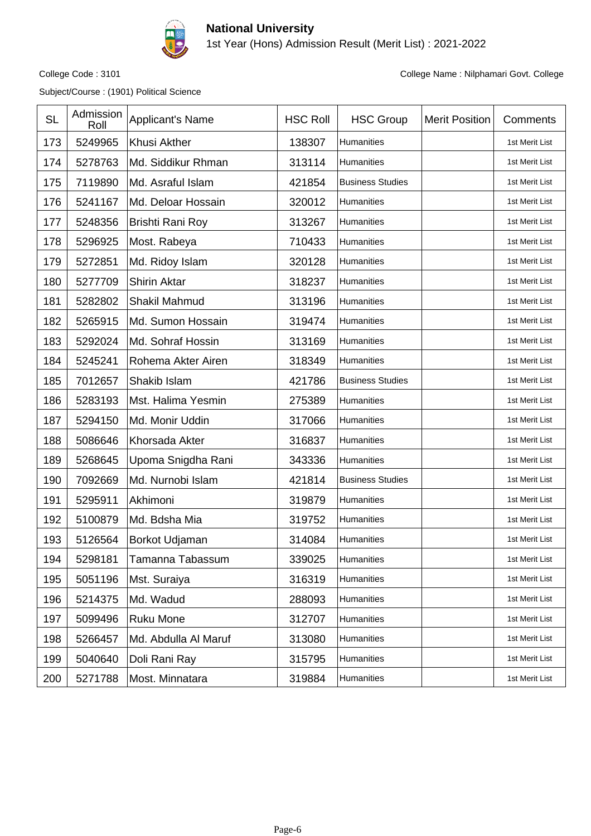

1st Year (Hons) Admission Result (Merit List) : 2021-2022

Subject/Course : (1901) Political Science

| <b>SL</b> | Admission<br>Roll | Applicant's Name     | <b>HSC Roll</b> | <b>HSC Group</b>        | <b>Merit Position</b> | Comments       |
|-----------|-------------------|----------------------|-----------------|-------------------------|-----------------------|----------------|
| 173       | 5249965           | <b>Khusi Akther</b>  | 138307          | Humanities              |                       | 1st Merit List |
| 174       | 5278763           | Md. Siddikur Rhman   | 313114          | Humanities              |                       | 1st Merit List |
| 175       | 7119890           | Md. Asraful Islam    | 421854          | <b>Business Studies</b> |                       | 1st Merit List |
| 176       | 5241167           | Md. Deloar Hossain   | 320012          | Humanities              |                       | 1st Merit List |
| 177       | 5248356           | Brishti Rani Roy     | 313267          | Humanities              |                       | 1st Merit List |
| 178       | 5296925           | Most. Rabeya         | 710433          | <b>Humanities</b>       |                       | 1st Merit List |
| 179       | 5272851           | Md. Ridoy Islam      | 320128          | Humanities              |                       | 1st Merit List |
| 180       | 5277709           | <b>Shirin Aktar</b>  | 318237          | Humanities              |                       | 1st Merit List |
| 181       | 5282802           | Shakil Mahmud        | 313196          | <b>Humanities</b>       |                       | 1st Merit List |
| 182       | 5265915           | Md. Sumon Hossain    | 319474          | Humanities              |                       | 1st Merit List |
| 183       | 5292024           | Md. Sohraf Hossin    | 313169          | Humanities              |                       | 1st Merit List |
| 184       | 5245241           | Rohema Akter Airen   | 318349          | <b>Humanities</b>       |                       | 1st Merit List |
| 185       | 7012657           | Shakib Islam         | 421786          | <b>Business Studies</b> |                       | 1st Merit List |
| 186       | 5283193           | Mst. Halima Yesmin   | 275389          | Humanities              |                       | 1st Merit List |
| 187       | 5294150           | Md. Monir Uddin      | 317066          | <b>Humanities</b>       |                       | 1st Merit List |
| 188       | 5086646           | Khorsada Akter       | 316837          | Humanities              |                       | 1st Merit List |
| 189       | 5268645           | Upoma Snigdha Rani   | 343336          | Humanities              |                       | 1st Merit List |
| 190       | 7092669           | Md. Nurnobi Islam    | 421814          | <b>Business Studies</b> |                       | 1st Merit List |
| 191       | 5295911           | Akhimoni             | 319879          | Humanities              |                       | 1st Merit List |
| 192       | 5100879           | Md. Bdsha Mia        | 319752          | Humanities              |                       | 1st Merit List |
| 193       | 5126564           | Borkot Udjaman       | 314084          | Humanities              |                       | 1st Merit List |
| 194       | 5298181           | Tamanna Tabassum     | 339025          | Humanities              |                       | 1st Merit List |
| 195       | 5051196           | Mst. Suraiya         | 316319          | Humanities              |                       | 1st Merit List |
| 196       | 5214375           | Md. Wadud            | 288093          | Humanities              |                       | 1st Merit List |
| 197       | 5099496           | <b>Ruku Mone</b>     | 312707          | Humanities              |                       | 1st Merit List |
| 198       | 5266457           | Md. Abdulla Al Maruf | 313080          | Humanities              |                       | 1st Merit List |
| 199       | 5040640           | Doli Rani Ray        | 315795          | Humanities              |                       | 1st Merit List |
| 200       | 5271788           | Most. Minnatara      | 319884          | Humanities              |                       | 1st Merit List |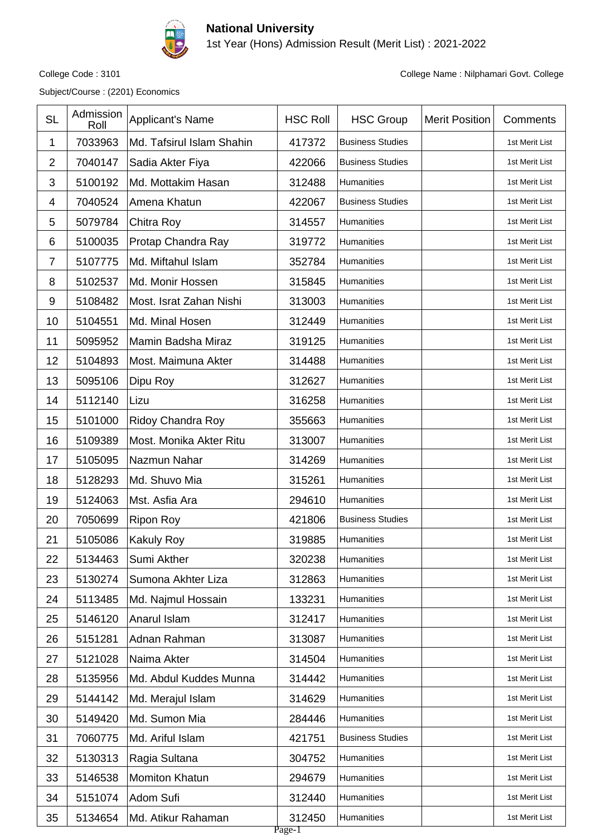

1st Year (Hons) Admission Result (Merit List) : 2021-2022

Subject/Course : (2201) Economics

| <b>SL</b>      | Admission<br>Roll | <b>Applicant's Name</b>   | <b>HSC Roll</b>  | <b>HSC Group</b>        | <b>Merit Position</b> | Comments       |
|----------------|-------------------|---------------------------|------------------|-------------------------|-----------------------|----------------|
| 1              | 7033963           | Md. Tafsirul Islam Shahin | 417372           | <b>Business Studies</b> |                       | 1st Merit List |
| $\overline{2}$ | 7040147           | Sadia Akter Fiya          | 422066           | <b>Business Studies</b> |                       | 1st Merit List |
| 3              | 5100192           | Md. Mottakim Hasan        | 312488           | Humanities              |                       | 1st Merit List |
| 4              | 7040524           | Amena Khatun              | 422067           | <b>Business Studies</b> |                       | 1st Merit List |
| 5              | 5079784           | Chitra Roy                | 314557           | Humanities              |                       | 1st Merit List |
| 6              | 5100035           | Protap Chandra Ray        | 319772           | Humanities              |                       | 1st Merit List |
| $\overline{7}$ | 5107775           | Md. Miftahul Islam        | 352784           | Humanities              |                       | 1st Merit List |
| 8              | 5102537           | Md. Monir Hossen          | 315845           | Humanities              |                       | 1st Merit List |
| 9              | 5108482           | Most. Israt Zahan Nishi   | 313003           | Humanities              |                       | 1st Merit List |
| 10             | 5104551           | Md. Minal Hosen           | 312449           | Humanities              |                       | 1st Merit List |
| 11             | 5095952           | Mamin Badsha Miraz        | 319125           | Humanities              |                       | 1st Merit List |
| 12             | 5104893           | Most. Maimuna Akter       | 314488           | Humanities              |                       | 1st Merit List |
| 13             | 5095106           | Dipu Roy                  | 312627           | Humanities              |                       | 1st Merit List |
| 14             | 5112140           | Lizu                      | 316258           | Humanities              |                       | 1st Merit List |
| 15             | 5101000           | Ridoy Chandra Roy         | 355663           | Humanities              |                       | 1st Merit List |
| 16             | 5109389           | Most. Monika Akter Ritu   | 313007           | Humanities              |                       | 1st Merit List |
| 17             | 5105095           | Nazmun Nahar              | 314269           | Humanities              |                       | 1st Merit List |
| 18             | 5128293           | Md. Shuvo Mia             | 315261           | Humanities              |                       | 1st Merit List |
| 19             | 5124063           | Mst. Asfia Ara            | 294610           | Humanities              |                       | 1st Merit List |
| 20             | 7050699           | <b>Ripon Roy</b>          | 421806           | <b>Business Studies</b> |                       | 1st Merit List |
| 21             | 5105086           | <b>Kakuly Roy</b>         | 319885           | <b>Humanities</b>       |                       | 1st Merit List |
| 22             | 5134463           | Sumi Akther               | 320238           | Humanities              |                       | 1st Merit List |
| 23             | 5130274           | Sumona Akhter Liza        | 312863           | Humanities              |                       | 1st Merit List |
| 24             | 5113485           | Md. Najmul Hossain        | 133231           | <b>Humanities</b>       |                       | 1st Merit List |
| 25             | 5146120           | Anarul Islam              | 312417           | Humanities              |                       | 1st Merit List |
| 26             | 5151281           | Adnan Rahman              | 313087           | Humanities              |                       | 1st Merit List |
| 27             | 5121028           | Naima Akter               | 314504           | Humanities              |                       | 1st Merit List |
| 28             | 5135956           | Md. Abdul Kuddes Munna    | 314442           | Humanities              |                       | 1st Merit List |
| 29             | 5144142           | Md. Merajul Islam         | 314629           | Humanities              |                       | 1st Merit List |
| 30             | 5149420           | Md. Sumon Mia             | 284446           | Humanities              |                       | 1st Merit List |
| 31             | 7060775           | Md. Ariful Islam          | 421751           | <b>Business Studies</b> |                       | 1st Merit List |
| 32             | 5130313           | Ragia Sultana             | 304752           | Humanities              |                       | 1st Merit List |
| 33             | 5146538           | Momiton Khatun            | 294679           | Humanities              |                       | 1st Merit List |
| 34             | 5151074           | Adom Sufi                 | 312440           | Humanities              |                       | 1st Merit List |
| 35             | 5134654           | Md. Atikur Rahaman        | 312450<br>Page-1 | Humanities              |                       | 1st Merit List |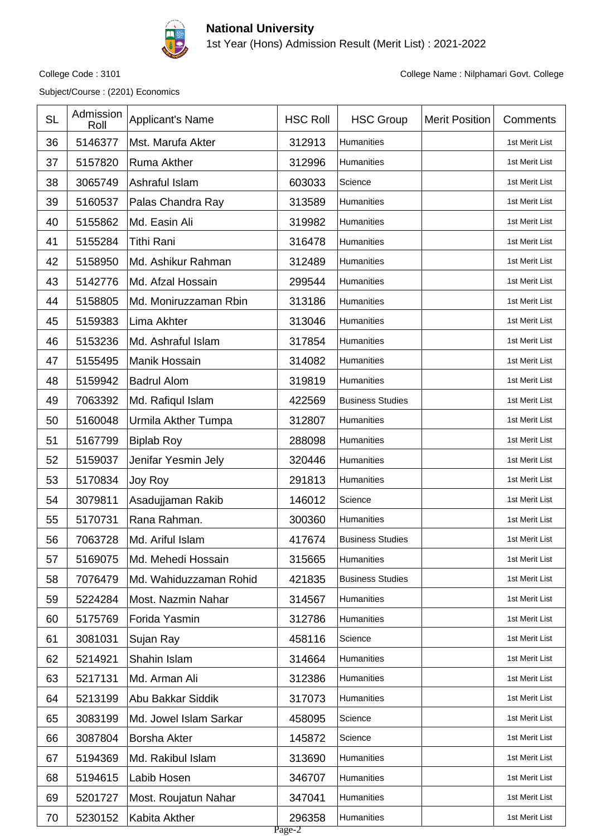

1st Year (Hons) Admission Result (Merit List) : 2021-2022

Subject/Course : (2201) Economics

| <b>SL</b> | Admission<br>Roll | Applicant's Name       | <b>HSC Roll</b>  | <b>HSC Group</b>        | <b>Merit Position</b> | Comments       |
|-----------|-------------------|------------------------|------------------|-------------------------|-----------------------|----------------|
| 36        | 5146377           | Mst. Marufa Akter      | 312913           | Humanities              |                       | 1st Merit List |
| 37        | 5157820           | <b>Ruma Akther</b>     | 312996           | Humanities              |                       | 1st Merit List |
| 38        | 3065749           | Ashraful Islam         | 603033           | Science                 |                       | 1st Merit List |
| 39        | 5160537           | Palas Chandra Ray      | 313589           | Humanities              |                       | 1st Merit List |
| 40        | 5155862           | Md. Easin Ali          | 319982           | Humanities              |                       | 1st Merit List |
| 41        | 5155284           | Tithi Rani             | 316478           | Humanities              |                       | 1st Merit List |
| 42        | 5158950           | Md. Ashikur Rahman     | 312489           | Humanities              |                       | 1st Merit List |
| 43        | 5142776           | Md. Afzal Hossain      | 299544           | Humanities              |                       | 1st Merit List |
| 44        | 5158805           | Md. Moniruzzaman Rbin  | 313186           | Humanities              |                       | 1st Merit List |
| 45        | 5159383           | Lima Akhter            | 313046           | Humanities              |                       | 1st Merit List |
| 46        | 5153236           | Md. Ashraful Islam     | 317854           | Humanities              |                       | 1st Merit List |
| 47        | 5155495           | Manik Hossain          | 314082           | Humanities              |                       | 1st Merit List |
| 48        | 5159942           | <b>Badrul Alom</b>     | 319819           | Humanities              |                       | 1st Merit List |
| 49        | 7063392           | Md. Rafiqul Islam      | 422569           | <b>Business Studies</b> |                       | 1st Merit List |
| 50        | 5160048           | Urmila Akther Tumpa    | 312807           | Humanities              |                       | 1st Merit List |
| 51        | 5167799           | <b>Biplab Roy</b>      | 288098           | Humanities              |                       | 1st Merit List |
| 52        | 5159037           | Jenifar Yesmin Jely    | 320446           | Humanities              |                       | 1st Merit List |
| 53        | 5170834           | Joy Roy                | 291813           | Humanities              |                       | 1st Merit List |
| 54        | 3079811           | Asadujjaman Rakib      | 146012           | Science                 |                       | 1st Merit List |
| 55        | 5170731           | Rana Rahman.           | 300360           | Humanities              |                       | 1st Merit List |
| 56        | 7063728           | Md. Ariful Islam       | 417674           | <b>Business Studies</b> |                       | 1st Merit List |
| 57        | 5169075           | Md. Mehedi Hossain     | 315665           | Humanities              |                       | 1st Merit List |
| 58        | 7076479           | Md. Wahiduzzaman Rohid | 421835           | <b>Business Studies</b> |                       | 1st Merit List |
| 59        | 5224284           | Most. Nazmin Nahar     | 314567           | Humanities              |                       | 1st Merit List |
| 60        | 5175769           | Forida Yasmin          | 312786           | Humanities              |                       | 1st Merit List |
| 61        | 3081031           | Sujan Ray              | 458116           | Science                 |                       | 1st Merit List |
| 62        | 5214921           | Shahin Islam           | 314664           | Humanities              |                       | 1st Merit List |
| 63        | 5217131           | Md. Arman Ali          | 312386           | Humanities              |                       | 1st Merit List |
| 64        | 5213199           | Abu Bakkar Siddik      | 317073           | Humanities              |                       | 1st Merit List |
| 65        | 3083199           | Md. Jowel Islam Sarkar | 458095           | Science                 |                       | 1st Merit List |
| 66        | 3087804           | Borsha Akter           | 145872           | Science                 |                       | 1st Merit List |
| 67        | 5194369           | Md. Rakibul Islam      | 313690           | Humanities              |                       | 1st Merit List |
| 68        | 5194615           | Labib Hosen            | 346707           | Humanities              |                       | 1st Merit List |
| 69        | 5201727           | Most. Roujatun Nahar   | 347041           | Humanities              |                       | 1st Merit List |
| 70        | 5230152           | Kabita Akther          | 296358<br>Page-2 | Humanities              |                       | 1st Merit List |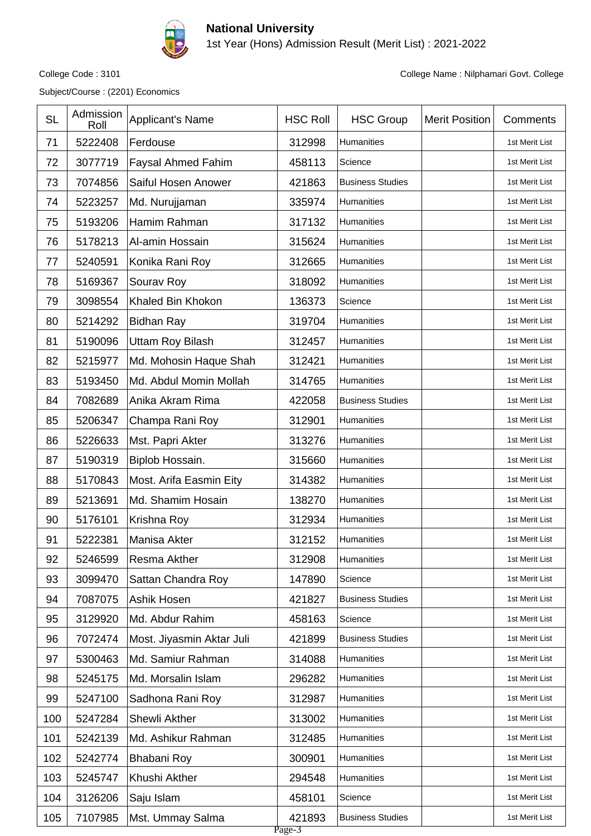

1st Year (Hons) Admission Result (Merit List) : 2021-2022

Subject/Course : (2201) Economics

| 5222408<br>312998<br>71<br>Ferdouse<br>Humanities<br>1st Merit List<br>72<br>3077719<br><b>Faysal Ahmed Fahim</b><br>458113<br>Science<br>1st Merit List<br>73<br>7074856<br>Saiful Hosen Anower<br>421863<br><b>Business Studies</b><br>1st Merit List<br>5223257<br>335974<br>74<br>Md. Nurujjaman<br>1st Merit List<br>Humanities<br>5193206<br>Hamim Rahman<br>317132<br>75<br>Humanities<br>1st Merit List |  |
|-----------------------------------------------------------------------------------------------------------------------------------------------------------------------------------------------------------------------------------------------------------------------------------------------------------------------------------------------------------------------------------------------------------------|--|
|                                                                                                                                                                                                                                                                                                                                                                                                                 |  |
|                                                                                                                                                                                                                                                                                                                                                                                                                 |  |
|                                                                                                                                                                                                                                                                                                                                                                                                                 |  |
|                                                                                                                                                                                                                                                                                                                                                                                                                 |  |
|                                                                                                                                                                                                                                                                                                                                                                                                                 |  |
| 76<br>5178213<br>Al-amin Hossain<br>315624<br>Humanities<br>1st Merit List                                                                                                                                                                                                                                                                                                                                      |  |
| 5240591<br>Konika Rani Roy<br>312665<br>77<br>Humanities<br>1st Merit List                                                                                                                                                                                                                                                                                                                                      |  |
| 5169367<br>318092<br>78<br>Sourav Roy<br>Humanities<br>1st Merit List                                                                                                                                                                                                                                                                                                                                           |  |
| 136373<br>3098554<br>Khaled Bin Khokon<br>79<br>1st Merit List<br>Science                                                                                                                                                                                                                                                                                                                                       |  |
| 5214292<br>319704<br>80<br><b>Bidhan Ray</b><br>Humanities<br>1st Merit List                                                                                                                                                                                                                                                                                                                                    |  |
| 5190096<br><b>Uttam Roy Bilash</b><br>312457<br>81<br>Humanities<br>1st Merit List                                                                                                                                                                                                                                                                                                                              |  |
| 82<br>5215977<br>Md. Mohosin Haque Shah<br>312421<br>Humanities<br>1st Merit List                                                                                                                                                                                                                                                                                                                               |  |
| 5193450<br>Md. Abdul Momin Mollah<br>314765<br>83<br>Humanities<br>1st Merit List                                                                                                                                                                                                                                                                                                                               |  |
| 7082689<br>422058<br>84<br>Anika Akram Rima<br><b>Business Studies</b><br>1st Merit List                                                                                                                                                                                                                                                                                                                        |  |
| 85<br>5206347<br>Champa Rani Roy<br>312901<br>Humanities<br>1st Merit List                                                                                                                                                                                                                                                                                                                                      |  |
| 5226633<br>Mst. Papri Akter<br>313276<br>86<br>Humanities<br>1st Merit List                                                                                                                                                                                                                                                                                                                                     |  |
| 5190319<br>Biplob Hossain.<br>315660<br>87<br>Humanities<br>1st Merit List                                                                                                                                                                                                                                                                                                                                      |  |
| 88<br>5170843<br>Most. Arifa Easmin Eity<br>314382<br>Humanities<br>1st Merit List                                                                                                                                                                                                                                                                                                                              |  |
| 5213691<br>Md. Shamim Hosain<br>138270<br>89<br>Humanities<br>1st Merit List                                                                                                                                                                                                                                                                                                                                    |  |
| 5176101<br>312934<br>90<br>Krishna Roy<br>Humanities<br>1st Merit List                                                                                                                                                                                                                                                                                                                                          |  |
| 91<br>5222381<br>Manisa Akter<br>312152<br>Humanities<br>1st Merit List                                                                                                                                                                                                                                                                                                                                         |  |
| 312908<br>Humanities<br>92<br>5246599<br>Resma Akther<br>1st Merit List                                                                                                                                                                                                                                                                                                                                         |  |
| 93<br>3099470<br>Sattan Chandra Roy<br>147890<br>Science<br>1st Merit List                                                                                                                                                                                                                                                                                                                                      |  |
| 7087075<br>Ashik Hosen<br>94<br>421827<br><b>Business Studies</b><br>1st Merit List                                                                                                                                                                                                                                                                                                                             |  |
| 3129920<br>Md. Abdur Rahim<br>458163<br>1st Merit List<br>95<br>Science                                                                                                                                                                                                                                                                                                                                         |  |
| 96<br>7072474<br>Most. Jiyasmin Aktar Juli<br>421899<br><b>Business Studies</b><br>1st Merit List                                                                                                                                                                                                                                                                                                               |  |
| 5300463<br>Md. Samiur Rahman<br>314088<br>97<br>Humanities<br>1st Merit List                                                                                                                                                                                                                                                                                                                                    |  |
| 5245175<br>Md. Morsalin Islam<br>296282<br>Humanities<br>98<br>1st Merit List                                                                                                                                                                                                                                                                                                                                   |  |
| 99<br>5247100<br>Sadhona Rani Roy<br>312987<br>Humanities<br>1st Merit List                                                                                                                                                                                                                                                                                                                                     |  |
| 5247284<br>Shewli Akther<br>313002<br>Humanities<br>100<br>1st Merit List                                                                                                                                                                                                                                                                                                                                       |  |
| 5242139<br>Md. Ashikur Rahman<br>312485<br>Humanities<br>101<br>1st Merit List                                                                                                                                                                                                                                                                                                                                  |  |
| 102<br>5242774<br>Bhabani Roy<br>300901<br>Humanities<br>1st Merit List                                                                                                                                                                                                                                                                                                                                         |  |
| Khushi Akther<br>294548<br>103<br>5245747<br>Humanities<br>1st Merit List                                                                                                                                                                                                                                                                                                                                       |  |
| 3126206<br>458101<br>104<br>Saju Islam<br>Science<br>1st Merit List                                                                                                                                                                                                                                                                                                                                             |  |
| Mst. Ummay Salma<br>105<br>7107985<br>421893<br><b>Business Studies</b><br>1st Merit List<br>Page-3                                                                                                                                                                                                                                                                                                             |  |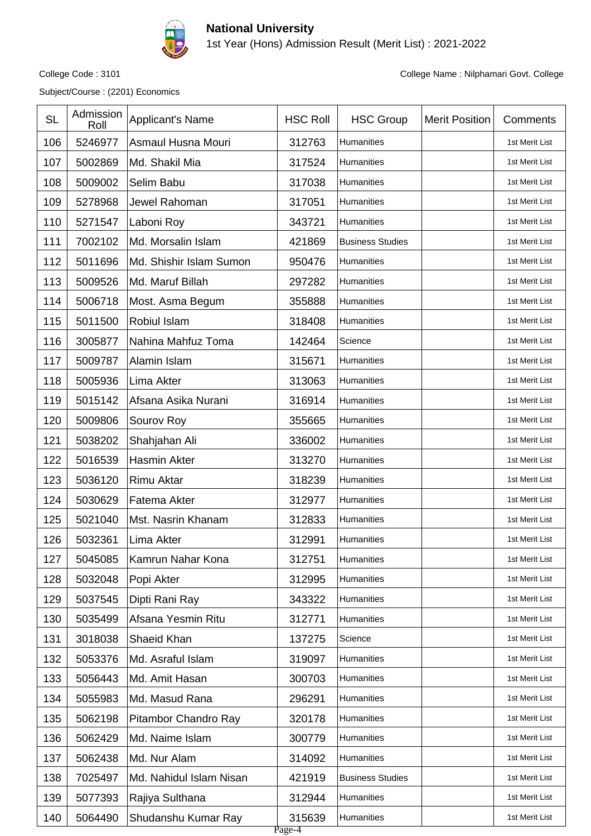

1st Year (Hons) Admission Result (Merit List) : 2021-2022

Subject/Course : (2201) Economics

| <b>SL</b> | Admission<br>Roll | <b>Applicant's Name</b> | <b>HSC Roll</b>  | <b>HSC Group</b>        | <b>Merit Position</b> | Comments       |
|-----------|-------------------|-------------------------|------------------|-------------------------|-----------------------|----------------|
| 106       | 5246977           | Asmaul Husna Mouri      | 312763           | Humanities              |                       | 1st Merit List |
| 107       | 5002869           | Md. Shakil Mia          | 317524           | Humanities              |                       | 1st Merit List |
| 108       | 5009002           | Selim Babu              | 317038           | Humanities              |                       | 1st Merit List |
| 109       | 5278968           | Jewel Rahoman           | 317051           | Humanities              |                       | 1st Merit List |
| 110       | 5271547           | Laboni Roy              | 343721           | Humanities              |                       | 1st Merit List |
| 111       | 7002102           | Md. Morsalin Islam      | 421869           | <b>Business Studies</b> |                       | 1st Merit List |
| 112       | 5011696           | Md. Shishir Islam Sumon | 950476           | Humanities              |                       | 1st Merit List |
| 113       | 5009526           | Md. Maruf Billah        | 297282           | Humanities              |                       | 1st Merit List |
| 114       | 5006718           | Most. Asma Begum        | 355888           | Humanities              |                       | 1st Merit List |
| 115       | 5011500           | Robiul Islam            | 318408           | Humanities              |                       | 1st Merit List |
| 116       | 3005877           | Nahina Mahfuz Toma      | 142464           | Science                 |                       | 1st Merit List |
| 117       | 5009787           | Alamin Islam            | 315671           | Humanities              |                       | 1st Merit List |
| 118       | 5005936           | Lima Akter              | 313063           | Humanities              |                       | 1st Merit List |
| 119       | 5015142           | Afsana Asika Nurani     | 316914           | Humanities              |                       | 1st Merit List |
| 120       | 5009806           | Sourov Roy              | 355665           | Humanities              |                       | 1st Merit List |
| 121       | 5038202           | Shahjahan Ali           | 336002           | Humanities              |                       | 1st Merit List |
| 122       | 5016539           | Hasmin Akter            | 313270           | Humanities              |                       | 1st Merit List |
| 123       | 5036120           | <b>Rimu Aktar</b>       | 318239           | Humanities              |                       | 1st Merit List |
| 124       | 5030629           | Fatema Akter            | 312977           | Humanities              |                       | 1st Merit List |
| 125       | 5021040           | Mst. Nasrin Khanam      | 312833           | Humanities              |                       | 1st Merit List |
| 126       | 5032361           | Lima Akter              | 312991           | Humanities              |                       | 1st Merit List |
| 127       | 5045085           | Kamrun Nahar Kona       | 312751           | Humanities              |                       | 1st Merit List |
| 128       | 5032048           | Popi Akter              | 312995           | Humanities              |                       | 1st Merit List |
| 129       | 5037545           | Dipti Rani Ray          | 343322           | Humanities              |                       | 1st Merit List |
| 130       | 5035499           | Afsana Yesmin Ritu      | 312771           | Humanities              |                       | 1st Merit List |
| 131       | 3018038           | Shaeid Khan             | 137275           | Science                 |                       | 1st Merit List |
| 132       | 5053376           | Md. Asraful Islam       | 319097           | Humanities              |                       | 1st Merit List |
| 133       | 5056443           | Md. Amit Hasan          | 300703           | Humanities              |                       | 1st Merit List |
| 134       | 5055983           | Md. Masud Rana          | 296291           | Humanities              |                       | 1st Merit List |
| 135       | 5062198           | Pitambor Chandro Ray    | 320178           | Humanities              |                       | 1st Merit List |
| 136       | 5062429           | Md. Naime Islam         | 300779           | Humanities              |                       | 1st Merit List |
| 137       | 5062438           | Md. Nur Alam            | 314092           | Humanities              |                       | 1st Merit List |
| 138       | 7025497           | Md. Nahidul Islam Nisan | 421919           | <b>Business Studies</b> |                       | 1st Merit List |
| 139       | 5077393           | Rajiya Sulthana         | 312944           | Humanities              |                       | 1st Merit List |
| 140       | 5064490           | Shudanshu Kumar Ray     | 315639<br>Page-4 | Humanities              |                       | 1st Merit List |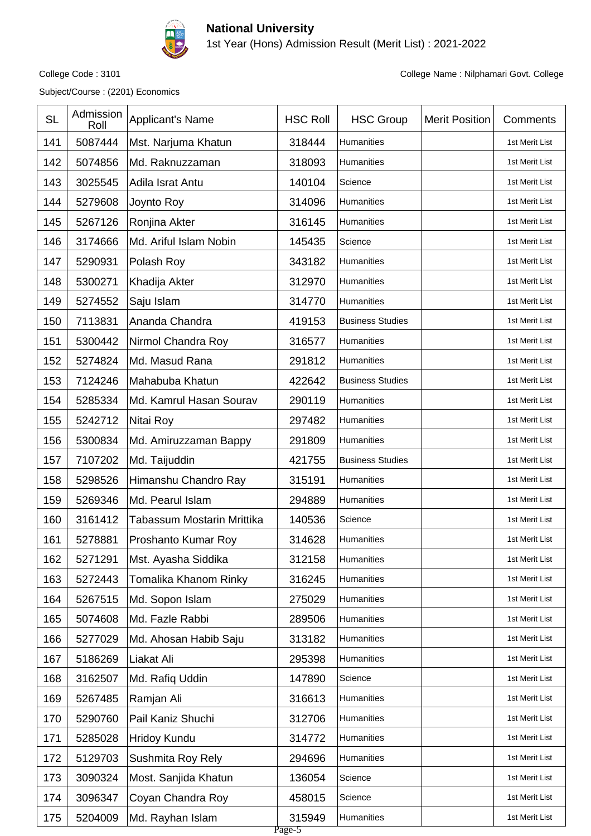

1st Year (Hons) Admission Result (Merit List) : 2021-2022

Subject/Course : (2201) Economics

| 5087444<br>141<br>Mst. Narjuma Khatun<br>318444<br>Humanities<br>1st Merit List<br>142<br>5074856<br>Md. Raknuzzaman<br>318093<br>Humanities<br>1st Merit List<br>143<br>3025545<br>Adila Israt Antu<br>140104<br>Science<br>1st Merit List<br>144<br>5279608<br>314096<br>Joynto Roy<br>Humanities<br>1st Merit List<br>145<br>5267126<br>Ronjina Akter<br>316145<br>Humanities<br>1st Merit List<br>3174666<br>146<br>Md. Ariful Islam Nobin<br>145435<br>Science<br>1st Merit List<br>147<br>5290931<br>343182<br>Polash Roy<br>Humanities<br>1st Merit List<br>148<br>5300271<br>Khadija Akter<br>312970<br>Humanities<br>1st Merit List<br>314770<br>149<br>5274552<br>Saju Islam<br>Humanities<br>1st Merit List<br>7113831<br>Ananda Chandra<br>419153<br>150<br><b>Business Studies</b><br>1st Merit List<br>151<br>5300442<br>Nirmol Chandra Roy<br>316577<br>Humanities<br>1st Merit List<br>152<br>Md. Masud Rana<br>5274824<br>291812<br>Humanities<br>1st Merit List<br>153<br>7124246<br>422642<br>Mahabuba Khatun<br><b>Business Studies</b><br>1st Merit List<br>5285334<br>290119<br>154<br>Md. Kamrul Hasan Sourav<br>Humanities<br>1st Merit List<br>155<br>5242712<br>Nitai Roy<br>297482<br>Humanities<br>1st Merit List<br>156<br>5300834<br>291809<br>Humanities<br>Md. Amiruzzaman Bappy<br>1st Merit List<br>7107202<br>157<br>Md. Taijuddin<br>421755<br><b>Business Studies</b><br>1st Merit List<br>158<br>5298526<br>Himanshu Chandro Ray<br>315191<br>Humanities<br>1st Merit List<br>159<br>5269346<br>Md. Pearul Islam<br>294889<br>Humanities<br>1st Merit List<br>160<br>3161412<br>140536<br>Tabassum Mostarin Mrittika<br>Science<br>1st Merit List<br>161<br>5278881<br>314628<br>Proshanto Kumar Roy<br>Humanities<br>1st Merit List<br>162<br>5271291<br>Humanities<br>Mst. Ayasha Siddika<br>312158<br>1st Merit List<br>163<br>5272443<br>316245<br>Tomalika Khanom Rinky<br>Humanities<br>1st Merit List<br>164<br>5267515<br>Md. Sopon Islam<br>275029<br>Humanities<br>1st Merit List<br>165<br>5074608<br>Md. Fazle Rabbi<br>289506<br>Humanities<br>1st Merit List<br>166<br>5277029<br>Md. Ahosan Habib Saju<br>313182<br>Humanities<br>1st Merit List<br>5186269<br>167<br>Liakat Ali<br>295398<br>Humanities<br>1st Merit List<br>168<br>3162507<br>Md. Rafiq Uddin<br>147890<br>Science<br>1st Merit List<br>169<br>5267485<br>316613<br>Ramjan Ali<br>1st Merit List<br>Humanities<br>Pail Kaniz Shuchi<br>312706<br>170<br>5290760<br>Humanities<br>1st Merit List<br>5285028<br>Hridoy Kundu<br>314772<br>Humanities<br>171<br>1st Merit List<br>5129703<br>Sushmita Roy Rely<br>294696<br>172<br>Humanities<br>1st Merit List<br>173<br>3090324<br>Most. Sanjida Khatun<br>136054<br>Science<br>1st Merit List<br>3096347<br>Coyan Chandra Roy<br>458015<br>174<br>Science<br>1st Merit List<br>5204009<br>Md. Rayhan Islam<br>315949<br>175<br>Humanities<br>1st Merit List | <b>SL</b> | Admission<br>Roll | Applicant's Name | <b>HSC Roll</b> | <b>HSC Group</b> | <b>Merit Position</b> | Comments |
|------------------------------------------------------------------------------------------------------------------------------------------------------------------------------------------------------------------------------------------------------------------------------------------------------------------------------------------------------------------------------------------------------------------------------------------------------------------------------------------------------------------------------------------------------------------------------------------------------------------------------------------------------------------------------------------------------------------------------------------------------------------------------------------------------------------------------------------------------------------------------------------------------------------------------------------------------------------------------------------------------------------------------------------------------------------------------------------------------------------------------------------------------------------------------------------------------------------------------------------------------------------------------------------------------------------------------------------------------------------------------------------------------------------------------------------------------------------------------------------------------------------------------------------------------------------------------------------------------------------------------------------------------------------------------------------------------------------------------------------------------------------------------------------------------------------------------------------------------------------------------------------------------------------------------------------------------------------------------------------------------------------------------------------------------------------------------------------------------------------------------------------------------------------------------------------------------------------------------------------------------------------------------------------------------------------------------------------------------------------------------------------------------------------------------------------------------------------------------------------------------------------------------------------------------------------------------------------------------------------------------------------------------------------------------------------------------------------------------------------------------------------------------------------------------------------------------------------------------------------------------------------------------------------------------------|-----------|-------------------|------------------|-----------------|------------------|-----------------------|----------|
|                                                                                                                                                                                                                                                                                                                                                                                                                                                                                                                                                                                                                                                                                                                                                                                                                                                                                                                                                                                                                                                                                                                                                                                                                                                                                                                                                                                                                                                                                                                                                                                                                                                                                                                                                                                                                                                                                                                                                                                                                                                                                                                                                                                                                                                                                                                                                                                                                                                                                                                                                                                                                                                                                                                                                                                                                                                                                                                                    |           |                   |                  |                 |                  |                       |          |
|                                                                                                                                                                                                                                                                                                                                                                                                                                                                                                                                                                                                                                                                                                                                                                                                                                                                                                                                                                                                                                                                                                                                                                                                                                                                                                                                                                                                                                                                                                                                                                                                                                                                                                                                                                                                                                                                                                                                                                                                                                                                                                                                                                                                                                                                                                                                                                                                                                                                                                                                                                                                                                                                                                                                                                                                                                                                                                                                    |           |                   |                  |                 |                  |                       |          |
|                                                                                                                                                                                                                                                                                                                                                                                                                                                                                                                                                                                                                                                                                                                                                                                                                                                                                                                                                                                                                                                                                                                                                                                                                                                                                                                                                                                                                                                                                                                                                                                                                                                                                                                                                                                                                                                                                                                                                                                                                                                                                                                                                                                                                                                                                                                                                                                                                                                                                                                                                                                                                                                                                                                                                                                                                                                                                                                                    |           |                   |                  |                 |                  |                       |          |
|                                                                                                                                                                                                                                                                                                                                                                                                                                                                                                                                                                                                                                                                                                                                                                                                                                                                                                                                                                                                                                                                                                                                                                                                                                                                                                                                                                                                                                                                                                                                                                                                                                                                                                                                                                                                                                                                                                                                                                                                                                                                                                                                                                                                                                                                                                                                                                                                                                                                                                                                                                                                                                                                                                                                                                                                                                                                                                                                    |           |                   |                  |                 |                  |                       |          |
|                                                                                                                                                                                                                                                                                                                                                                                                                                                                                                                                                                                                                                                                                                                                                                                                                                                                                                                                                                                                                                                                                                                                                                                                                                                                                                                                                                                                                                                                                                                                                                                                                                                                                                                                                                                                                                                                                                                                                                                                                                                                                                                                                                                                                                                                                                                                                                                                                                                                                                                                                                                                                                                                                                                                                                                                                                                                                                                                    |           |                   |                  |                 |                  |                       |          |
|                                                                                                                                                                                                                                                                                                                                                                                                                                                                                                                                                                                                                                                                                                                                                                                                                                                                                                                                                                                                                                                                                                                                                                                                                                                                                                                                                                                                                                                                                                                                                                                                                                                                                                                                                                                                                                                                                                                                                                                                                                                                                                                                                                                                                                                                                                                                                                                                                                                                                                                                                                                                                                                                                                                                                                                                                                                                                                                                    |           |                   |                  |                 |                  |                       |          |
|                                                                                                                                                                                                                                                                                                                                                                                                                                                                                                                                                                                                                                                                                                                                                                                                                                                                                                                                                                                                                                                                                                                                                                                                                                                                                                                                                                                                                                                                                                                                                                                                                                                                                                                                                                                                                                                                                                                                                                                                                                                                                                                                                                                                                                                                                                                                                                                                                                                                                                                                                                                                                                                                                                                                                                                                                                                                                                                                    |           |                   |                  |                 |                  |                       |          |
|                                                                                                                                                                                                                                                                                                                                                                                                                                                                                                                                                                                                                                                                                                                                                                                                                                                                                                                                                                                                                                                                                                                                                                                                                                                                                                                                                                                                                                                                                                                                                                                                                                                                                                                                                                                                                                                                                                                                                                                                                                                                                                                                                                                                                                                                                                                                                                                                                                                                                                                                                                                                                                                                                                                                                                                                                                                                                                                                    |           |                   |                  |                 |                  |                       |          |
|                                                                                                                                                                                                                                                                                                                                                                                                                                                                                                                                                                                                                                                                                                                                                                                                                                                                                                                                                                                                                                                                                                                                                                                                                                                                                                                                                                                                                                                                                                                                                                                                                                                                                                                                                                                                                                                                                                                                                                                                                                                                                                                                                                                                                                                                                                                                                                                                                                                                                                                                                                                                                                                                                                                                                                                                                                                                                                                                    |           |                   |                  |                 |                  |                       |          |
|                                                                                                                                                                                                                                                                                                                                                                                                                                                                                                                                                                                                                                                                                                                                                                                                                                                                                                                                                                                                                                                                                                                                                                                                                                                                                                                                                                                                                                                                                                                                                                                                                                                                                                                                                                                                                                                                                                                                                                                                                                                                                                                                                                                                                                                                                                                                                                                                                                                                                                                                                                                                                                                                                                                                                                                                                                                                                                                                    |           |                   |                  |                 |                  |                       |          |
|                                                                                                                                                                                                                                                                                                                                                                                                                                                                                                                                                                                                                                                                                                                                                                                                                                                                                                                                                                                                                                                                                                                                                                                                                                                                                                                                                                                                                                                                                                                                                                                                                                                                                                                                                                                                                                                                                                                                                                                                                                                                                                                                                                                                                                                                                                                                                                                                                                                                                                                                                                                                                                                                                                                                                                                                                                                                                                                                    |           |                   |                  |                 |                  |                       |          |
|                                                                                                                                                                                                                                                                                                                                                                                                                                                                                                                                                                                                                                                                                                                                                                                                                                                                                                                                                                                                                                                                                                                                                                                                                                                                                                                                                                                                                                                                                                                                                                                                                                                                                                                                                                                                                                                                                                                                                                                                                                                                                                                                                                                                                                                                                                                                                                                                                                                                                                                                                                                                                                                                                                                                                                                                                                                                                                                                    |           |                   |                  |                 |                  |                       |          |
|                                                                                                                                                                                                                                                                                                                                                                                                                                                                                                                                                                                                                                                                                                                                                                                                                                                                                                                                                                                                                                                                                                                                                                                                                                                                                                                                                                                                                                                                                                                                                                                                                                                                                                                                                                                                                                                                                                                                                                                                                                                                                                                                                                                                                                                                                                                                                                                                                                                                                                                                                                                                                                                                                                                                                                                                                                                                                                                                    |           |                   |                  |                 |                  |                       |          |
|                                                                                                                                                                                                                                                                                                                                                                                                                                                                                                                                                                                                                                                                                                                                                                                                                                                                                                                                                                                                                                                                                                                                                                                                                                                                                                                                                                                                                                                                                                                                                                                                                                                                                                                                                                                                                                                                                                                                                                                                                                                                                                                                                                                                                                                                                                                                                                                                                                                                                                                                                                                                                                                                                                                                                                                                                                                                                                                                    |           |                   |                  |                 |                  |                       |          |
|                                                                                                                                                                                                                                                                                                                                                                                                                                                                                                                                                                                                                                                                                                                                                                                                                                                                                                                                                                                                                                                                                                                                                                                                                                                                                                                                                                                                                                                                                                                                                                                                                                                                                                                                                                                                                                                                                                                                                                                                                                                                                                                                                                                                                                                                                                                                                                                                                                                                                                                                                                                                                                                                                                                                                                                                                                                                                                                                    |           |                   |                  |                 |                  |                       |          |
|                                                                                                                                                                                                                                                                                                                                                                                                                                                                                                                                                                                                                                                                                                                                                                                                                                                                                                                                                                                                                                                                                                                                                                                                                                                                                                                                                                                                                                                                                                                                                                                                                                                                                                                                                                                                                                                                                                                                                                                                                                                                                                                                                                                                                                                                                                                                                                                                                                                                                                                                                                                                                                                                                                                                                                                                                                                                                                                                    |           |                   |                  |                 |                  |                       |          |
|                                                                                                                                                                                                                                                                                                                                                                                                                                                                                                                                                                                                                                                                                                                                                                                                                                                                                                                                                                                                                                                                                                                                                                                                                                                                                                                                                                                                                                                                                                                                                                                                                                                                                                                                                                                                                                                                                                                                                                                                                                                                                                                                                                                                                                                                                                                                                                                                                                                                                                                                                                                                                                                                                                                                                                                                                                                                                                                                    |           |                   |                  |                 |                  |                       |          |
|                                                                                                                                                                                                                                                                                                                                                                                                                                                                                                                                                                                                                                                                                                                                                                                                                                                                                                                                                                                                                                                                                                                                                                                                                                                                                                                                                                                                                                                                                                                                                                                                                                                                                                                                                                                                                                                                                                                                                                                                                                                                                                                                                                                                                                                                                                                                                                                                                                                                                                                                                                                                                                                                                                                                                                                                                                                                                                                                    |           |                   |                  |                 |                  |                       |          |
|                                                                                                                                                                                                                                                                                                                                                                                                                                                                                                                                                                                                                                                                                                                                                                                                                                                                                                                                                                                                                                                                                                                                                                                                                                                                                                                                                                                                                                                                                                                                                                                                                                                                                                                                                                                                                                                                                                                                                                                                                                                                                                                                                                                                                                                                                                                                                                                                                                                                                                                                                                                                                                                                                                                                                                                                                                                                                                                                    |           |                   |                  |                 |                  |                       |          |
|                                                                                                                                                                                                                                                                                                                                                                                                                                                                                                                                                                                                                                                                                                                                                                                                                                                                                                                                                                                                                                                                                                                                                                                                                                                                                                                                                                                                                                                                                                                                                                                                                                                                                                                                                                                                                                                                                                                                                                                                                                                                                                                                                                                                                                                                                                                                                                                                                                                                                                                                                                                                                                                                                                                                                                                                                                                                                                                                    |           |                   |                  |                 |                  |                       |          |
|                                                                                                                                                                                                                                                                                                                                                                                                                                                                                                                                                                                                                                                                                                                                                                                                                                                                                                                                                                                                                                                                                                                                                                                                                                                                                                                                                                                                                                                                                                                                                                                                                                                                                                                                                                                                                                                                                                                                                                                                                                                                                                                                                                                                                                                                                                                                                                                                                                                                                                                                                                                                                                                                                                                                                                                                                                                                                                                                    |           |                   |                  |                 |                  |                       |          |
|                                                                                                                                                                                                                                                                                                                                                                                                                                                                                                                                                                                                                                                                                                                                                                                                                                                                                                                                                                                                                                                                                                                                                                                                                                                                                                                                                                                                                                                                                                                                                                                                                                                                                                                                                                                                                                                                                                                                                                                                                                                                                                                                                                                                                                                                                                                                                                                                                                                                                                                                                                                                                                                                                                                                                                                                                                                                                                                                    |           |                   |                  |                 |                  |                       |          |
|                                                                                                                                                                                                                                                                                                                                                                                                                                                                                                                                                                                                                                                                                                                                                                                                                                                                                                                                                                                                                                                                                                                                                                                                                                                                                                                                                                                                                                                                                                                                                                                                                                                                                                                                                                                                                                                                                                                                                                                                                                                                                                                                                                                                                                                                                                                                                                                                                                                                                                                                                                                                                                                                                                                                                                                                                                                                                                                                    |           |                   |                  |                 |                  |                       |          |
|                                                                                                                                                                                                                                                                                                                                                                                                                                                                                                                                                                                                                                                                                                                                                                                                                                                                                                                                                                                                                                                                                                                                                                                                                                                                                                                                                                                                                                                                                                                                                                                                                                                                                                                                                                                                                                                                                                                                                                                                                                                                                                                                                                                                                                                                                                                                                                                                                                                                                                                                                                                                                                                                                                                                                                                                                                                                                                                                    |           |                   |                  |                 |                  |                       |          |
|                                                                                                                                                                                                                                                                                                                                                                                                                                                                                                                                                                                                                                                                                                                                                                                                                                                                                                                                                                                                                                                                                                                                                                                                                                                                                                                                                                                                                                                                                                                                                                                                                                                                                                                                                                                                                                                                                                                                                                                                                                                                                                                                                                                                                                                                                                                                                                                                                                                                                                                                                                                                                                                                                                                                                                                                                                                                                                                                    |           |                   |                  |                 |                  |                       |          |
|                                                                                                                                                                                                                                                                                                                                                                                                                                                                                                                                                                                                                                                                                                                                                                                                                                                                                                                                                                                                                                                                                                                                                                                                                                                                                                                                                                                                                                                                                                                                                                                                                                                                                                                                                                                                                                                                                                                                                                                                                                                                                                                                                                                                                                                                                                                                                                                                                                                                                                                                                                                                                                                                                                                                                                                                                                                                                                                                    |           |                   |                  |                 |                  |                       |          |
|                                                                                                                                                                                                                                                                                                                                                                                                                                                                                                                                                                                                                                                                                                                                                                                                                                                                                                                                                                                                                                                                                                                                                                                                                                                                                                                                                                                                                                                                                                                                                                                                                                                                                                                                                                                                                                                                                                                                                                                                                                                                                                                                                                                                                                                                                                                                                                                                                                                                                                                                                                                                                                                                                                                                                                                                                                                                                                                                    |           |                   |                  |                 |                  |                       |          |
|                                                                                                                                                                                                                                                                                                                                                                                                                                                                                                                                                                                                                                                                                                                                                                                                                                                                                                                                                                                                                                                                                                                                                                                                                                                                                                                                                                                                                                                                                                                                                                                                                                                                                                                                                                                                                                                                                                                                                                                                                                                                                                                                                                                                                                                                                                                                                                                                                                                                                                                                                                                                                                                                                                                                                                                                                                                                                                                                    |           |                   |                  |                 |                  |                       |          |
|                                                                                                                                                                                                                                                                                                                                                                                                                                                                                                                                                                                                                                                                                                                                                                                                                                                                                                                                                                                                                                                                                                                                                                                                                                                                                                                                                                                                                                                                                                                                                                                                                                                                                                                                                                                                                                                                                                                                                                                                                                                                                                                                                                                                                                                                                                                                                                                                                                                                                                                                                                                                                                                                                                                                                                                                                                                                                                                                    |           |                   |                  |                 |                  |                       |          |
|                                                                                                                                                                                                                                                                                                                                                                                                                                                                                                                                                                                                                                                                                                                                                                                                                                                                                                                                                                                                                                                                                                                                                                                                                                                                                                                                                                                                                                                                                                                                                                                                                                                                                                                                                                                                                                                                                                                                                                                                                                                                                                                                                                                                                                                                                                                                                                                                                                                                                                                                                                                                                                                                                                                                                                                                                                                                                                                                    |           |                   |                  |                 |                  |                       |          |
|                                                                                                                                                                                                                                                                                                                                                                                                                                                                                                                                                                                                                                                                                                                                                                                                                                                                                                                                                                                                                                                                                                                                                                                                                                                                                                                                                                                                                                                                                                                                                                                                                                                                                                                                                                                                                                                                                                                                                                                                                                                                                                                                                                                                                                                                                                                                                                                                                                                                                                                                                                                                                                                                                                                                                                                                                                                                                                                                    |           |                   |                  |                 |                  |                       |          |
|                                                                                                                                                                                                                                                                                                                                                                                                                                                                                                                                                                                                                                                                                                                                                                                                                                                                                                                                                                                                                                                                                                                                                                                                                                                                                                                                                                                                                                                                                                                                                                                                                                                                                                                                                                                                                                                                                                                                                                                                                                                                                                                                                                                                                                                                                                                                                                                                                                                                                                                                                                                                                                                                                                                                                                                                                                                                                                                                    |           |                   |                  |                 |                  |                       |          |
|                                                                                                                                                                                                                                                                                                                                                                                                                                                                                                                                                                                                                                                                                                                                                                                                                                                                                                                                                                                                                                                                                                                                                                                                                                                                                                                                                                                                                                                                                                                                                                                                                                                                                                                                                                                                                                                                                                                                                                                                                                                                                                                                                                                                                                                                                                                                                                                                                                                                                                                                                                                                                                                                                                                                                                                                                                                                                                                                    |           |                   |                  |                 |                  |                       |          |
|                                                                                                                                                                                                                                                                                                                                                                                                                                                                                                                                                                                                                                                                                                                                                                                                                                                                                                                                                                                                                                                                                                                                                                                                                                                                                                                                                                                                                                                                                                                                                                                                                                                                                                                                                                                                                                                                                                                                                                                                                                                                                                                                                                                                                                                                                                                                                                                                                                                                                                                                                                                                                                                                                                                                                                                                                                                                                                                                    |           |                   |                  |                 |                  |                       |          |
| Page-5                                                                                                                                                                                                                                                                                                                                                                                                                                                                                                                                                                                                                                                                                                                                                                                                                                                                                                                                                                                                                                                                                                                                                                                                                                                                                                                                                                                                                                                                                                                                                                                                                                                                                                                                                                                                                                                                                                                                                                                                                                                                                                                                                                                                                                                                                                                                                                                                                                                                                                                                                                                                                                                                                                                                                                                                                                                                                                                             |           |                   |                  |                 |                  |                       |          |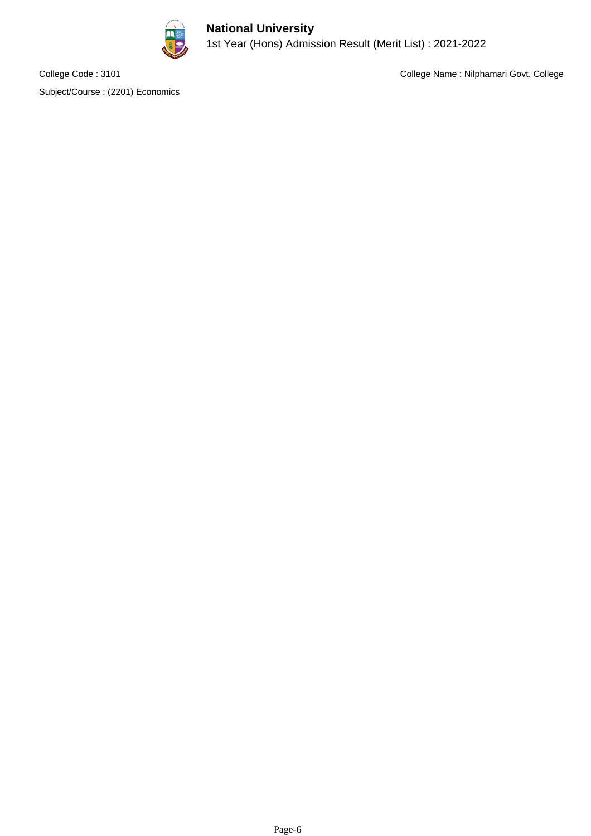

#### **National University** 1st Year (Hons) Admission Result (Merit List) : 2021-2022

Subject/Course : (2201) Economics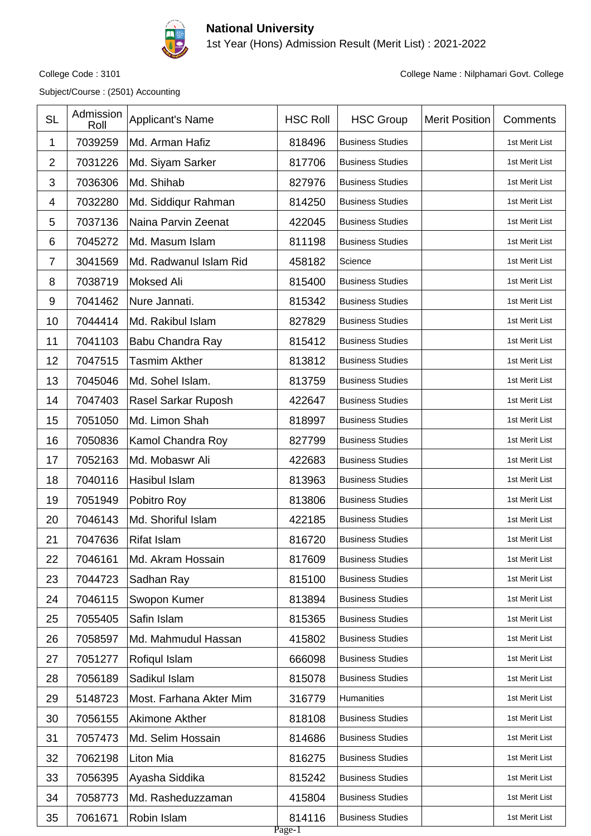

1st Year (Hons) Admission Result (Merit List) : 2021-2022

Subject/Course : (2501) Accounting

| <b>SL</b>      | Admission<br>Roll | Applicant's Name        | <b>HSC Roll</b>  | <b>HSC Group</b>        | <b>Merit Position</b> | Comments       |
|----------------|-------------------|-------------------------|------------------|-------------------------|-----------------------|----------------|
| 1              | 7039259           | Md. Arman Hafiz         | 818496           | <b>Business Studies</b> |                       | 1st Merit List |
| $\overline{2}$ | 7031226           | Md. Siyam Sarker        | 817706           | <b>Business Studies</b> |                       | 1st Merit List |
| 3              | 7036306           | Md. Shihab              | 827976           | <b>Business Studies</b> |                       | 1st Merit List |
| 4              | 7032280           | Md. Siddiqur Rahman     | 814250           | <b>Business Studies</b> |                       | 1st Merit List |
| 5              | 7037136           | Naina Parvin Zeenat     | 422045           | <b>Business Studies</b> |                       | 1st Merit List |
| 6              | 7045272           | Md. Masum Islam         | 811198           | <b>Business Studies</b> |                       | 1st Merit List |
| $\overline{7}$ | 3041569           | Md. Radwanul Islam Rid  | 458182           | Science                 |                       | 1st Merit List |
| 8              | 7038719           | <b>Moksed Ali</b>       | 815400           | <b>Business Studies</b> |                       | 1st Merit List |
| 9              | 7041462           | Nure Jannati.           | 815342           | <b>Business Studies</b> |                       | 1st Merit List |
| 10             | 7044414           | Md. Rakibul Islam       | 827829           | <b>Business Studies</b> |                       | 1st Merit List |
| 11             | 7041103           | Babu Chandra Ray        | 815412           | <b>Business Studies</b> |                       | 1st Merit List |
| 12             | 7047515           | <b>Tasmim Akther</b>    | 813812           | <b>Business Studies</b> |                       | 1st Merit List |
| 13             | 7045046           | Md. Sohel Islam.        | 813759           | <b>Business Studies</b> |                       | 1st Merit List |
| 14             | 7047403           | Rasel Sarkar Ruposh     | 422647           | <b>Business Studies</b> |                       | 1st Merit List |
| 15             | 7051050           | Md. Limon Shah          | 818997           | <b>Business Studies</b> |                       | 1st Merit List |
| 16             | 7050836           | Kamol Chandra Roy       | 827799           | <b>Business Studies</b> |                       | 1st Merit List |
| 17             | 7052163           | Md. Mobaswr Ali         | 422683           | <b>Business Studies</b> |                       | 1st Merit List |
| 18             | 7040116           | Hasibul Islam           | 813963           | <b>Business Studies</b> |                       | 1st Merit List |
| 19             | 7051949           | Pobitro Roy             | 813806           | <b>Business Studies</b> |                       | 1st Merit List |
| 20             | 7046143           | Md. Shoriful Islam      | 422185           | <b>Business Studies</b> |                       | 1st Merit List |
| 21             | 7047636           | <b>Rifat Islam</b>      | 816720           | <b>Business Studies</b> |                       | 1st Merit List |
| 22             | 7046161           | Md. Akram Hossain       | 817609           | <b>Business Studies</b> |                       | 1st Merit List |
| 23             | 7044723           | Sadhan Ray              | 815100           | <b>Business Studies</b> |                       | 1st Merit List |
| 24             | 7046115           | Swopon Kumer            | 813894           | <b>Business Studies</b> |                       | 1st Merit List |
| 25             | 7055405           | Safin Islam             | 815365           | <b>Business Studies</b> |                       | 1st Merit List |
| 26             | 7058597           | Md. Mahmudul Hassan     | 415802           | <b>Business Studies</b> |                       | 1st Merit List |
| 27             | 7051277           | Rofiqul Islam           | 666098           | <b>Business Studies</b> |                       | 1st Merit List |
| 28             | 7056189           | Sadikul Islam           | 815078           | <b>Business Studies</b> |                       | 1st Merit List |
| 29             | 5148723           | Most. Farhana Akter Mim | 316779           | Humanities              |                       | 1st Merit List |
| 30             | 7056155           | Akimone Akther          | 818108           | <b>Business Studies</b> |                       | 1st Merit List |
| 31             | 7057473           | Md. Selim Hossain       | 814686           | <b>Business Studies</b> |                       | 1st Merit List |
| 32             | 7062198           | Liton Mia               | 816275           | <b>Business Studies</b> |                       | 1st Merit List |
| 33             | 7056395           | Ayasha Siddika          | 815242           | <b>Business Studies</b> |                       | 1st Merit List |
| 34             | 7058773           | Md. Rasheduzzaman       | 415804           | <b>Business Studies</b> |                       | 1st Merit List |
| 35             | 7061671           | Robin Islam             | 814116<br>Page-1 | <b>Business Studies</b> |                       | 1st Merit List |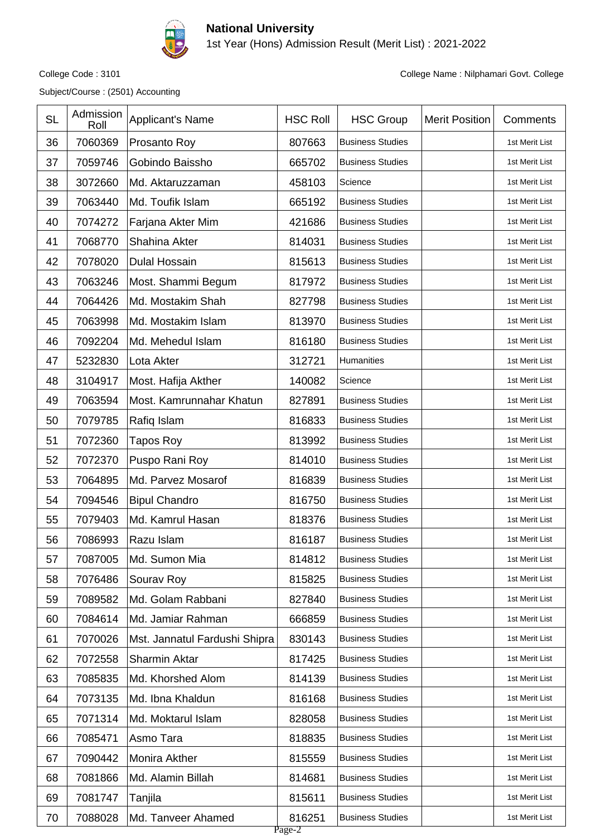

1st Year (Hons) Admission Result (Merit List) : 2021-2022

Subject/Course : (2501) Accounting

| <b>SL</b> | Admission<br>Roll | Applicant's Name              | <b>HSC Roll</b>  | <b>HSC Group</b>        | <b>Merit Position</b> | Comments       |
|-----------|-------------------|-------------------------------|------------------|-------------------------|-----------------------|----------------|
| 36        | 7060369           | Prosanto Roy                  | 807663           | <b>Business Studies</b> |                       | 1st Merit List |
| 37        | 7059746           | Gobindo Baissho               | 665702           | <b>Business Studies</b> |                       | 1st Merit List |
| 38        | 3072660           | Md. Aktaruzzaman              | 458103           | Science                 |                       | 1st Merit List |
| 39        | 7063440           | Md. Toufik Islam              | 665192           | <b>Business Studies</b> |                       | 1st Merit List |
| 40        | 7074272           | Farjana Akter Mim             | 421686           | <b>Business Studies</b> |                       | 1st Merit List |
| 41        | 7068770           | Shahina Akter                 | 814031           | <b>Business Studies</b> |                       | 1st Merit List |
| 42        | 7078020           | <b>Dulal Hossain</b>          | 815613           | <b>Business Studies</b> |                       | 1st Merit List |
| 43        | 7063246           | Most. Shammi Begum            | 817972           | <b>Business Studies</b> |                       | 1st Merit List |
| 44        | 7064426           | Md. Mostakim Shah             | 827798           | <b>Business Studies</b> |                       | 1st Merit List |
| 45        | 7063998           | Md. Mostakim Islam            | 813970           | <b>Business Studies</b> |                       | 1st Merit List |
| 46        | 7092204           | Md. Mehedul Islam             | 816180           | <b>Business Studies</b> |                       | 1st Merit List |
| 47        | 5232830           | Lota Akter                    | 312721           | Humanities              |                       | 1st Merit List |
| 48        | 3104917           | Most. Hafija Akther           | 140082           | Science                 |                       | 1st Merit List |
| 49        | 7063594           | Most. Kamrunnahar Khatun      | 827891           | <b>Business Studies</b> |                       | 1st Merit List |
| 50        | 7079785           | Rafiq Islam                   | 816833           | <b>Business Studies</b> |                       | 1st Merit List |
| 51        | 7072360           | Tapos Roy                     | 813992           | <b>Business Studies</b> |                       | 1st Merit List |
| 52        | 7072370           | Puspo Rani Roy                | 814010           | <b>Business Studies</b> |                       | 1st Merit List |
| 53        | 7064895           | Md. Parvez Mosarof            | 816839           | <b>Business Studies</b> |                       | 1st Merit List |
| 54        | 7094546           | <b>Bipul Chandro</b>          | 816750           | <b>Business Studies</b> |                       | 1st Merit List |
| 55        | 7079403           | Md. Kamrul Hasan              | 818376           | <b>Business Studies</b> |                       | 1st Merit List |
| 56        | 7086993           | Razu Islam                    | 816187           | <b>Business Studies</b> |                       | 1st Merit List |
| 57        | 7087005           | Md. Sumon Mia                 | 814812           | <b>Business Studies</b> |                       | 1st Merit List |
| 58        | 7076486           | Sourav Roy                    | 815825           | <b>Business Studies</b> |                       | 1st Merit List |
| 59        | 7089582           | Md. Golam Rabbani             | 827840           | <b>Business Studies</b> |                       | 1st Merit List |
| 60        | 7084614           | Md. Jamiar Rahman             | 666859           | <b>Business Studies</b> |                       | 1st Merit List |
| 61        | 7070026           | Mst. Jannatul Fardushi Shipra | 830143           | <b>Business Studies</b> |                       | 1st Merit List |
| 62        | 7072558           | <b>Sharmin Aktar</b>          | 817425           | <b>Business Studies</b> |                       | 1st Merit List |
| 63        | 7085835           | Md. Khorshed Alom             | 814139           | <b>Business Studies</b> |                       | 1st Merit List |
| 64        | 7073135           | Md. Ibna Khaldun              | 816168           | <b>Business Studies</b> |                       | 1st Merit List |
| 65        | 7071314           | Md. Moktarul Islam            | 828058           | <b>Business Studies</b> |                       | 1st Merit List |
| 66        | 7085471           | Asmo Tara                     | 818835           | <b>Business Studies</b> |                       | 1st Merit List |
| 67        | 7090442           | Monira Akther                 | 815559           | <b>Business Studies</b> |                       | 1st Merit List |
| 68        | 7081866           | Md. Alamin Billah             | 814681           | <b>Business Studies</b> |                       | 1st Merit List |
| 69        | 7081747           | Tanjila                       | 815611           | <b>Business Studies</b> |                       | 1st Merit List |
| 70        | 7088028           | Md. Tanveer Ahamed            | 816251<br>Page-2 | <b>Business Studies</b> |                       | 1st Merit List |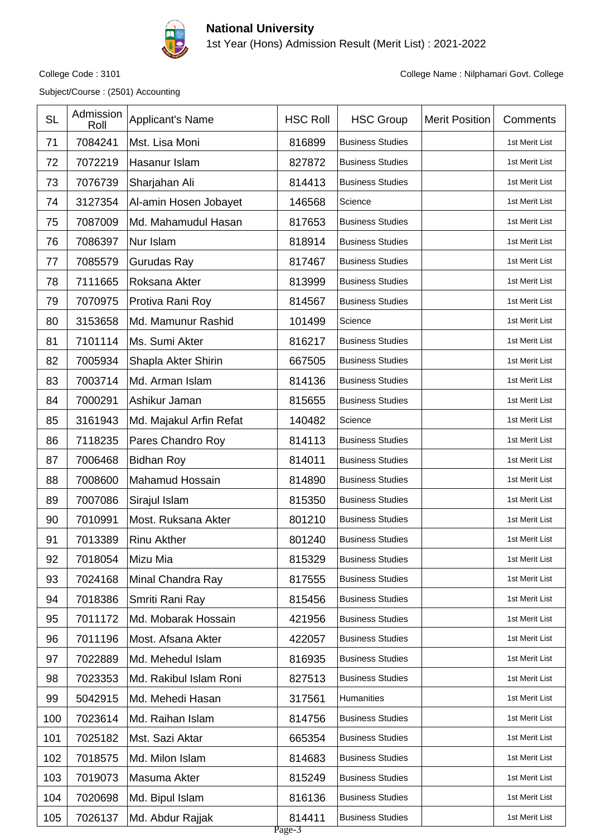

1st Year (Hons) Admission Result (Merit List) : 2021-2022

Subject/Course : (2501) Accounting

| <b>SL</b> | Admission<br>Roll | Applicant's Name        | <b>HSC Roll</b>  | <b>HSC Group</b>        | <b>Merit Position</b> | Comments       |
|-----------|-------------------|-------------------------|------------------|-------------------------|-----------------------|----------------|
| 71        | 7084241           | Mst. Lisa Moni          | 816899           | <b>Business Studies</b> |                       | 1st Merit List |
| 72        | 7072219           | Hasanur Islam           | 827872           | <b>Business Studies</b> |                       | 1st Merit List |
| 73        | 7076739           | Sharjahan Ali           | 814413           | <b>Business Studies</b> |                       | 1st Merit List |
| 74        | 3127354           | Al-amin Hosen Jobayet   | 146568           | Science                 |                       | 1st Merit List |
| 75        | 7087009           | Md. Mahamudul Hasan     | 817653           | <b>Business Studies</b> |                       | 1st Merit List |
| 76        | 7086397           | Nur Islam               | 818914           | <b>Business Studies</b> |                       | 1st Merit List |
| 77        | 7085579           | Gurudas Ray             | 817467           | <b>Business Studies</b> |                       | 1st Merit List |
| 78        | 7111665           | Roksana Akter           | 813999           | <b>Business Studies</b> |                       | 1st Merit List |
| 79        | 7070975           | Protiva Rani Roy        | 814567           | <b>Business Studies</b> |                       | 1st Merit List |
| 80        | 3153658           | Md. Mamunur Rashid      | 101499           | Science                 |                       | 1st Merit List |
| 81        | 7101114           | Ms. Sumi Akter          | 816217           | <b>Business Studies</b> |                       | 1st Merit List |
| 82        | 7005934           | Shapla Akter Shirin     | 667505           | <b>Business Studies</b> |                       | 1st Merit List |
| 83        | 7003714           | Md. Arman Islam         | 814136           | <b>Business Studies</b> |                       | 1st Merit List |
| 84        | 7000291           | Ashikur Jaman           | 815655           | <b>Business Studies</b> |                       | 1st Merit List |
| 85        | 3161943           | Md. Majakul Arfin Refat | 140482           | Science                 |                       | 1st Merit List |
| 86        | 7118235           | Pares Chandro Roy       | 814113           | <b>Business Studies</b> |                       | 1st Merit List |
| 87        | 7006468           | <b>Bidhan Roy</b>       | 814011           | <b>Business Studies</b> |                       | 1st Merit List |
| 88        | 7008600           | <b>Mahamud Hossain</b>  | 814890           | <b>Business Studies</b> |                       | 1st Merit List |
| 89        | 7007086           | Sirajul Islam           | 815350           | <b>Business Studies</b> |                       | 1st Merit List |
| 90        | 7010991           | Most. Ruksana Akter     | 801210           | <b>Business Studies</b> |                       | 1st Merit List |
| 91        | 7013389           | <b>Rinu Akther</b>      | 801240           | <b>Business Studies</b> |                       | 1st Merit List |
| 92        | 7018054           | Mizu Mia                | 815329           | <b>Business Studies</b> |                       | 1st Merit List |
| 93        | 7024168           | Minal Chandra Ray       | 817555           | <b>Business Studies</b> |                       | 1st Merit List |
| 94        | 7018386           | Smriti Rani Ray         | 815456           | <b>Business Studies</b> |                       | 1st Merit List |
| 95        | 7011172           | Md. Mobarak Hossain     | 421956           | <b>Business Studies</b> |                       | 1st Merit List |
| 96        | 7011196           | Most. Afsana Akter      | 422057           | <b>Business Studies</b> |                       | 1st Merit List |
| 97        | 7022889           | Md. Mehedul Islam       | 816935           | <b>Business Studies</b> |                       | 1st Merit List |
| 98        | 7023353           | Md. Rakibul Islam Roni  | 827513           | <b>Business Studies</b> |                       | 1st Merit List |
| 99        | 5042915           | Md. Mehedi Hasan        | 317561           | Humanities              |                       | 1st Merit List |
| 100       | 7023614           | Md. Raihan Islam        | 814756           | <b>Business Studies</b> |                       | 1st Merit List |
| 101       | 7025182           | Mst. Sazi Aktar         | 665354           | <b>Business Studies</b> |                       | 1st Merit List |
| 102       | 7018575           | Md. Milon Islam         | 814683           | <b>Business Studies</b> |                       | 1st Merit List |
| 103       | 7019073           | Masuma Akter            | 815249           | <b>Business Studies</b> |                       | 1st Merit List |
| 104       | 7020698           | Md. Bipul Islam         | 816136           | <b>Business Studies</b> |                       | 1st Merit List |
| 105       | 7026137           | Md. Abdur Rajjak        | 814411<br>Page-3 | <b>Business Studies</b> |                       | 1st Merit List |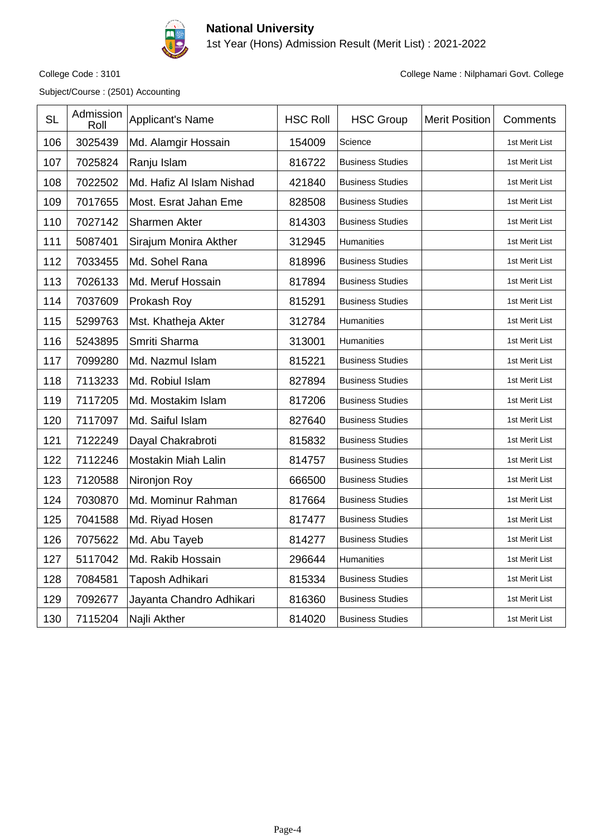

#### **National University** 1st Year (Hons) Admission Result (Merit List) : 2021-2022

Subject/Course : (2501) Accounting

| <b>SL</b> | Admission<br>Roll | <b>Applicant's Name</b>    | <b>HSC Roll</b> | <b>HSC Group</b>        | <b>Merit Position</b> | Comments       |
|-----------|-------------------|----------------------------|-----------------|-------------------------|-----------------------|----------------|
| 106       | 3025439           | Md. Alamgir Hossain        | 154009          | Science                 |                       | 1st Merit List |
| 107       | 7025824           | Ranju Islam                | 816722          | <b>Business Studies</b> |                       | 1st Merit List |
| 108       | 7022502           | Md. Hafiz Al Islam Nishad  | 421840          | <b>Business Studies</b> |                       | 1st Merit List |
| 109       | 7017655           | Most. Esrat Jahan Eme      | 828508          | <b>Business Studies</b> |                       | 1st Merit List |
| 110       | 7027142           | Sharmen Akter              | 814303          | <b>Business Studies</b> |                       | 1st Merit List |
| 111       | 5087401           | Sirajum Monira Akther      | 312945          | Humanities              |                       | 1st Merit List |
| 112       | 7033455           | Md. Sohel Rana             | 818996          | <b>Business Studies</b> |                       | 1st Merit List |
| 113       | 7026133           | Md. Meruf Hossain          | 817894          | <b>Business Studies</b> |                       | 1st Merit List |
| 114       | 7037609           | Prokash Roy                | 815291          | <b>Business Studies</b> |                       | 1st Merit List |
| 115       | 5299763           | Mst. Khatheja Akter        | 312784          | Humanities              |                       | 1st Merit List |
| 116       | 5243895           | Smriti Sharma              | 313001          | Humanities              |                       | 1st Merit List |
| 117       | 7099280           | Md. Nazmul Islam           | 815221          | <b>Business Studies</b> |                       | 1st Merit List |
| 118       | 7113233           | Md. Robiul Islam           | 827894          | <b>Business Studies</b> |                       | 1st Merit List |
| 119       | 7117205           | Md. Mostakim Islam         | 817206          | <b>Business Studies</b> |                       | 1st Merit List |
| 120       | 7117097           | Md. Saiful Islam           | 827640          | <b>Business Studies</b> |                       | 1st Merit List |
| 121       | 7122249           | Dayal Chakrabroti          | 815832          | <b>Business Studies</b> |                       | 1st Merit List |
| 122       | 7112246           | <b>Mostakin Miah Lalin</b> | 814757          | <b>Business Studies</b> |                       | 1st Merit List |
| 123       | 7120588           | Nironjon Roy               | 666500          | <b>Business Studies</b> |                       | 1st Merit List |
| 124       | 7030870           | Md. Mominur Rahman         | 817664          | <b>Business Studies</b> |                       | 1st Merit List |
| 125       | 7041588           | Md. Riyad Hosen            | 817477          | <b>Business Studies</b> |                       | 1st Merit List |
| 126       | 7075622           | Md. Abu Tayeb              | 814277          | <b>Business Studies</b> |                       | 1st Merit List |
| 127       | 5117042           | Md. Rakib Hossain          | 296644          | Humanities              |                       | 1st Merit List |
| 128       | 7084581           | Taposh Adhikari            | 815334          | <b>Business Studies</b> |                       | 1st Merit List |
| 129       | 7092677           | Jayanta Chandro Adhikari   | 816360          | <b>Business Studies</b> |                       | 1st Merit List |
| 130       | 7115204           | Najli Akther               | 814020          | <b>Business Studies</b> |                       | 1st Merit List |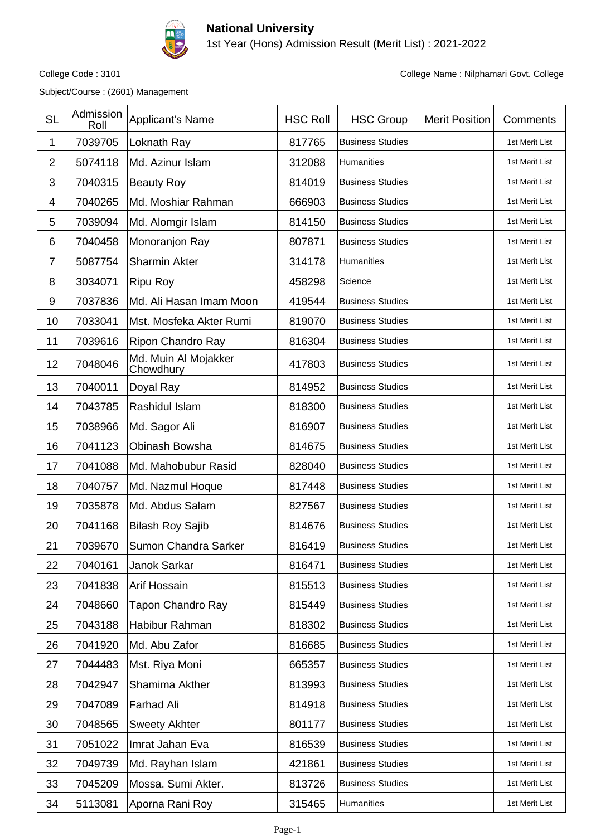

1st Year (Hons) Admission Result (Merit List) : 2021-2022

Subject/Course : (2601) Management

| <b>SL</b>      | Admission<br>Roll | Applicant's Name                  | <b>HSC Roll</b> | <b>HSC Group</b>        | <b>Merit Position</b> | Comments       |
|----------------|-------------------|-----------------------------------|-----------------|-------------------------|-----------------------|----------------|
| 1              | 7039705           | Loknath Ray                       | 817765          | <b>Business Studies</b> |                       | 1st Merit List |
| 2              | 5074118           | Md. Azinur Islam                  | 312088          | Humanities              |                       | 1st Merit List |
| 3              | 7040315           | <b>Beauty Roy</b>                 | 814019          | <b>Business Studies</b> |                       | 1st Merit List |
| 4              | 7040265           | Md. Moshiar Rahman                | 666903          | <b>Business Studies</b> |                       | 1st Merit List |
| 5              | 7039094           | Md. Alomgir Islam                 | 814150          | <b>Business Studies</b> |                       | 1st Merit List |
| 6              | 7040458           | Monoranjon Ray                    | 807871          | <b>Business Studies</b> |                       | 1st Merit List |
| $\overline{7}$ | 5087754           | <b>Sharmin Akter</b>              | 314178          | Humanities              |                       | 1st Merit List |
| 8              | 3034071           | <b>Ripu Roy</b>                   | 458298          | Science                 |                       | 1st Merit List |
| 9              | 7037836           | Md. Ali Hasan Imam Moon           | 419544          | <b>Business Studies</b> |                       | 1st Merit List |
| 10             | 7033041           | Mst. Mosfeka Akter Rumi           | 819070          | <b>Business Studies</b> |                       | 1st Merit List |
| 11             | 7039616           | Ripon Chandro Ray                 | 816304          | <b>Business Studies</b> |                       | 1st Merit List |
| 12             | 7048046           | Md. Muin Al Mojakker<br>Chowdhury | 417803          | <b>Business Studies</b> |                       | 1st Merit List |
| 13             | 7040011           | Doyal Ray                         | 814952          | <b>Business Studies</b> |                       | 1st Merit List |
| 14             | 7043785           | Rashidul Islam                    | 818300          | <b>Business Studies</b> |                       | 1st Merit List |
| 15             | 7038966           | Md. Sagor Ali                     | 816907          | <b>Business Studies</b> |                       | 1st Merit List |
| 16             | 7041123           | Obinash Bowsha                    | 814675          | <b>Business Studies</b> |                       | 1st Merit List |
| 17             | 7041088           | Md. Mahobubur Rasid               | 828040          | <b>Business Studies</b> |                       | 1st Merit List |
| 18             | 7040757           | Md. Nazmul Hoque                  | 817448          | <b>Business Studies</b> |                       | 1st Merit List |
| 19             | 7035878           | Md. Abdus Salam                   | 827567          | <b>Business Studies</b> |                       | 1st Merit List |
| 20             | 7041168           | <b>Bilash Roy Sajib</b>           | 814676          | <b>Business Studies</b> |                       | 1st Merit List |
| 21             | 7039670           | Sumon Chandra Sarker              | 816419          | <b>Business Studies</b> |                       | 1st Merit List |
| 22             | 7040161           | Janok Sarkar                      | 816471          | <b>Business Studies</b> |                       | 1st Merit List |
| 23             | 7041838           | Arif Hossain                      | 815513          | <b>Business Studies</b> |                       | 1st Merit List |
| 24             | 7048660           | <b>Tapon Chandro Ray</b>          | 815449          | <b>Business Studies</b> |                       | 1st Merit List |
| 25             | 7043188           | Habibur Rahman                    | 818302          | <b>Business Studies</b> |                       | 1st Merit List |
| 26             | 7041920           | Md. Abu Zafor                     | 816685          | <b>Business Studies</b> |                       | 1st Merit List |
| 27             | 7044483           | Mst. Riya Moni                    | 665357          | <b>Business Studies</b> |                       | 1st Merit List |
| 28             | 7042947           | Shamima Akther                    | 813993          | <b>Business Studies</b> |                       | 1st Merit List |
| 29             | 7047089           | Farhad Ali                        | 814918          | <b>Business Studies</b> |                       | 1st Merit List |
| 30             | 7048565           | <b>Sweety Akhter</b>              | 801177          | <b>Business Studies</b> |                       | 1st Merit List |
| 31             | 7051022           | Imrat Jahan Eva                   | 816539          | <b>Business Studies</b> |                       | 1st Merit List |
| 32             | 7049739           | Md. Rayhan Islam                  | 421861          | <b>Business Studies</b> |                       | 1st Merit List |
| 33             | 7045209           | Mossa. Sumi Akter.                | 813726          | <b>Business Studies</b> |                       | 1st Merit List |
| 34             | 5113081           | Aporna Rani Roy                   | 315465          | Humanities              |                       | 1st Merit List |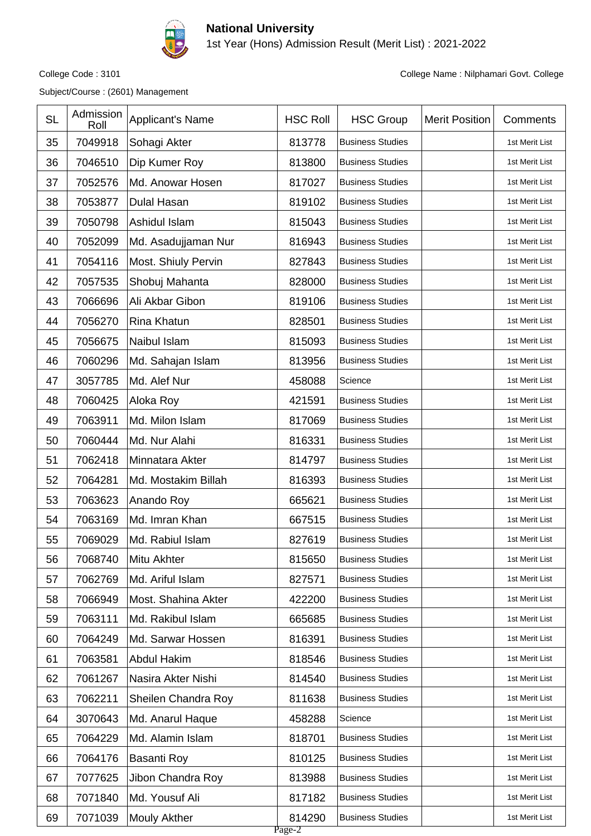

1st Year (Hons) Admission Result (Merit List) : 2021-2022

Subject/Course : (2601) Management

|    |         |                     | <b>HSC Roll</b>  | <b>HSC Group</b>        | <b>Merit Position</b> | Comments       |
|----|---------|---------------------|------------------|-------------------------|-----------------------|----------------|
| 35 | 7049918 | Sohagi Akter        | 813778           | <b>Business Studies</b> |                       | 1st Merit List |
| 36 | 7046510 | Dip Kumer Roy       | 813800           | <b>Business Studies</b> |                       | 1st Merit List |
| 37 | 7052576 | Md. Anowar Hosen    | 817027           | <b>Business Studies</b> |                       | 1st Merit List |
| 38 | 7053877 | <b>Dulal Hasan</b>  | 819102           | <b>Business Studies</b> |                       | 1st Merit List |
| 39 | 7050798 | Ashidul Islam       | 815043           | <b>Business Studies</b> |                       | 1st Merit List |
| 40 | 7052099 | Md. Asadujjaman Nur | 816943           | <b>Business Studies</b> |                       | 1st Merit List |
| 41 | 7054116 | Most. Shiuly Pervin | 827843           | <b>Business Studies</b> |                       | 1st Merit List |
| 42 | 7057535 | Shobuj Mahanta      | 828000           | <b>Business Studies</b> |                       | 1st Merit List |
| 43 | 7066696 | Ali Akbar Gibon     | 819106           | <b>Business Studies</b> |                       | 1st Merit List |
| 44 | 7056270 | Rina Khatun         | 828501           | <b>Business Studies</b> |                       | 1st Merit List |
| 45 | 7056675 | Naibul Islam        | 815093           | <b>Business Studies</b> |                       | 1st Merit List |
| 46 | 7060296 | Md. Sahajan Islam   | 813956           | <b>Business Studies</b> |                       | 1st Merit List |
| 47 | 3057785 | Md. Alef Nur        | 458088           | Science                 |                       | 1st Merit List |
| 48 | 7060425 | Aloka Roy           | 421591           | <b>Business Studies</b> |                       | 1st Merit List |
| 49 | 7063911 | Md. Milon Islam     | 817069           | <b>Business Studies</b> |                       | 1st Merit List |
| 50 | 7060444 | Md. Nur Alahi       | 816331           | <b>Business Studies</b> |                       | 1st Merit List |
| 51 | 7062418 | Minnatara Akter     | 814797           | <b>Business Studies</b> |                       | 1st Merit List |
| 52 | 7064281 | Md. Mostakim Billah | 816393           | <b>Business Studies</b> |                       | 1st Merit List |
| 53 | 7063623 | Anando Roy          | 665621           | <b>Business Studies</b> |                       | 1st Merit List |
| 54 | 7063169 | Md. Imran Khan      | 667515           | <b>Business Studies</b> |                       | 1st Merit List |
| 55 | 7069029 | Md. Rabiul Islam    | 827619           | <b>Business Studies</b> |                       | 1st Merit List |
| 56 | 7068740 | Mitu Akhter         | 815650           | <b>Business Studies</b> |                       | 1st Merit List |
| 57 | 7062769 | Md. Ariful Islam    | 827571           | <b>Business Studies</b> |                       | 1st Merit List |
| 58 | 7066949 | Most. Shahina Akter | 422200           | <b>Business Studies</b> |                       | 1st Merit List |
| 59 | 7063111 | Md. Rakibul Islam   | 665685           | <b>Business Studies</b> |                       | 1st Merit List |
| 60 | 7064249 | Md. Sarwar Hossen   | 816391           | <b>Business Studies</b> |                       | 1st Merit List |
| 61 | 7063581 | <b>Abdul Hakim</b>  | 818546           | <b>Business Studies</b> |                       | 1st Merit List |
| 62 | 7061267 | Nasira Akter Nishi  | 814540           | <b>Business Studies</b> |                       | 1st Merit List |
| 63 | 7062211 | Sheilen Chandra Roy | 811638           | <b>Business Studies</b> |                       | 1st Merit List |
| 64 | 3070643 | Md. Anarul Haque    | 458288           | Science                 |                       | 1st Merit List |
| 65 | 7064229 | Md. Alamin Islam    | 818701           | <b>Business Studies</b> |                       | 1st Merit List |
| 66 | 7064176 | <b>Basanti Roy</b>  | 810125           | <b>Business Studies</b> |                       | 1st Merit List |
| 67 | 7077625 | Jibon Chandra Roy   | 813988           | <b>Business Studies</b> |                       | 1st Merit List |
| 68 | 7071840 | Md. Yousuf Ali      | 817182           | <b>Business Studies</b> |                       | 1st Merit List |
| 69 | 7071039 | <b>Mouly Akther</b> | 814290<br>Page-2 | <b>Business Studies</b> |                       | 1st Merit List |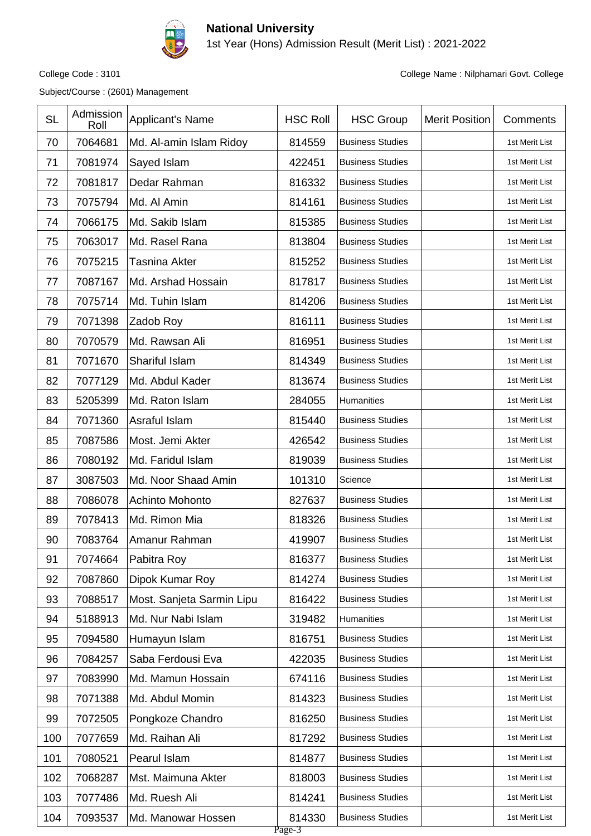

1st Year (Hons) Admission Result (Merit List) : 2021-2022

Subject/Course : (2601) Management

| <b>SL</b> | Admission<br>Roll | Applicant's Name          | <b>HSC Roll</b>  | <b>HSC Group</b>        | <b>Merit Position</b> | Comments       |
|-----------|-------------------|---------------------------|------------------|-------------------------|-----------------------|----------------|
| 70        | 7064681           | Md. Al-amin Islam Ridoy   | 814559           | <b>Business Studies</b> |                       | 1st Merit List |
| 71        | 7081974           | Sayed Islam               | 422451           | <b>Business Studies</b> |                       | 1st Merit List |
| 72        | 7081817           | Dedar Rahman              | 816332           | <b>Business Studies</b> |                       | 1st Merit List |
| 73        | 7075794           | Md. Al Amin               | 814161           | <b>Business Studies</b> |                       | 1st Merit List |
| 74        | 7066175           | Md. Sakib Islam           | 815385           | <b>Business Studies</b> |                       | 1st Merit List |
| 75        | 7063017           | Md. Rasel Rana            | 813804           | <b>Business Studies</b> |                       | 1st Merit List |
| 76        | 7075215           | Tasnina Akter             | 815252           | <b>Business Studies</b> |                       | 1st Merit List |
| 77        | 7087167           | Md. Arshad Hossain        | 817817           | <b>Business Studies</b> |                       | 1st Merit List |
| 78        | 7075714           | Md. Tuhin Islam           | 814206           | <b>Business Studies</b> |                       | 1st Merit List |
| 79        | 7071398           | Zadob Roy                 | 816111           | <b>Business Studies</b> |                       | 1st Merit List |
| 80        | 7070579           | Md. Rawsan Ali            | 816951           | <b>Business Studies</b> |                       | 1st Merit List |
| 81        | 7071670           | Shariful Islam            | 814349           | <b>Business Studies</b> |                       | 1st Merit List |
| 82        | 7077129           | Md. Abdul Kader           | 813674           | <b>Business Studies</b> |                       | 1st Merit List |
| 83        | 5205399           | Md. Raton Islam           | 284055           | Humanities              |                       | 1st Merit List |
| 84        | 7071360           | Asraful Islam             | 815440           | <b>Business Studies</b> |                       | 1st Merit List |
| 85        | 7087586           | Most. Jemi Akter          | 426542           | <b>Business Studies</b> |                       | 1st Merit List |
| 86        | 7080192           | Md. Faridul Islam         | 819039           | <b>Business Studies</b> |                       | 1st Merit List |
| 87        | 3087503           | Md. Noor Shaad Amin       | 101310           | Science                 |                       | 1st Merit List |
| 88        | 7086078           | Achinto Mohonto           | 827637           | <b>Business Studies</b> |                       | 1st Merit List |
| 89        | 7078413           | Md. Rimon Mia             | 818326           | <b>Business Studies</b> |                       | 1st Merit List |
| 90        | 7083764           | Amanur Rahman             | 419907           | <b>Business Studies</b> |                       | 1st Merit List |
| 91        | 7074664           | Pabitra Roy               | 816377           | <b>Business Studies</b> |                       | 1st Merit List |
| 92        | 7087860           | Dipok Kumar Roy           | 814274           | <b>Business Studies</b> |                       | 1st Merit List |
| 93        | 7088517           | Most. Sanjeta Sarmin Lipu | 816422           | <b>Business Studies</b> |                       | 1st Merit List |
| 94        | 5188913           | Md. Nur Nabi Islam        | 319482           | Humanities              |                       | 1st Merit List |
| 95        | 7094580           | Humayun Islam             | 816751           | <b>Business Studies</b> |                       | 1st Merit List |
| 96        | 7084257           | Saba Ferdousi Eva         | 422035           | <b>Business Studies</b> |                       | 1st Merit List |
| 97        | 7083990           | Md. Mamun Hossain         | 674116           | <b>Business Studies</b> |                       | 1st Merit List |
| 98        | 7071388           | Md. Abdul Momin           | 814323           | <b>Business Studies</b> |                       | 1st Merit List |
| 99        | 7072505           | Pongkoze Chandro          | 816250           | <b>Business Studies</b> |                       | 1st Merit List |
| 100       | 7077659           | Md. Raihan Ali            | 817292           | <b>Business Studies</b> |                       | 1st Merit List |
| 101       | 7080521           | Pearul Islam              | 814877           | <b>Business Studies</b> |                       | 1st Merit List |
| 102       | 7068287           | Mst. Maimuna Akter        | 818003           | <b>Business Studies</b> |                       | 1st Merit List |
| 103       | 7077486           | Md. Ruesh Ali             | 814241           | <b>Business Studies</b> |                       | 1st Merit List |
| 104       | 7093537           | Md. Manowar Hossen        | 814330<br>Page-3 | <b>Business Studies</b> |                       | 1st Merit List |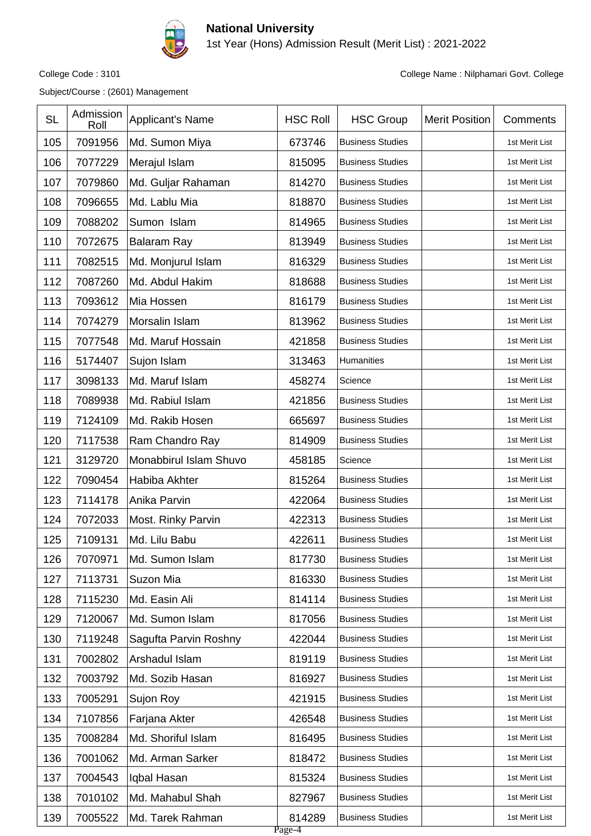

1st Year (Hons) Admission Result (Merit List) : 2021-2022

Subject/Course : (2601) Management

College Code : 3101 College Name : Nilphamari Govt. College

| <b>SL</b> | Admission<br>Roll | Applicant's Name       | <b>HSC Roll</b>  | <b>HSC Group</b>        | <b>Merit Position</b> | Comments       |
|-----------|-------------------|------------------------|------------------|-------------------------|-----------------------|----------------|
| 105       | 7091956           | Md. Sumon Miya         | 673746           | <b>Business Studies</b> |                       | 1st Merit List |
| 106       | 7077229           | Merajul Islam          | 815095           | <b>Business Studies</b> |                       | 1st Merit List |
| 107       | 7079860           | Md. Guljar Rahaman     | 814270           | <b>Business Studies</b> |                       | 1st Merit List |
| 108       | 7096655           | Md. Lablu Mia          | 818870           | <b>Business Studies</b> |                       | 1st Merit List |
| 109       | 7088202           | Sumon Islam            | 814965           | <b>Business Studies</b> |                       | 1st Merit List |
| 110       | 7072675           | <b>Balaram Ray</b>     | 813949           | <b>Business Studies</b> |                       | 1st Merit List |
| 111       | 7082515           | Md. Monjurul Islam     | 816329           | <b>Business Studies</b> |                       | 1st Merit List |
| 112       | 7087260           | Md. Abdul Hakim        | 818688           | <b>Business Studies</b> |                       | 1st Merit List |
| 113       | 7093612           | Mia Hossen             | 816179           | <b>Business Studies</b> |                       | 1st Merit List |
| 114       | 7074279           | Morsalin Islam         | 813962           | <b>Business Studies</b> |                       | 1st Merit List |
| 115       | 7077548           | Md. Maruf Hossain      | 421858           | <b>Business Studies</b> |                       | 1st Merit List |
| 116       | 5174407           | Sujon Islam            | 313463           | Humanities              |                       | 1st Merit List |
| 117       | 3098133           | Md. Maruf Islam        | 458274           | Science                 |                       | 1st Merit List |
| 118       | 7089938           | Md. Rabiul Islam       | 421856           | <b>Business Studies</b> |                       | 1st Merit List |
| 119       | 7124109           | Md. Rakib Hosen        | 665697           | <b>Business Studies</b> |                       | 1st Merit List |
| 120       | 7117538           | Ram Chandro Ray        | 814909           | <b>Business Studies</b> |                       | 1st Merit List |
| 121       | 3129720           | Monabbirul Islam Shuvo | 458185           | Science                 |                       | 1st Merit List |
| 122       | 7090454           | Habiba Akhter          | 815264           | <b>Business Studies</b> |                       | 1st Merit List |
| 123       | 7114178           | Anika Parvin           | 422064           | <b>Business Studies</b> |                       | 1st Merit List |
| 124       | 7072033           | Most. Rinky Parvin     | 422313           | <b>Business Studies</b> |                       | 1st Merit List |
| 125       | 7109131           | Md. Lilu Babu          | 422611           | <b>Business Studies</b> |                       | 1st Merit List |
| 126       | 7070971           | Md. Sumon Islam        | 817730           | <b>Business Studies</b> |                       | 1st Merit List |
| 127       | 7113731           | Suzon Mia              | 816330           | <b>Business Studies</b> |                       | 1st Merit List |
| 128       | 7115230           | Md. Easin Ali          | 814114           | <b>Business Studies</b> |                       | 1st Merit List |
| 129       | 7120067           | Md. Sumon Islam        | 817056           | <b>Business Studies</b> |                       | 1st Merit List |
| 130       | 7119248           | Sagufta Parvin Roshny  | 422044           | <b>Business Studies</b> |                       | 1st Merit List |
| 131       | 7002802           | Arshadul Islam         | 819119           | <b>Business Studies</b> |                       | 1st Merit List |
| 132       | 7003792           | Md. Sozib Hasan        | 816927           | <b>Business Studies</b> |                       | 1st Merit List |
| 133       | 7005291           | Sujon Roy              | 421915           | <b>Business Studies</b> |                       | 1st Merit List |
| 134       | 7107856           | Farjana Akter          | 426548           | <b>Business Studies</b> |                       | 1st Merit List |
| 135       | 7008284           | Md. Shoriful Islam     | 816495           | <b>Business Studies</b> |                       | 1st Merit List |
| 136       | 7001062           | Md. Arman Sarker       | 818472           | <b>Business Studies</b> |                       | 1st Merit List |
| 137       | 7004543           | Iqbal Hasan            | 815324           | <b>Business Studies</b> |                       | 1st Merit List |
| 138       | 7010102           | Md. Mahabul Shah       | 827967           | <b>Business Studies</b> |                       | 1st Merit List |
| 139       | 7005522           | Md. Tarek Rahman       | 814289<br>Page-4 | <b>Business Studies</b> |                       | 1st Merit List |

Page-4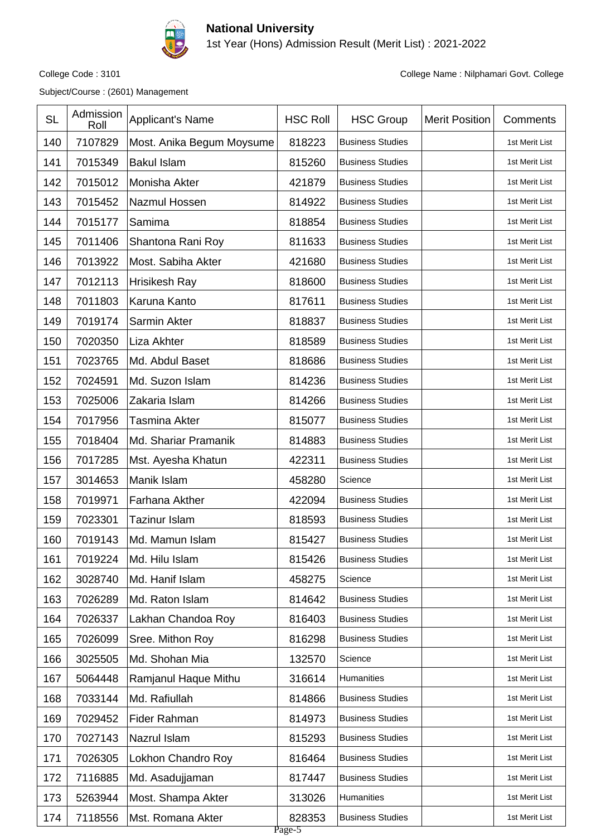

1st Year (Hons) Admission Result (Merit List) : 2021-2022

Subject/Course : (2601) Management

| <b>SL</b> | Admission<br>Roll | Applicant's Name          | <b>HSC Roll</b>  | <b>HSC Group</b>        | <b>Merit Position</b> | Comments       |
|-----------|-------------------|---------------------------|------------------|-------------------------|-----------------------|----------------|
| 140       | 7107829           | Most. Anika Begum Moysume | 818223           | <b>Business Studies</b> |                       | 1st Merit List |
| 141       | 7015349           | <b>Bakul Islam</b>        | 815260           | <b>Business Studies</b> |                       | 1st Merit List |
| 142       | 7015012           | Monisha Akter             | 421879           | <b>Business Studies</b> |                       | 1st Merit List |
| 143       | 7015452           | Nazmul Hossen             | 814922           | <b>Business Studies</b> |                       | 1st Merit List |
| 144       | 7015177           | Samima                    | 818854           | <b>Business Studies</b> |                       | 1st Merit List |
| 145       | 7011406           | Shantona Rani Roy         | 811633           | <b>Business Studies</b> |                       | 1st Merit List |
| 146       | 7013922           | Most. Sabiha Akter        | 421680           | <b>Business Studies</b> |                       | 1st Merit List |
| 147       | 7012113           | Hrisikesh Ray             | 818600           | <b>Business Studies</b> |                       | 1st Merit List |
| 148       | 7011803           | Karuna Kanto              | 817611           | <b>Business Studies</b> |                       | 1st Merit List |
| 149       | 7019174           | Sarmin Akter              | 818837           | <b>Business Studies</b> |                       | 1st Merit List |
| 150       | 7020350           | Liza Akhter               | 818589           | <b>Business Studies</b> |                       | 1st Merit List |
| 151       | 7023765           | Md. Abdul Baset           | 818686           | <b>Business Studies</b> |                       | 1st Merit List |
| 152       | 7024591           | Md. Suzon Islam           | 814236           | <b>Business Studies</b> |                       | 1st Merit List |
| 153       | 7025006           | Zakaria Islam             | 814266           | <b>Business Studies</b> |                       | 1st Merit List |
| 154       | 7017956           | Tasmina Akter             | 815077           | <b>Business Studies</b> |                       | 1st Merit List |
| 155       | 7018404           | Md. Shariar Pramanik      | 814883           | <b>Business Studies</b> |                       | 1st Merit List |
| 156       | 7017285           | Mst. Ayesha Khatun        | 422311           | <b>Business Studies</b> |                       | 1st Merit List |
| 157       | 3014653           | Manik Islam               | 458280           | Science                 |                       | 1st Merit List |
| 158       | 7019971           | Farhana Akther            | 422094           | <b>Business Studies</b> |                       | 1st Merit List |
| 159       | 7023301           | <b>Tazinur Islam</b>      | 818593           | <b>Business Studies</b> |                       | 1st Merit List |
| 160       | 7019143           | Md. Mamun Islam           | 815427           | <b>Business Studies</b> |                       | 1st Merit List |
| 161       | 7019224           | Md. Hilu Islam            | 815426           | <b>Business Studies</b> |                       | 1st Merit List |
| 162       | 3028740           | Md. Hanif Islam           | 458275           | Science                 |                       | 1st Merit List |
| 163       | 7026289           | Md. Raton Islam           | 814642           | <b>Business Studies</b> |                       | 1st Merit List |
| 164       | 7026337           | Lakhan Chandoa Roy        | 816403           | <b>Business Studies</b> |                       | 1st Merit List |
| 165       | 7026099           | Sree. Mithon Roy          | 816298           | <b>Business Studies</b> |                       | 1st Merit List |
| 166       | 3025505           | Md. Shohan Mia            | 132570           | Science                 |                       | 1st Merit List |
| 167       | 5064448           | Ramjanul Haque Mithu      | 316614           | Humanities              |                       | 1st Merit List |
| 168       | 7033144           | Md. Rafiullah             | 814866           | <b>Business Studies</b> |                       | 1st Merit List |
| 169       | 7029452           | <b>Fider Rahman</b>       | 814973           | <b>Business Studies</b> |                       | 1st Merit List |
| 170       | 7027143           | Nazrul Islam              | 815293           | <b>Business Studies</b> |                       | 1st Merit List |
| 171       | 7026305           | Lokhon Chandro Roy        | 816464           | <b>Business Studies</b> |                       | 1st Merit List |
| 172       | 7116885           | Md. Asadujjaman           | 817447           | <b>Business Studies</b> |                       | 1st Merit List |
| 173       | 5263944           | Most. Shampa Akter        | 313026           | Humanities              |                       | 1st Merit List |
| 174       | 7118556           | Mst. Romana Akter         | 828353<br>Page-5 | <b>Business Studies</b> |                       | 1st Merit List |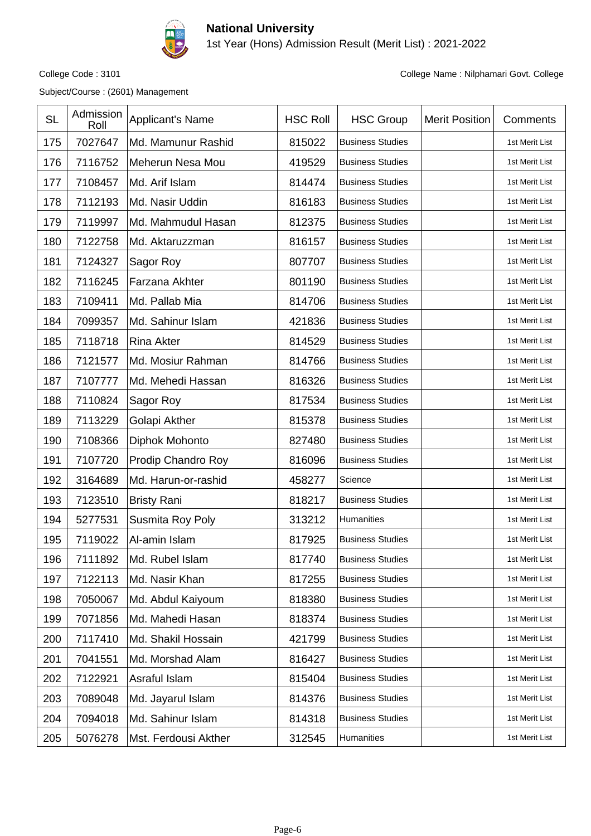

1st Year (Hons) Admission Result (Merit List) : 2021-2022

Subject/Course : (2601) Management

| <b>SL</b> | Admission<br>Roll | <b>Applicant's Name</b> | <b>HSC Roll</b> | <b>HSC Group</b>        | <b>Merit Position</b> | Comments       |
|-----------|-------------------|-------------------------|-----------------|-------------------------|-----------------------|----------------|
| 175       | 7027647           | Md. Mamunur Rashid      | 815022          | <b>Business Studies</b> |                       | 1st Merit List |
| 176       | 7116752           | Meherun Nesa Mou        | 419529          | <b>Business Studies</b> |                       | 1st Merit List |
| 177       | 7108457           | Md. Arif Islam          | 814474          | <b>Business Studies</b> |                       | 1st Merit List |
| 178       | 7112193           | Md. Nasir Uddin         | 816183          | <b>Business Studies</b> |                       | 1st Merit List |
| 179       | 7119997           | Md. Mahmudul Hasan      | 812375          | <b>Business Studies</b> |                       | 1st Merit List |
| 180       | 7122758           | Md. Aktaruzzman         | 816157          | <b>Business Studies</b> |                       | 1st Merit List |
| 181       | 7124327           | Sagor Roy               | 807707          | <b>Business Studies</b> |                       | 1st Merit List |
| 182       | 7116245           | Farzana Akhter          | 801190          | <b>Business Studies</b> |                       | 1st Merit List |
| 183       | 7109411           | Md. Pallab Mia          | 814706          | <b>Business Studies</b> |                       | 1st Merit List |
| 184       | 7099357           | Md. Sahinur Islam       | 421836          | <b>Business Studies</b> |                       | 1st Merit List |
| 185       | 7118718           | <b>Rina Akter</b>       | 814529          | <b>Business Studies</b> |                       | 1st Merit List |
| 186       | 7121577           | Md. Mosiur Rahman       | 814766          | <b>Business Studies</b> |                       | 1st Merit List |
| 187       | 7107777           | Md. Mehedi Hassan       | 816326          | <b>Business Studies</b> |                       | 1st Merit List |
| 188       | 7110824           | Sagor Roy               | 817534          | <b>Business Studies</b> |                       | 1st Merit List |
| 189       | 7113229           | Golapi Akther           | 815378          | <b>Business Studies</b> |                       | 1st Merit List |
| 190       | 7108366           | Diphok Mohonto          | 827480          | <b>Business Studies</b> |                       | 1st Merit List |
| 191       | 7107720           | Prodip Chandro Roy      | 816096          | <b>Business Studies</b> |                       | 1st Merit List |
| 192       | 3164689           | Md. Harun-or-rashid     | 458277          | Science                 |                       | 1st Merit List |
| 193       | 7123510           | <b>Bristy Rani</b>      | 818217          | <b>Business Studies</b> |                       | 1st Merit List |
| 194       | 5277531           | Susmita Roy Poly        | 313212          | Humanities              |                       | 1st Merit List |
| 195       | 7119022           | Al-amin Islam           | 817925          | <b>Business Studies</b> |                       | 1st Merit List |
| 196       | 7111892           | Md. Rubel Islam         | 817740          | <b>Business Studies</b> |                       | 1st Merit List |
| 197       | 7122113           | Md. Nasir Khan          | 817255          | <b>Business Studies</b> |                       | 1st Merit List |
| 198       | 7050067           | Md. Abdul Kaiyoum       | 818380          | <b>Business Studies</b> |                       | 1st Merit List |
| 199       | 7071856           | Md. Mahedi Hasan        | 818374          | <b>Business Studies</b> |                       | 1st Merit List |
| 200       | 7117410           | Md. Shakil Hossain      | 421799          | <b>Business Studies</b> |                       | 1st Merit List |
| 201       | 7041551           | Md. Morshad Alam        | 816427          | <b>Business Studies</b> |                       | 1st Merit List |
| 202       | 7122921           | Asraful Islam           | 815404          | <b>Business Studies</b> |                       | 1st Merit List |
| 203       | 7089048           | Md. Jayarul Islam       | 814376          | <b>Business Studies</b> |                       | 1st Merit List |
| 204       | 7094018           | Md. Sahinur Islam       | 814318          | <b>Business Studies</b> |                       | 1st Merit List |
| 205       | 5076278           | Mst. Ferdousi Akther    | 312545          | Humanities              |                       | 1st Merit List |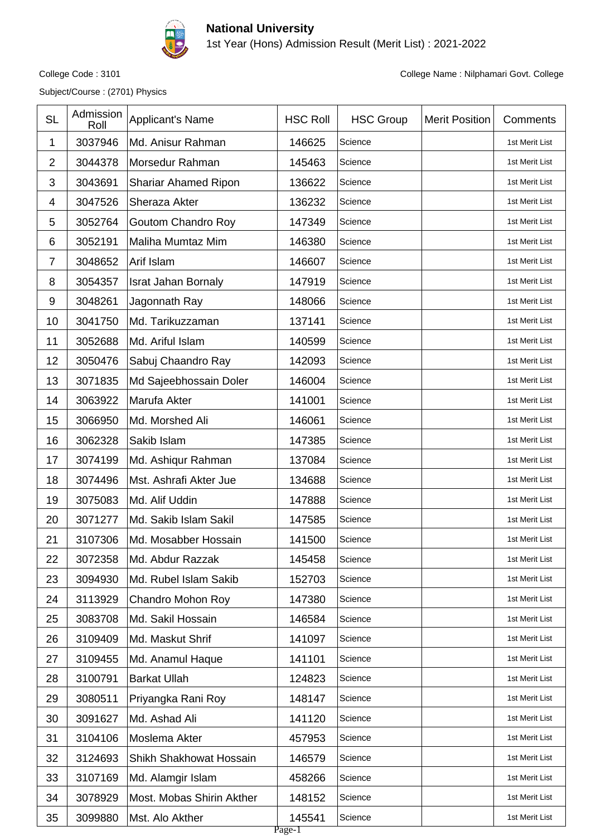

1st Year (Hons) Admission Result (Merit List) : 2021-2022

Subject/Course : (2701) Physics

| <b>SL</b>      | Admission<br>Roll | Applicant's Name            | <b>HSC Roll</b>  | <b>HSC Group</b> | <b>Merit Position</b> | Comments       |
|----------------|-------------------|-----------------------------|------------------|------------------|-----------------------|----------------|
| 1              | 3037946           | Md. Anisur Rahman           | 146625           | Science          |                       | 1st Merit List |
| $\overline{2}$ | 3044378           | Morsedur Rahman             | 145463           | Science          |                       | 1st Merit List |
| 3              | 3043691           | <b>Shariar Ahamed Ripon</b> | 136622           | Science          |                       | 1st Merit List |
| 4              | 3047526           | Sheraza Akter               | 136232           | Science          |                       | 1st Merit List |
| 5              | 3052764           | <b>Goutom Chandro Roy</b>   | 147349           | Science          |                       | 1st Merit List |
| 6              | 3052191           | Maliha Mumtaz Mim           | 146380           | Science          |                       | 1st Merit List |
| $\overline{7}$ | 3048652           | Arif Islam                  | 146607           | Science          |                       | 1st Merit List |
| 8              | 3054357           | <b>Israt Jahan Bornaly</b>  | 147919           | Science          |                       | 1st Merit List |
| 9              | 3048261           | Jagonnath Ray               | 148066           | Science          |                       | 1st Merit List |
| 10             | 3041750           | Md. Tarikuzzaman            | 137141           | Science          |                       | 1st Merit List |
| 11             | 3052688           | Md. Ariful Islam            | 140599           | Science          |                       | 1st Merit List |
| 12             | 3050476           | Sabuj Chaandro Ray          | 142093           | Science          |                       | 1st Merit List |
| 13             | 3071835           | Md Sajeebhossain Doler      | 146004           | Science          |                       | 1st Merit List |
| 14             | 3063922           | Marufa Akter                | 141001           | Science          |                       | 1st Merit List |
| 15             | 3066950           | Md. Morshed Ali             | 146061           | Science          |                       | 1st Merit List |
| 16             | 3062328           | Sakib Islam                 | 147385           | Science          |                       | 1st Merit List |
| 17             | 3074199           | Md. Ashiqur Rahman          | 137084           | Science          |                       | 1st Merit List |
| 18             | 3074496           | Mst. Ashrafi Akter Jue      | 134688           | Science          |                       | 1st Merit List |
| 19             | 3075083           | Md. Alif Uddin              | 147888           | Science          |                       | 1st Merit List |
| 20             | 3071277           | Md. Sakib Islam Sakil       | 147585           | Science          |                       | 1st Merit List |
| 21             | 3107306           | Md. Mosabber Hossain        | 141500           | Science          |                       | 1st Merit List |
| 22             | 3072358           | Md. Abdur Razzak            | 145458           | Science          |                       | 1st Merit List |
| 23             | 3094930           | Md. Rubel Islam Sakib       | 152703           | Science          |                       | 1st Merit List |
| 24             | 3113929           | Chandro Mohon Roy           | 147380           | Science          |                       | 1st Merit List |
| 25             | 3083708           | Md. Sakil Hossain           | 146584           | Science          |                       | 1st Merit List |
| 26             | 3109409           | Md. Maskut Shrif            | 141097           | Science          |                       | 1st Merit List |
| 27             | 3109455           | Md. Anamul Haque            | 141101           | Science          |                       | 1st Merit List |
| 28             | 3100791           | <b>Barkat Ullah</b>         | 124823           | Science          |                       | 1st Merit List |
| 29             | 3080511           | Priyangka Rani Roy          | 148147           | Science          |                       | 1st Merit List |
| 30             | 3091627           | Md. Ashad Ali               | 141120           | Science          |                       | 1st Merit List |
| 31             | 3104106           | Moslema Akter               | 457953           | Science          |                       | 1st Merit List |
| 32             | 3124693           | Shikh Shakhowat Hossain     | 146579           | Science          |                       | 1st Merit List |
| 33             | 3107169           | Md. Alamgir Islam           | 458266           | Science          |                       | 1st Merit List |
| 34             | 3078929           | Most. Mobas Shirin Akther   | 148152           | Science          |                       | 1st Merit List |
| 35             | 3099880           | Mst. Alo Akther             | 145541<br>Page-1 | Science          |                       | 1st Merit List |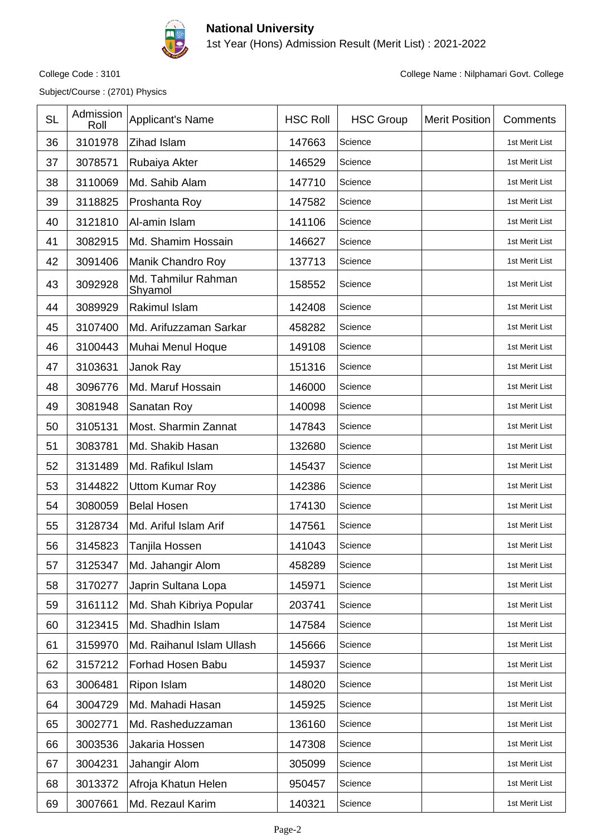

1st Year (Hons) Admission Result (Merit List) : 2021-2022

Subject/Course : (2701) Physics

| <b>SL</b> | Admission<br>Roll | Applicant's Name               | <b>HSC Roll</b> | <b>HSC Group</b> | <b>Merit Position</b> | Comments       |
|-----------|-------------------|--------------------------------|-----------------|------------------|-----------------------|----------------|
| 36        | 3101978           | Zihad Islam                    | 147663          | Science          |                       | 1st Merit List |
| 37        | 3078571           | Rubaiya Akter                  | 146529          | Science          |                       | 1st Merit List |
| 38        | 3110069           | Md. Sahib Alam                 | 147710          | Science          |                       | 1st Merit List |
| 39        | 3118825           | Proshanta Roy                  | 147582          | Science          |                       | 1st Merit List |
| 40        | 3121810           | Al-amin Islam                  | 141106          | Science          |                       | 1st Merit List |
| 41        | 3082915           | Md. Shamim Hossain             | 146627          | Science          |                       | 1st Merit List |
| 42        | 3091406           | Manik Chandro Roy              | 137713          | Science          |                       | 1st Merit List |
| 43        | 3092928           | Md. Tahmilur Rahman<br>Shyamol | 158552          | Science          |                       | 1st Merit List |
| 44        | 3089929           | Rakimul Islam                  | 142408          | Science          |                       | 1st Merit List |
| 45        | 3107400           | Md. Arifuzzaman Sarkar         | 458282          | Science          |                       | 1st Merit List |
| 46        | 3100443           | Muhai Menul Hoque              | 149108          | Science          |                       | 1st Merit List |
| 47        | 3103631           | Janok Ray                      | 151316          | Science          |                       | 1st Merit List |
| 48        | 3096776           | Md. Maruf Hossain              | 146000          | Science          |                       | 1st Merit List |
| 49        | 3081948           | Sanatan Roy                    | 140098          | Science          |                       | 1st Merit List |
| 50        | 3105131           | Most. Sharmin Zannat           | 147843          | Science          |                       | 1st Merit List |
| 51        | 3083781           | Md. Shakib Hasan               | 132680          | Science          |                       | 1st Merit List |
| 52        | 3131489           | Md. Rafikul Islam              | 145437          | Science          |                       | 1st Merit List |
| 53        | 3144822           | <b>Uttom Kumar Roy</b>         | 142386          | Science          |                       | 1st Merit List |
| 54        | 3080059           | <b>Belal Hosen</b>             | 174130          | Science          |                       | 1st Merit List |
| 55        | 3128734           | Md. Ariful Islam Arif          | 147561          | Science          |                       | 1st Merit List |
| 56        | 3145823           | Tanjila Hossen                 | 141043          | Science          |                       | 1st Merit List |
| 57        | 3125347           | Md. Jahangir Alom              | 458289          | Science          |                       | 1st Merit List |
| 58        | 3170277           | Japrin Sultana Lopa            | 145971          | Science          |                       | 1st Merit List |
| 59        | 3161112           | Md. Shah Kibriya Popular       | 203741          | Science          |                       | 1st Merit List |
| 60        | 3123415           | Md. Shadhin Islam              | 147584          | Science          |                       | 1st Merit List |
| 61        | 3159970           | Md. Raihanul Islam Ullash      | 145666          | Science          |                       | 1st Merit List |
| 62        | 3157212           | Forhad Hosen Babu              | 145937          | Science          |                       | 1st Merit List |
| 63        | 3006481           | Ripon Islam                    | 148020          | Science          |                       | 1st Merit List |
| 64        | 3004729           | Md. Mahadi Hasan               | 145925          | Science          |                       | 1st Merit List |
| 65        | 3002771           | Md. Rasheduzzaman              | 136160          | Science          |                       | 1st Merit List |
| 66        | 3003536           | Jakaria Hossen                 | 147308          | Science          |                       | 1st Merit List |
| 67        | 3004231           | Jahangir Alom                  | 305099          | Science          |                       | 1st Merit List |
| 68        | 3013372           | Afroja Khatun Helen            | 950457          | Science          |                       | 1st Merit List |
| 69        | 3007661           | Md. Rezaul Karim               | 140321          | Science          |                       | 1st Merit List |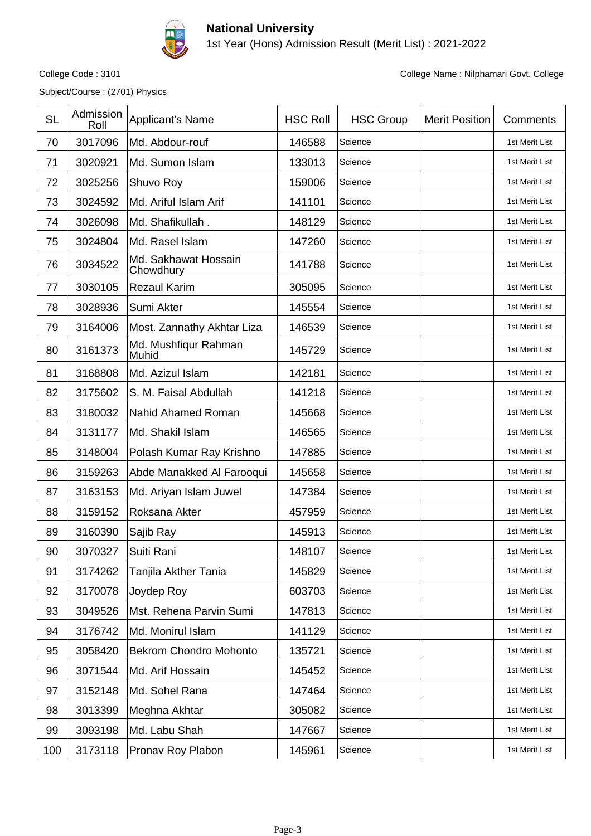

1st Year (Hons) Admission Result (Merit List) : 2021-2022

Subject/Course : (2701) Physics

| <b>SL</b> | Admission<br>Roll | Applicant's Name                  | <b>HSC Roll</b> | <b>HSC Group</b> | <b>Merit Position</b> | Comments       |
|-----------|-------------------|-----------------------------------|-----------------|------------------|-----------------------|----------------|
| 70        | 3017096           | Md. Abdour-rouf                   | 146588          | Science          |                       | 1st Merit List |
| 71        | 3020921           | Md. Sumon Islam                   | 133013          | Science          |                       | 1st Merit List |
| 72        | 3025256           | Shuvo Roy                         | 159006          | Science          |                       | 1st Merit List |
| 73        | 3024592           | Md. Ariful Islam Arif             | 141101          | Science          |                       | 1st Merit List |
| 74        | 3026098           | Md. Shafikullah.                  | 148129          | Science          |                       | 1st Merit List |
| 75        | 3024804           | Md. Rasel Islam                   | 147260          | Science          |                       | 1st Merit List |
| 76        | 3034522           | Md. Sakhawat Hossain<br>Chowdhury | 141788          | Science          |                       | 1st Merit List |
| 77        | 3030105           | <b>Rezaul Karim</b>               | 305095          | Science          |                       | 1st Merit List |
| 78        | 3028936           | Sumi Akter                        | 145554          | Science          |                       | 1st Merit List |
| 79        | 3164006           | Most. Zannathy Akhtar Liza        | 146539          | Science          |                       | 1st Merit List |
| 80        | 3161373           | Md. Mushfiqur Rahman<br>Muhid     | 145729          | Science          |                       | 1st Merit List |
| 81        | 3168808           | Md. Azizul Islam                  | 142181          | Science          |                       | 1st Merit List |
| 82        | 3175602           | S. M. Faisal Abdullah             | 141218          | Science          |                       | 1st Merit List |
| 83        | 3180032           | Nahid Ahamed Roman                | 145668          | Science          |                       | 1st Merit List |
| 84        | 3131177           | Md. Shakil Islam                  | 146565          | Science          |                       | 1st Merit List |
| 85        | 3148004           | Polash Kumar Ray Krishno          | 147885          | Science          |                       | 1st Merit List |
| 86        | 3159263           | Abde Manakked Al Farooqui         | 145658          | Science          |                       | 1st Merit List |
| 87        | 3163153           | Md. Ariyan Islam Juwel            | 147384          | Science          |                       | 1st Merit List |
| 88        | 3159152           | Roksana Akter                     | 457959          | Science          |                       | 1st Merit List |
| 89        | 3160390           | Sajib Ray                         | 145913          | Science          |                       | 1st Merit List |
| 90        | 3070327           | Suiti Rani                        | 148107          | Science          |                       | 1st Merit List |
| 91        | 3174262           | Tanjila Akther Tania              | 145829          | Science          |                       | 1st Merit List |
| 92        | 3170078           | Joydep Roy                        | 603703          | Science          |                       | 1st Merit List |
| 93        | 3049526           | Mst. Rehena Parvin Sumi           | 147813          | Science          |                       | 1st Merit List |
| 94        | 3176742           | Md. Monirul Islam                 | 141129          | Science          |                       | 1st Merit List |
| 95        | 3058420           | <b>Bekrom Chondro Mohonto</b>     | 135721          | Science          |                       | 1st Merit List |
| 96        | 3071544           | Md. Arif Hossain                  | 145452          | Science          |                       | 1st Merit List |
| 97        | 3152148           | Md. Sohel Rana                    | 147464          | Science          |                       | 1st Merit List |
| 98        | 3013399           | Meghna Akhtar                     | 305082          | Science          |                       | 1st Merit List |
| 99        | 3093198           | Md. Labu Shah                     | 147667          | Science          |                       | 1st Merit List |
| 100       | 3173118           | Pronav Roy Plabon                 | 145961          | Science          |                       | 1st Merit List |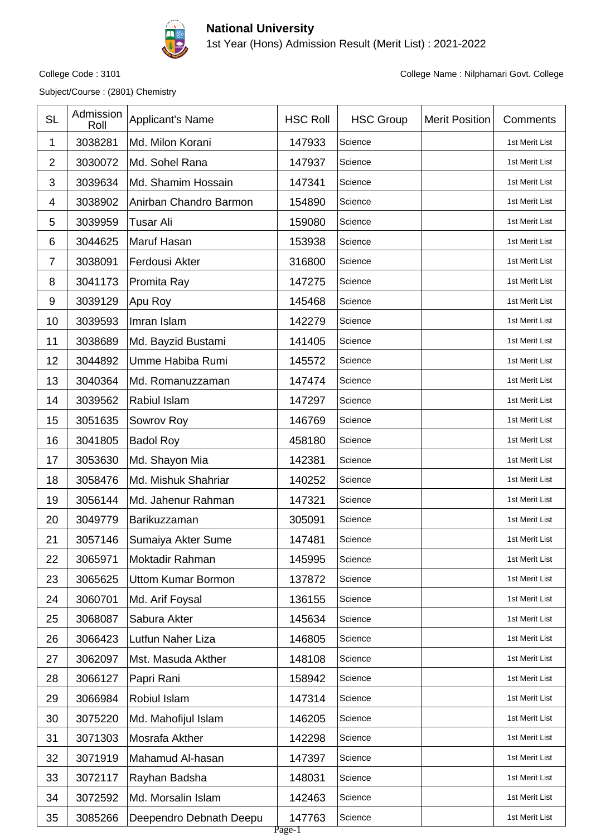

1st Year (Hons) Admission Result (Merit List) : 2021-2022

Subject/Course : (2801) Chemistry

| <b>SL</b>      | Admission<br>Roll | Applicant's Name          | <b>HSC Roll</b>  | <b>HSC Group</b> | <b>Merit Position</b> | Comments       |
|----------------|-------------------|---------------------------|------------------|------------------|-----------------------|----------------|
| 1              | 3038281           | Md. Milon Korani          | 147933           | Science          |                       | 1st Merit List |
| $\overline{2}$ | 3030072           | Md. Sohel Rana            | 147937           | Science          |                       | 1st Merit List |
| 3              | 3039634           | Md. Shamim Hossain        | 147341           | Science          |                       | 1st Merit List |
| 4              | 3038902           | Anirban Chandro Barmon    | 154890           | Science          |                       | 1st Merit List |
| 5              | 3039959           | <b>Tusar Ali</b>          | 159080           | Science          |                       | 1st Merit List |
| 6              | 3044625           | Maruf Hasan               | 153938           | Science          |                       | 1st Merit List |
| $\overline{7}$ | 3038091           | Ferdousi Akter            | 316800           | Science          |                       | 1st Merit List |
| 8              | 3041173           | Promita Ray               | 147275           | Science          |                       | 1st Merit List |
| 9              | 3039129           | Apu Roy                   | 145468           | Science          |                       | 1st Merit List |
| 10             | 3039593           | Imran Islam               | 142279           | Science          |                       | 1st Merit List |
| 11             | 3038689           | Md. Bayzid Bustami        | 141405           | Science          |                       | 1st Merit List |
| 12             | 3044892           | Umme Habiba Rumi          | 145572           | Science          |                       | 1st Merit List |
| 13             | 3040364           | Md. Romanuzzaman          | 147474           | Science          |                       | 1st Merit List |
| 14             | 3039562           | Rabiul Islam              | 147297           | Science          |                       | 1st Merit List |
| 15             | 3051635           | Sowrov Roy                | 146769           | Science          |                       | 1st Merit List |
| 16             | 3041805           | <b>Badol Roy</b>          | 458180           | Science          |                       | 1st Merit List |
| 17             | 3053630           | Md. Shayon Mia            | 142381           | Science          |                       | 1st Merit List |
| 18             | 3058476           | Md. Mishuk Shahriar       | 140252           | Science          |                       | 1st Merit List |
| 19             | 3056144           | Md. Jahenur Rahman        | 147321           | Science          |                       | 1st Merit List |
| 20             | 3049779           | Barikuzzaman              | 305091           | Science          |                       | 1st Merit List |
| 21             | 3057146           | Sumaiya Akter Sume        | 147481           | Science          |                       | 1st Merit List |
| 22             | 3065971           | Moktadir Rahman           | 145995           | Science          |                       | 1st Merit List |
| 23             | 3065625           | <b>Uttom Kumar Bormon</b> | 137872           | Science          |                       | 1st Merit List |
| 24             | 3060701           | Md. Arif Foysal           | 136155           | Science          |                       | 1st Merit List |
| 25             | 3068087           | Sabura Akter              | 145634           | Science          |                       | 1st Merit List |
| 26             | 3066423           | Lutfun Naher Liza         | 146805           | Science          |                       | 1st Merit List |
| 27             | 3062097           | Mst. Masuda Akther        | 148108           | Science          |                       | 1st Merit List |
| 28             | 3066127           | Papri Rani                | 158942           | Science          |                       | 1st Merit List |
| 29             | 3066984           | Robiul Islam              | 147314           | Science          |                       | 1st Merit List |
| 30             | 3075220           | Md. Mahofijul Islam       | 146205           | Science          |                       | 1st Merit List |
| 31             | 3071303           | Mosrafa Akther            | 142298           | Science          |                       | 1st Merit List |
| 32             | 3071919           | Mahamud Al-hasan          | 147397           | Science          |                       | 1st Merit List |
| 33             | 3072117           | Rayhan Badsha             | 148031           | Science          |                       | 1st Merit List |
| 34             | 3072592           | Md. Morsalin Islam        | 142463           | Science          |                       | 1st Merit List |
| 35             | 3085266           | Deependro Debnath Deepu   | 147763<br>Page-1 | Science          |                       | 1st Merit List |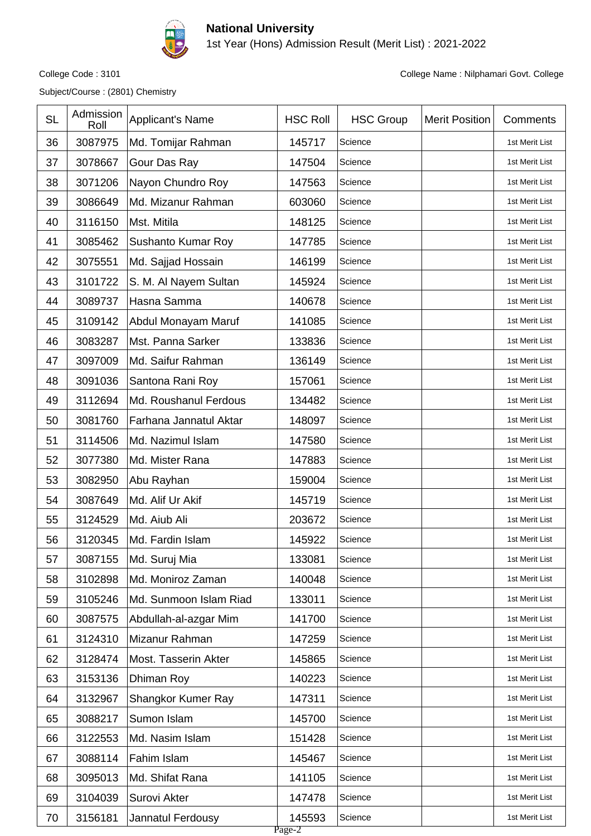

1st Year (Hons) Admission Result (Merit List) : 2021-2022

Subject/Course : (2801) Chemistry

| <b>SL</b> | Admission<br>Roll | <b>Applicant's Name</b> | <b>HSC Roll</b>  | <b>HSC Group</b> | <b>Merit Position</b> | Comments       |
|-----------|-------------------|-------------------------|------------------|------------------|-----------------------|----------------|
| 36        | 3087975           | Md. Tomijar Rahman      | 145717           | Science          |                       | 1st Merit List |
| 37        | 3078667           | Gour Das Ray            | 147504           | Science          |                       | 1st Merit List |
| 38        | 3071206           | Nayon Chundro Roy       | 147563           | Science          |                       | 1st Merit List |
| 39        | 3086649           | Md. Mizanur Rahman      | 603060           | Science          |                       | 1st Merit List |
| 40        | 3116150           | Mst. Mitila             | 148125           | Science          |                       | 1st Merit List |
| 41        | 3085462           | Sushanto Kumar Roy      | 147785           | Science          |                       | 1st Merit List |
| 42        | 3075551           | Md. Sajjad Hossain      | 146199           | Science          |                       | 1st Merit List |
| 43        | 3101722           | S. M. Al Nayem Sultan   | 145924           | Science          |                       | 1st Merit List |
| 44        | 3089737           | Hasna Samma             | 140678           | Science          |                       | 1st Merit List |
| 45        | 3109142           | Abdul Monayam Maruf     | 141085           | Science          |                       | 1st Merit List |
| 46        | 3083287           | Mst. Panna Sarker       | 133836           | Science          |                       | 1st Merit List |
| 47        | 3097009           | Md. Saifur Rahman       | 136149           | Science          |                       | 1st Merit List |
| 48        | 3091036           | Santona Rani Roy        | 157061           | Science          |                       | 1st Merit List |
| 49        | 3112694           | Md. Roushanul Ferdous   | 134482           | Science          |                       | 1st Merit List |
| 50        | 3081760           | Farhana Jannatul Aktar  | 148097           | Science          |                       | 1st Merit List |
| 51        | 3114506           | Md. Nazimul Islam       | 147580           | Science          |                       | 1st Merit List |
| 52        | 3077380           | Md. Mister Rana         | 147883           | Science          |                       | 1st Merit List |
| 53        | 3082950           | Abu Rayhan              | 159004           | Science          |                       | 1st Merit List |
| 54        | 3087649           | Md. Alif Ur Akif        | 145719           | Science          |                       | 1st Merit List |
| 55        | 3124529           | Md. Aiub Ali            | 203672           | Science          |                       | 1st Merit List |
| 56        | 3120345           | Md. Fardin Islam        | 145922           | Science          |                       | 1st Merit List |
| 57        | 3087155           | Md. Suruj Mia           | 133081           | Science          |                       | 1st Merit List |
| 58        | 3102898           | Md. Moniroz Zaman       | 140048           | Science          |                       | 1st Merit List |
| 59        | 3105246           | Md. Sunmoon Islam Riad  | 133011           | Science          |                       | 1st Merit List |
| 60        | 3087575           | Abdullah-al-azgar Mim   | 141700           | Science          |                       | 1st Merit List |
| 61        | 3124310           | Mizanur Rahman          | 147259           | Science          |                       | 1st Merit List |
| 62        | 3128474           | Most. Tasserin Akter    | 145865           | Science          |                       | 1st Merit List |
| 63        | 3153136           | Dhiman Roy              | 140223           | Science          |                       | 1st Merit List |
| 64        | 3132967           | Shangkor Kumer Ray      | 147311           | Science          |                       | 1st Merit List |
| 65        | 3088217           | Sumon Islam             | 145700           | Science          |                       | 1st Merit List |
| 66        | 3122553           | Md. Nasim Islam         | 151428           | Science          |                       | 1st Merit List |
| 67        | 3088114           | Fahim Islam             | 145467           | Science          |                       | 1st Merit List |
| 68        | 3095013           | Md. Shifat Rana         | 141105           | Science          |                       | 1st Merit List |
| 69        | 3104039           | Surovi Akter            | 147478           | Science          |                       | 1st Merit List |
| 70        | 3156181           | Jannatul Ferdousy       | 145593<br>Page-2 | Science          |                       | 1st Merit List |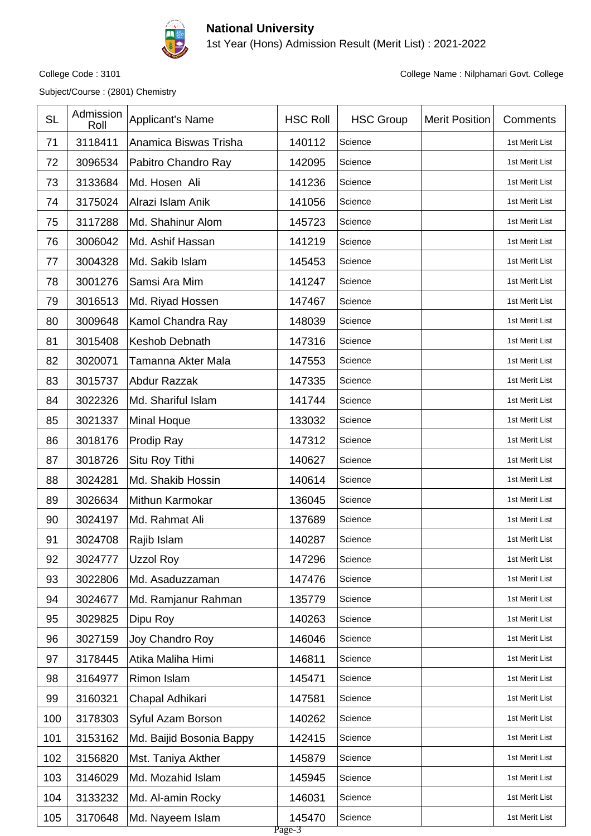

1st Year (Hons) Admission Result (Merit List) : 2021-2022

Subject/Course : (2801) Chemistry

| <b>SL</b> | Admission<br>Roll | <b>Applicant's Name</b>  | <b>HSC Roll</b>  | <b>HSC Group</b> | <b>Merit Position</b> | Comments       |
|-----------|-------------------|--------------------------|------------------|------------------|-----------------------|----------------|
| 71        | 3118411           | Anamica Biswas Trisha    | 140112           | Science          |                       | 1st Merit List |
| 72        | 3096534           | Pabitro Chandro Ray      | 142095           | Science          |                       | 1st Merit List |
| 73        | 3133684           | Md. Hosen Ali            | 141236           | Science          |                       | 1st Merit List |
| 74        | 3175024           | Alrazi Islam Anik        | 141056           | Science          |                       | 1st Merit List |
| 75        | 3117288           | Md. Shahinur Alom        | 145723           | Science          |                       | 1st Merit List |
| 76        | 3006042           | Md. Ashif Hassan         | 141219           | Science          |                       | 1st Merit List |
| 77        | 3004328           | Md. Sakib Islam          | 145453           | Science          |                       | 1st Merit List |
| 78        | 3001276           | Samsi Ara Mim            | 141247           | Science          |                       | 1st Merit List |
| 79        | 3016513           | Md. Riyad Hossen         | 147467           | Science          |                       | 1st Merit List |
| 80        | 3009648           | Kamol Chandra Ray        | 148039           | Science          |                       | 1st Merit List |
| 81        | 3015408           | <b>Keshob Debnath</b>    | 147316           | Science          |                       | 1st Merit List |
| 82        | 3020071           | Tamanna Akter Mala       | 147553           | Science          |                       | 1st Merit List |
| 83        | 3015737           | Abdur Razzak             | 147335           | Science          |                       | 1st Merit List |
| 84        | 3022326           | Md. Shariful Islam       | 141744           | Science          |                       | 1st Merit List |
| 85        | 3021337           | <b>Minal Hoque</b>       | 133032           | Science          |                       | 1st Merit List |
| 86        | 3018176           | Prodip Ray               | 147312           | Science          |                       | 1st Merit List |
| 87        | 3018726           | Situ Roy Tithi           | 140627           | Science          |                       | 1st Merit List |
| 88        | 3024281           | Md. Shakib Hossin        | 140614           | Science          |                       | 1st Merit List |
| 89        | 3026634           | Mithun Karmokar          | 136045           | Science          |                       | 1st Merit List |
| 90        | 3024197           | Md. Rahmat Ali           | 137689           | Science          |                       | 1st Merit List |
| 91        | 3024708           | Rajib Islam              | 140287           | Science          |                       | 1st Merit List |
| 92        | 3024777           | <b>Uzzol Roy</b>         | 147296           | Science          |                       | 1st Merit List |
| 93        | 3022806           | Md. Asaduzzaman          | 147476           | Science          |                       | 1st Merit List |
| 94        | 3024677           | Md. Ramjanur Rahman      | 135779           | Science          |                       | 1st Merit List |
| 95        | 3029825           | Dipu Roy                 | 140263           | Science          |                       | 1st Merit List |
| 96        | 3027159           | Joy Chandro Roy          | 146046           | Science          |                       | 1st Merit List |
| 97        | 3178445           | Atika Maliha Himi        | 146811           | Science          |                       | 1st Merit List |
| 98        | 3164977           | Rimon Islam              | 145471           | Science          |                       | 1st Merit List |
| 99        | 3160321           | Chapal Adhikari          | 147581           | Science          |                       | 1st Merit List |
| 100       | 3178303           | Syful Azam Borson        | 140262           | Science          |                       | 1st Merit List |
| 101       | 3153162           | Md. Baijid Bosonia Bappy | 142415           | Science          |                       | 1st Merit List |
| 102       | 3156820           | Mst. Taniya Akther       | 145879           | Science          |                       | 1st Merit List |
| 103       | 3146029           | Md. Mozahid Islam        | 145945           | Science          |                       | 1st Merit List |
| 104       | 3133232           | Md. Al-amin Rocky        | 146031           | Science          |                       | 1st Merit List |
| 105       | 3170648           | Md. Nayeem Islam         | 145470<br>Page-3 | Science          |                       | 1st Merit List |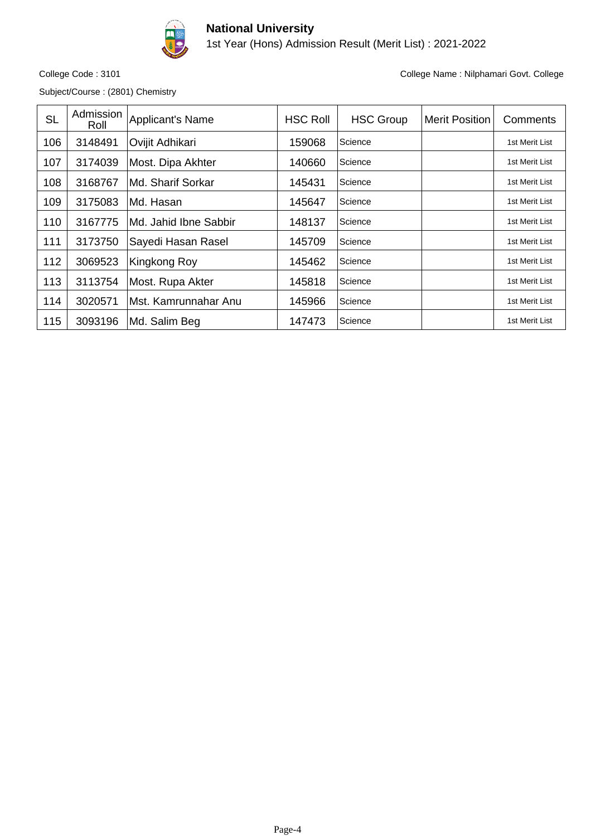

1st Year (Hons) Admission Result (Merit List) : 2021-2022

Subject/Course : (2801) Chemistry

| <b>SL</b> | Admission<br>Roll | Applicant's Name       | <b>HSC Roll</b> | <b>HSC Group</b> | <b>Merit Position</b> | Comments       |
|-----------|-------------------|------------------------|-----------------|------------------|-----------------------|----------------|
| 106       | 3148491           | Ovijit Adhikari        | 159068          | Science          |                       | 1st Merit List |
| 107       | 3174039           | Most. Dipa Akhter      | 140660          | Science          |                       | 1st Merit List |
| 108       | 3168767           | Md. Sharif Sorkar      | 145431          | Science          |                       | 1st Merit List |
| 109       | 3175083           | Md. Hasan              | 145647          | Science          |                       | 1st Merit List |
| 110       | 3167775           | IMd. Jahid Ibne Sabbir | 148137          | Science          |                       | 1st Merit List |
| 111       | 3173750           | Sayedi Hasan Rasel     | 145709          | Science          |                       | 1st Merit List |
| 112       | 3069523           | Kingkong Roy           | 145462          | Science          |                       | 1st Merit List |
| 113       | 3113754           | Most. Rupa Akter       | 145818          | Science          |                       | 1st Merit List |
| 114       | 3020571           | lMst. Kamrunnahar Anu  | 145966          | Science          |                       | 1st Merit List |
| 115       | 3093196           | Md. Salim Beg          | 147473          | Science          |                       | 1st Merit List |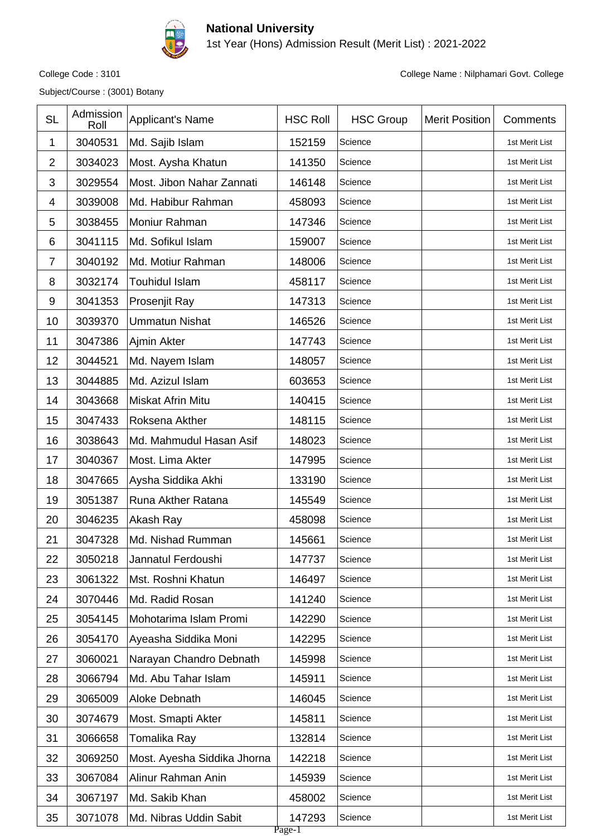

1st Year (Hons) Admission Result (Merit List) : 2021-2022

Subject/Course : (3001) Botany

| <b>SL</b>      | Admission<br>Roll | <b>Applicant's Name</b>     | <b>HSC Roll</b>  | <b>HSC Group</b> | <b>Merit Position</b> | Comments       |
|----------------|-------------------|-----------------------------|------------------|------------------|-----------------------|----------------|
| 1              | 3040531           | Md. Sajib Islam             | 152159           | Science          |                       | 1st Merit List |
| $\overline{2}$ | 3034023           | Most. Aysha Khatun          | 141350           | Science          |                       | 1st Merit List |
| 3              | 3029554           | Most. Jibon Nahar Zannati   | 146148           | Science          |                       | 1st Merit List |
| 4              | 3039008           | Md. Habibur Rahman          | 458093           | Science          |                       | 1st Merit List |
| 5              | 3038455           | Moniur Rahman               | 147346           | Science          |                       | 1st Merit List |
| 6              | 3041115           | Md. Sofikul Islam           | 159007           | Science          |                       | 1st Merit List |
| $\overline{7}$ | 3040192           | Md. Motiur Rahman           | 148006           | Science          |                       | 1st Merit List |
| 8              | 3032174           | <b>Touhidul Islam</b>       | 458117           | Science          |                       | 1st Merit List |
| 9              | 3041353           | Prosenjit Ray               | 147313           | Science          |                       | 1st Merit List |
| 10             | 3039370           | <b>Ummatun Nishat</b>       | 146526           | Science          |                       | 1st Merit List |
| 11             | 3047386           | Ajmin Akter                 | 147743           | Science          |                       | 1st Merit List |
| 12             | 3044521           | Md. Nayem Islam             | 148057           | Science          |                       | 1st Merit List |
| 13             | 3044885           | Md. Azizul Islam            | 603653           | Science          |                       | 1st Merit List |
| 14             | 3043668           | <b>Miskat Afrin Mitu</b>    | 140415           | Science          |                       | 1st Merit List |
| 15             | 3047433           | Roksena Akther              | 148115           | Science          |                       | 1st Merit List |
| 16             | 3038643           | Md. Mahmudul Hasan Asif     | 148023           | Science          |                       | 1st Merit List |
| 17             | 3040367           | Most. Lima Akter            | 147995           | Science          |                       | 1st Merit List |
| 18             | 3047665           | Aysha Siddika Akhi          | 133190           | Science          |                       | 1st Merit List |
| 19             | 3051387           | Runa Akther Ratana          | 145549           | Science          |                       | 1st Merit List |
| 20             | 3046235           | Akash Ray                   | 458098           | Science          |                       | 1st Merit List |
| 21             | 3047328           | Md. Nishad Rumman           | 145661           | Science          |                       | 1st Merit List |
| 22             | 3050218           | Jannatul Ferdoushi          | 147737           | Science          |                       | 1st Merit List |
| 23             | 3061322           | Mst. Roshni Khatun          | 146497           | Science          |                       | 1st Merit List |
| 24             | 3070446           | Md. Radid Rosan             | 141240           | Science          |                       | 1st Merit List |
| 25             | 3054145           | Mohotarima Islam Promi      | 142290           | Science          |                       | 1st Merit List |
| 26             | 3054170           | Ayeasha Siddika Moni        | 142295           | Science          |                       | 1st Merit List |
| 27             | 3060021           | Narayan Chandro Debnath     | 145998           | Science          |                       | 1st Merit List |
| 28             | 3066794           | Md. Abu Tahar Islam         | 145911           | Science          |                       | 1st Merit List |
| 29             | 3065009           | Aloke Debnath               | 146045           | Science          |                       | 1st Merit List |
| 30             | 3074679           | Most. Smapti Akter          | 145811           | Science          |                       | 1st Merit List |
| 31             | 3066658           | Tomalika Ray                | 132814           | Science          |                       | 1st Merit List |
| 32             | 3069250           | Most. Ayesha Siddika Jhorna | 142218           | Science          |                       | 1st Merit List |
| 33             | 3067084           | Alinur Rahman Anin          | 145939           | Science          |                       | 1st Merit List |
| 34             | 3067197           | Md. Sakib Khan              | 458002           | Science          |                       | 1st Merit List |
| 35             | 3071078           | Md. Nibras Uddin Sabit      | 147293<br>Page-1 | Science          |                       | 1st Merit List |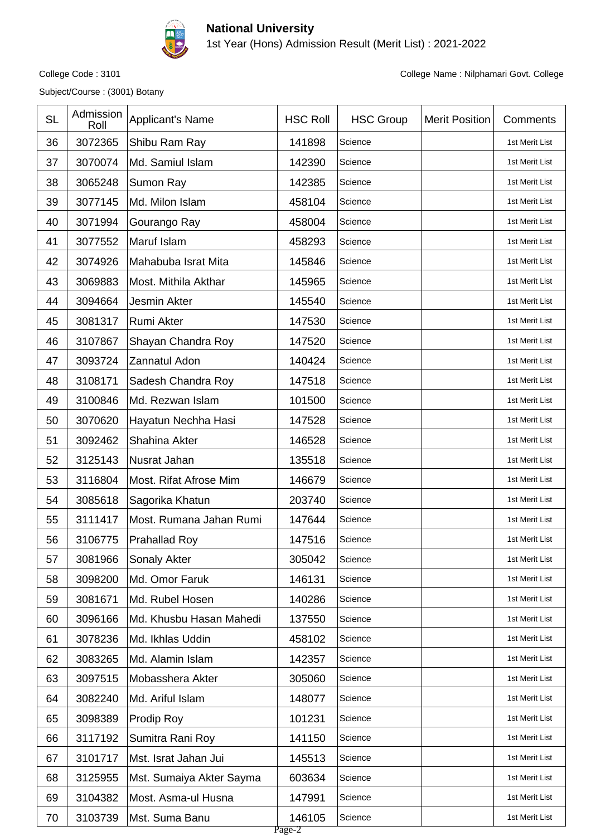

1st Year (Hons) Admission Result (Merit List) : 2021-2022

Subject/Course : (3001) Botany

| 36<br>3072365<br>141898<br>Shibu Ram Ray<br>1st Merit List<br>Science<br>37<br>3070074<br>Md. Samiul Islam<br>142390<br>Science<br>1st Merit List<br>38<br>3065248<br>142385<br>Sumon Ray<br>Science<br>1st Merit List<br>3077145<br>Md. Milon Islam<br>458104<br>39<br>Science<br>1st Merit List<br>40<br>3071994<br>Gourango Ray<br>458004<br>Science<br>1st Merit List<br>41<br>3077552<br>Maruf Islam<br>458293<br>Science<br>1st Merit List<br>42<br>3074926<br>145846<br>Mahabuba Israt Mita<br>Science<br>1st Merit List<br>43<br>3069883<br>145965<br>Most. Mithila Akthar<br>Science<br>1st Merit List<br>44<br>3094664<br>Jesmin Akter<br>145540<br>Science<br>1st Merit List<br>3081317<br>147530<br>45<br>Rumi Akter<br>Science<br>1st Merit List<br>46<br>3107867<br>Shayan Chandra Roy<br>147520<br>Science<br>1st Merit List<br>3093724<br>Zannatul Adon<br>140424<br>47<br>Science<br>1st Merit List<br>48<br>3108171<br>147518<br>Sadesh Chandra Roy<br>Science<br>1st Merit List | Comments |
|----------------------------------------------------------------------------------------------------------------------------------------------------------------------------------------------------------------------------------------------------------------------------------------------------------------------------------------------------------------------------------------------------------------------------------------------------------------------------------------------------------------------------------------------------------------------------------------------------------------------------------------------------------------------------------------------------------------------------------------------------------------------------------------------------------------------------------------------------------------------------------------------------------------------------------------------------------------------------------------------------|----------|
|                                                                                                                                                                                                                                                                                                                                                                                                                                                                                                                                                                                                                                                                                                                                                                                                                                                                                                                                                                                                    |          |
|                                                                                                                                                                                                                                                                                                                                                                                                                                                                                                                                                                                                                                                                                                                                                                                                                                                                                                                                                                                                    |          |
|                                                                                                                                                                                                                                                                                                                                                                                                                                                                                                                                                                                                                                                                                                                                                                                                                                                                                                                                                                                                    |          |
|                                                                                                                                                                                                                                                                                                                                                                                                                                                                                                                                                                                                                                                                                                                                                                                                                                                                                                                                                                                                    |          |
|                                                                                                                                                                                                                                                                                                                                                                                                                                                                                                                                                                                                                                                                                                                                                                                                                                                                                                                                                                                                    |          |
|                                                                                                                                                                                                                                                                                                                                                                                                                                                                                                                                                                                                                                                                                                                                                                                                                                                                                                                                                                                                    |          |
|                                                                                                                                                                                                                                                                                                                                                                                                                                                                                                                                                                                                                                                                                                                                                                                                                                                                                                                                                                                                    |          |
|                                                                                                                                                                                                                                                                                                                                                                                                                                                                                                                                                                                                                                                                                                                                                                                                                                                                                                                                                                                                    |          |
|                                                                                                                                                                                                                                                                                                                                                                                                                                                                                                                                                                                                                                                                                                                                                                                                                                                                                                                                                                                                    |          |
|                                                                                                                                                                                                                                                                                                                                                                                                                                                                                                                                                                                                                                                                                                                                                                                                                                                                                                                                                                                                    |          |
|                                                                                                                                                                                                                                                                                                                                                                                                                                                                                                                                                                                                                                                                                                                                                                                                                                                                                                                                                                                                    |          |
|                                                                                                                                                                                                                                                                                                                                                                                                                                                                                                                                                                                                                                                                                                                                                                                                                                                                                                                                                                                                    |          |
|                                                                                                                                                                                                                                                                                                                                                                                                                                                                                                                                                                                                                                                                                                                                                                                                                                                                                                                                                                                                    |          |
| 3100846<br>49<br>Md. Rezwan Islam<br>101500<br>Science<br>1st Merit List                                                                                                                                                                                                                                                                                                                                                                                                                                                                                                                                                                                                                                                                                                                                                                                                                                                                                                                           |          |
| 3070620<br>50<br>Hayatun Nechha Hasi<br>147528<br>Science<br>1st Merit List                                                                                                                                                                                                                                                                                                                                                                                                                                                                                                                                                                                                                                                                                                                                                                                                                                                                                                                        |          |
| 3092462<br>Shahina Akter<br>146528<br>51<br>Science<br>1st Merit List                                                                                                                                                                                                                                                                                                                                                                                                                                                                                                                                                                                                                                                                                                                                                                                                                                                                                                                              |          |
| 52<br>3125143<br>135518<br>Nusrat Jahan<br>Science<br>1st Merit List                                                                                                                                                                                                                                                                                                                                                                                                                                                                                                                                                                                                                                                                                                                                                                                                                                                                                                                               |          |
| 53<br>3116804<br>146679<br>Most. Rifat Afrose Mim<br>Science<br>1st Merit List                                                                                                                                                                                                                                                                                                                                                                                                                                                                                                                                                                                                                                                                                                                                                                                                                                                                                                                     |          |
| 3085618<br>54<br>Sagorika Khatun<br>203740<br>Science<br>1st Merit List                                                                                                                                                                                                                                                                                                                                                                                                                                                                                                                                                                                                                                                                                                                                                                                                                                                                                                                            |          |
| 3111417<br>147644<br>55<br>Most. Rumana Jahan Rumi<br>Science<br>1st Merit List                                                                                                                                                                                                                                                                                                                                                                                                                                                                                                                                                                                                                                                                                                                                                                                                                                                                                                                    |          |
| 56<br>3106775<br>147516<br><b>Prahallad Roy</b><br>Science<br>1st Merit List                                                                                                                                                                                                                                                                                                                                                                                                                                                                                                                                                                                                                                                                                                                                                                                                                                                                                                                       |          |
| 3081966<br>305042<br>57<br>Sonaly Akter<br>Science<br>1st Merit List                                                                                                                                                                                                                                                                                                                                                                                                                                                                                                                                                                                                                                                                                                                                                                                                                                                                                                                               |          |
| Md. Omor Faruk<br>146131<br>58<br>3098200<br>Science<br>1st Merit List                                                                                                                                                                                                                                                                                                                                                                                                                                                                                                                                                                                                                                                                                                                                                                                                                                                                                                                             |          |
| 3081671<br>Md. Rubel Hosen<br>140286<br>59<br>Science<br>1st Merit List                                                                                                                                                                                                                                                                                                                                                                                                                                                                                                                                                                                                                                                                                                                                                                                                                                                                                                                            |          |
| 3096166<br>Md. Khusbu Hasan Mahedi<br>137550<br>1st Merit List<br>60<br>Science                                                                                                                                                                                                                                                                                                                                                                                                                                                                                                                                                                                                                                                                                                                                                                                                                                                                                                                    |          |
| Md. Ikhlas Uddin<br>61<br>3078236<br>458102<br>1st Merit List<br>Science                                                                                                                                                                                                                                                                                                                                                                                                                                                                                                                                                                                                                                                                                                                                                                                                                                                                                                                           |          |
| Md. Alamin Islam<br>3083265<br>142357<br>62<br>Science<br>1st Merit List                                                                                                                                                                                                                                                                                                                                                                                                                                                                                                                                                                                                                                                                                                                                                                                                                                                                                                                           |          |
| 3097515<br>Mobasshera Akter<br>305060<br>63<br>Science<br>1st Merit List                                                                                                                                                                                                                                                                                                                                                                                                                                                                                                                                                                                                                                                                                                                                                                                                                                                                                                                           |          |
| 3082240<br>Md. Ariful Islam<br>148077<br>1st Merit List<br>64<br>Science                                                                                                                                                                                                                                                                                                                                                                                                                                                                                                                                                                                                                                                                                                                                                                                                                                                                                                                           |          |
| 3098389<br>Prodip Roy<br>101231<br>Science<br>65<br>1st Merit List                                                                                                                                                                                                                                                                                                                                                                                                                                                                                                                                                                                                                                                                                                                                                                                                                                                                                                                                 |          |
| 3117192<br>141150<br>66<br>Sumitra Rani Roy<br>Science<br>1st Merit List                                                                                                                                                                                                                                                                                                                                                                                                                                                                                                                                                                                                                                                                                                                                                                                                                                                                                                                           |          |
| 3101717<br>67<br>Mst. Israt Jahan Jui<br>145513<br>1st Merit List<br>Science                                                                                                                                                                                                                                                                                                                                                                                                                                                                                                                                                                                                                                                                                                                                                                                                                                                                                                                       |          |
| 3125955<br>603634<br>68<br>Mst. Sumaiya Akter Sayma<br>Science<br>1st Merit List                                                                                                                                                                                                                                                                                                                                                                                                                                                                                                                                                                                                                                                                                                                                                                                                                                                                                                                   |          |
| 3104382<br>Most. Asma-ul Husna<br>147991<br>69<br>Science<br>1st Merit List                                                                                                                                                                                                                                                                                                                                                                                                                                                                                                                                                                                                                                                                                                                                                                                                                                                                                                                        |          |
| 3103739<br>Mst. Suma Banu<br>70<br>146105<br>Science<br>1st Merit List<br>Page-2                                                                                                                                                                                                                                                                                                                                                                                                                                                                                                                                                                                                                                                                                                                                                                                                                                                                                                                   |          |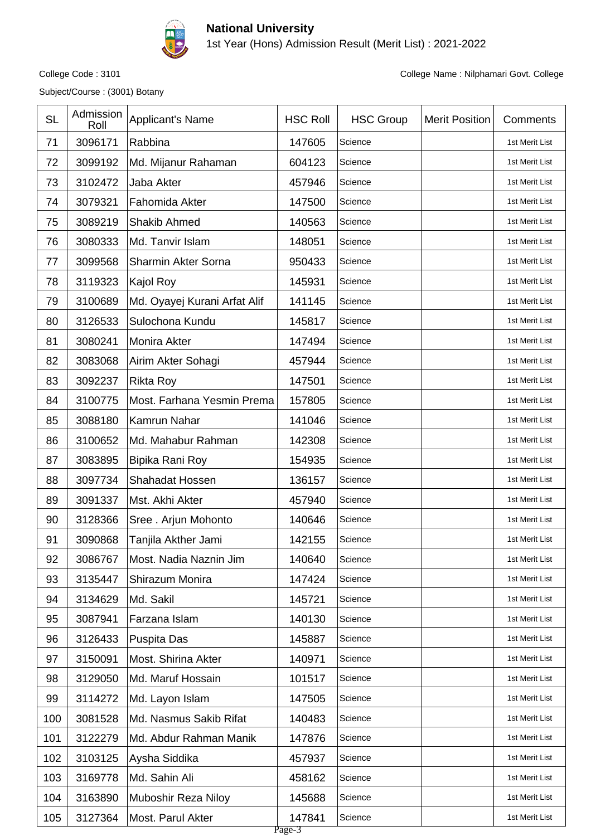

1st Year (Hons) Admission Result (Merit List) : 2021-2022

Subject/Course : (3001) Botany

| <b>SL</b> | Admission<br>Roll | <b>Applicant's Name</b>      | <b>HSC Roll</b>  | <b>HSC Group</b> | <b>Merit Position</b> | Comments       |
|-----------|-------------------|------------------------------|------------------|------------------|-----------------------|----------------|
| 71        | 3096171           | Rabbina                      | 147605           | Science          |                       | 1st Merit List |
| 72        | 3099192           | Md. Mijanur Rahaman          | 604123           | Science          |                       | 1st Merit List |
| 73        | 3102472           | Jaba Akter                   | 457946           | Science          |                       | 1st Merit List |
| 74        | 3079321           | Fahomida Akter               | 147500           | Science          |                       | 1st Merit List |
| 75        | 3089219           | <b>Shakib Ahmed</b>          | 140563           | Science          |                       | 1st Merit List |
| 76        | 3080333           | Md. Tanvir Islam             | 148051           | Science          |                       | 1st Merit List |
| 77        | 3099568           | Sharmin Akter Sorna          | 950433           | Science          |                       | 1st Merit List |
| 78        | 3119323           | Kajol Roy                    | 145931           | Science          |                       | 1st Merit List |
| 79        | 3100689           | Md. Oyayej Kurani Arfat Alif | 141145           | Science          |                       | 1st Merit List |
| 80        | 3126533           | Sulochona Kundu              | 145817           | Science          |                       | 1st Merit List |
| 81        | 3080241           | Monira Akter                 | 147494           | Science          |                       | 1st Merit List |
| 82        | 3083068           | Airim Akter Sohagi           | 457944           | Science          |                       | 1st Merit List |
| 83        | 3092237           | <b>Rikta Roy</b>             | 147501           | Science          |                       | 1st Merit List |
| 84        | 3100775           | Most. Farhana Yesmin Prema   | 157805           | Science          |                       | 1st Merit List |
| 85        | 3088180           | Kamrun Nahar                 | 141046           | Science          |                       | 1st Merit List |
| 86        | 3100652           | Md. Mahabur Rahman           | 142308           | Science          |                       | 1st Merit List |
| 87        | 3083895           | Bipika Rani Roy              | 154935           | Science          |                       | 1st Merit List |
| 88        | 3097734           | Shahadat Hossen              | 136157           | Science          |                       | 1st Merit List |
| 89        | 3091337           | Mst. Akhi Akter              | 457940           | Science          |                       | 1st Merit List |
| 90        | 3128366           | Sree . Arjun Mohonto         | 140646           | Science          |                       | 1st Merit List |
| 91        | 3090868           | Tanjila Akther Jami          | 142155           | Science          |                       | 1st Merit List |
| 92        | 3086767           | Most. Nadia Naznin Jim       | 140640           | Science          |                       | 1st Merit List |
| 93        | 3135447           | Shirazum Monira              | 147424           | Science          |                       | 1st Merit List |
| 94        | 3134629           | Md. Sakil                    | 145721           | Science          |                       | 1st Merit List |
| 95        | 3087941           | Farzana Islam                | 140130           | Science          |                       | 1st Merit List |
| 96        | 3126433           | Puspita Das                  | 145887           | Science          |                       | 1st Merit List |
| 97        | 3150091           | Most. Shirina Akter          | 140971           | Science          |                       | 1st Merit List |
| 98        | 3129050           | Md. Maruf Hossain            | 101517           | Science          |                       | 1st Merit List |
| 99        | 3114272           | Md. Layon Islam              | 147505           | Science          |                       | 1st Merit List |
| 100       | 3081528           | Md. Nasmus Sakib Rifat       | 140483           | Science          |                       | 1st Merit List |
| 101       | 3122279           | Md. Abdur Rahman Manik       | 147876           | Science          |                       | 1st Merit List |
| 102       | 3103125           | Aysha Siddika                | 457937           | Science          |                       | 1st Merit List |
| 103       | 3169778           | Md. Sahin Ali                | 458162           | Science          |                       | 1st Merit List |
| 104       | 3163890           | Muboshir Reza Niloy          | 145688           | Science          |                       | 1st Merit List |
| 105       | 3127364           | Most. Parul Akter            | 147841<br>Page-3 | Science          |                       | 1st Merit List |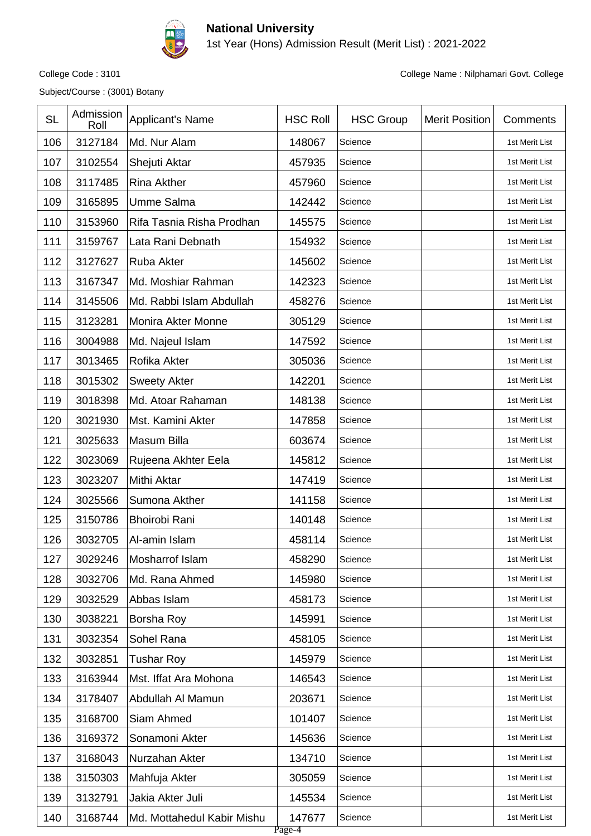

1st Year (Hons) Admission Result (Merit List) : 2021-2022

Subject/Course : (3001) Botany

| <b>SL</b> | Admission<br>Roll | <b>Applicant's Name</b>    | <b>HSC Roll</b>  | <b>HSC Group</b> | <b>Merit Position</b> | Comments       |
|-----------|-------------------|----------------------------|------------------|------------------|-----------------------|----------------|
| 106       | 3127184           | Md. Nur Alam               | 148067           | Science          |                       | 1st Merit List |
| 107       | 3102554           | Shejuti Aktar              | 457935           | Science          |                       | 1st Merit List |
| 108       | 3117485           | <b>Rina Akther</b>         | 457960           | Science          |                       | 1st Merit List |
| 109       | 3165895           | <b>Umme Salma</b>          | 142442           | Science          |                       | 1st Merit List |
| 110       | 3153960           | Rifa Tasnia Risha Prodhan  | 145575           | Science          |                       | 1st Merit List |
| 111       | 3159767           | Lata Rani Debnath          | 154932           | Science          |                       | 1st Merit List |
| 112       | 3127627           | Ruba Akter                 | 145602           | Science          |                       | 1st Merit List |
| 113       | 3167347           | Md. Moshiar Rahman         | 142323           | Science          |                       | 1st Merit List |
| 114       | 3145506           | Md. Rabbi Islam Abdullah   | 458276           | Science          |                       | 1st Merit List |
| 115       | 3123281           | Monira Akter Monne         | 305129           | Science          |                       | 1st Merit List |
| 116       | 3004988           | Md. Najeul Islam           | 147592           | Science          |                       | 1st Merit List |
| 117       | 3013465           | Rofika Akter               | 305036           | Science          |                       | 1st Merit List |
| 118       | 3015302           | <b>Sweety Akter</b>        | 142201           | Science          |                       | 1st Merit List |
| 119       | 3018398           | Md. Atoar Rahaman          | 148138           | Science          |                       | 1st Merit List |
| 120       | 3021930           | Mst. Kamini Akter          | 147858           | Science          |                       | 1st Merit List |
| 121       | 3025633           | Masum Billa                | 603674           | Science          |                       | 1st Merit List |
| 122       | 3023069           | Rujeena Akhter Eela        | 145812           | Science          |                       | 1st Merit List |
| 123       | 3023207           | Mithi Aktar                | 147419           | Science          |                       | 1st Merit List |
| 124       | 3025566           | Sumona Akther              | 141158           | Science          |                       | 1st Merit List |
| 125       | 3150786           | <b>Bhoirobi Rani</b>       | 140148           | Science          |                       | 1st Merit List |
| 126       | 3032705           | Al-amin Islam              | 458114           | Science          |                       | 1st Merit List |
| 127       | 3029246           | Mosharrof Islam            | 458290           | Science          |                       | 1st Merit List |
| 128       | 3032706           | Md. Rana Ahmed             | 145980           | Science          |                       | 1st Merit List |
| 129       | 3032529           | Abbas Islam                | 458173           | Science          |                       | 1st Merit List |
| 130       | 3038221           | Borsha Roy                 | 145991           | Science          |                       | 1st Merit List |
| 131       | 3032354           | Sohel Rana                 | 458105           | Science          |                       | 1st Merit List |
| 132       | 3032851           | Tushar Roy                 | 145979           | Science          |                       | 1st Merit List |
| 133       | 3163944           | Mst. Iffat Ara Mohona      | 146543           | Science          |                       | 1st Merit List |
| 134       | 3178407           | Abdullah Al Mamun          | 203671           | Science          |                       | 1st Merit List |
| 135       | 3168700           | Siam Ahmed                 | 101407           | Science          |                       | 1st Merit List |
| 136       | 3169372           | Sonamoni Akter             | 145636           | Science          |                       | 1st Merit List |
| 137       | 3168043           | Nurzahan Akter             | 134710           | Science          |                       | 1st Merit List |
| 138       | 3150303           | Mahfuja Akter              | 305059           | Science          |                       | 1st Merit List |
| 139       | 3132791           | Jakia Akter Juli           | 145534           | Science          |                       | 1st Merit List |
| 140       | 3168744           | Md. Mottahedul Kabir Mishu | 147677<br>Page-4 | Science          |                       | 1st Merit List |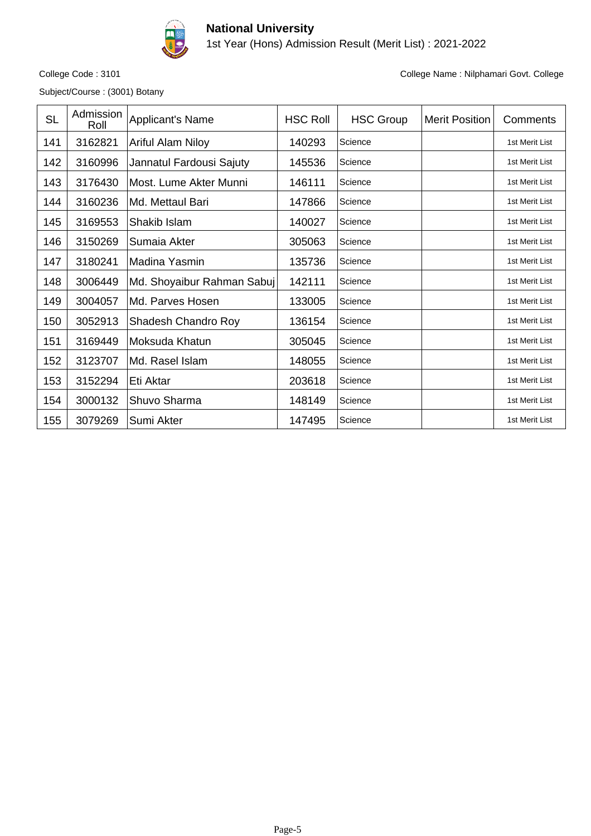

1st Year (Hons) Admission Result (Merit List) : 2021-2022

Subject/Course : (3001) Botany

| <b>SL</b> | Admission<br>Roll | Applicant's Name           | <b>HSC Roll</b> | <b>HSC Group</b> | <b>Merit Position</b> | Comments       |
|-----------|-------------------|----------------------------|-----------------|------------------|-----------------------|----------------|
| 141       | 3162821           | <b>Ariful Alam Niloy</b>   | 140293          | Science          |                       | 1st Merit List |
| 142       | 3160996           | Jannatul Fardousi Sajuty   | 145536          | Science          |                       | 1st Merit List |
| 143       | 3176430           | Most. Lume Akter Munni     | 146111          | Science          |                       | 1st Merit List |
| 144       | 3160236           | Md. Mettaul Bari           | 147866          | Science          |                       | 1st Merit List |
| 145       | 3169553           | Shakib Islam               | 140027          | Science          |                       | 1st Merit List |
| 146       | 3150269           | Sumaia Akter               | 305063          | Science          |                       | 1st Merit List |
| 147       | 3180241           | Madina Yasmin              | 135736          | Science          |                       | 1st Merit List |
| 148       | 3006449           | Md. Shoyaibur Rahman Sabuj | 142111          | Science          |                       | 1st Merit List |
| 149       | 3004057           | Md. Parves Hosen           | 133005          | Science          |                       | 1st Merit List |
| 150       | 3052913           | Shadesh Chandro Roy        | 136154          | Science          |                       | 1st Merit List |
| 151       | 3169449           | Moksuda Khatun             | 305045          | Science          |                       | 1st Merit List |
| 152       | 3123707           | Md. Rasel Islam            | 148055          | Science          |                       | 1st Merit List |
| 153       | 3152294           | Eti Aktar                  | 203618          | Science          |                       | 1st Merit List |
| 154       | 3000132           | Shuvo Sharma               | 148149          | Science          |                       | 1st Merit List |
| 155       | 3079269           | Sumi Akter                 | 147495          | Science          |                       | 1st Merit List |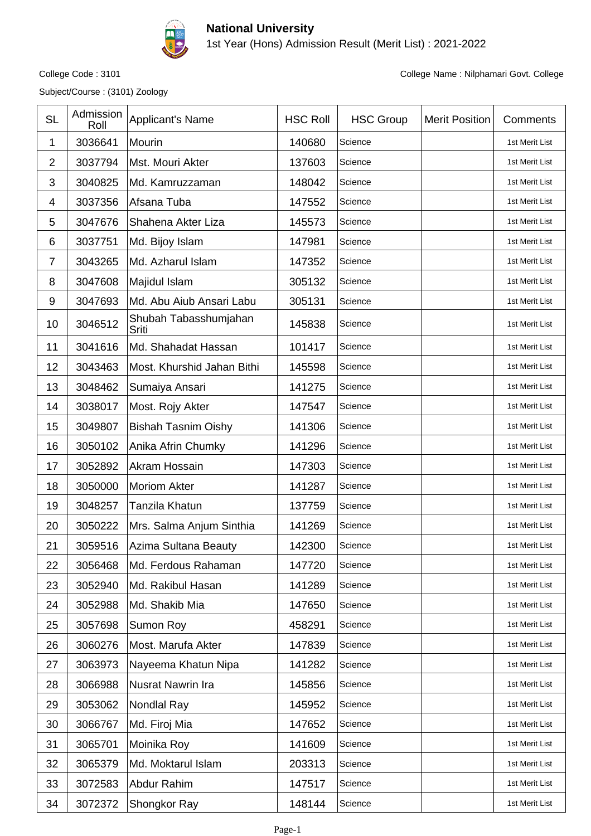

1st Year (Hons) Admission Result (Merit List) : 2021-2022

Subject/Course : (3101) Zoology

| <b>SL</b>      | Admission<br>Roll | Applicant's Name               | <b>HSC Roll</b> | <b>HSC Group</b> | <b>Merit Position</b> | Comments       |
|----------------|-------------------|--------------------------------|-----------------|------------------|-----------------------|----------------|
| 1              | 3036641           | Mourin                         | 140680          | Science          |                       | 1st Merit List |
| $\overline{2}$ | 3037794           | Mst. Mouri Akter               | 137603          | Science          |                       | 1st Merit List |
| 3              | 3040825           | Md. Kamruzzaman                | 148042          | Science          |                       | 1st Merit List |
| 4              | 3037356           | Afsana Tuba                    | 147552          | Science          |                       | 1st Merit List |
| 5              | 3047676           | Shahena Akter Liza             | 145573          | Science          |                       | 1st Merit List |
| 6              | 3037751           | Md. Bijoy Islam                | 147981          | Science          |                       | 1st Merit List |
| $\overline{7}$ | 3043265           | Md. Azharul Islam              | 147352          | Science          |                       | 1st Merit List |
| 8              | 3047608           | Majidul Islam                  | 305132          | Science          |                       | 1st Merit List |
| 9              | 3047693           | Md. Abu Aiub Ansari Labu       | 305131          | Science          |                       | 1st Merit List |
| 10             | 3046512           | Shubah Tabasshumjahan<br>Sriti | 145838          | Science          |                       | 1st Merit List |
| 11             | 3041616           | Md. Shahadat Hassan            | 101417          | Science          |                       | 1st Merit List |
| 12             | 3043463           | Most. Khurshid Jahan Bithi     | 145598          | Science          |                       | 1st Merit List |
| 13             | 3048462           | Sumaiya Ansari                 | 141275          | Science          |                       | 1st Merit List |
| 14             | 3038017           | Most. Rojy Akter               | 147547          | Science          |                       | 1st Merit List |
| 15             | 3049807           | <b>Bishah Tasnim Oishy</b>     | 141306          | Science          |                       | 1st Merit List |
| 16             | 3050102           | Anika Afrin Chumky             | 141296          | Science          |                       | 1st Merit List |
| 17             | 3052892           | Akram Hossain                  | 147303          | Science          |                       | 1st Merit List |
| 18             | 3050000           | <b>Moriom Akter</b>            | 141287          | Science          |                       | 1st Merit List |
| 19             | 3048257           | Tanzila Khatun                 | 137759          | Science          |                       | 1st Merit List |
| 20             | 3050222           | Mrs. Salma Anjum Sinthia       | 141269          | Science          |                       | 1st Merit List |
| 21             | 3059516           | Azima Sultana Beauty           | 142300          | Science          |                       | 1st Merit List |
| 22             | 3056468           | Md. Ferdous Rahaman            | 147720          | Science          |                       | 1st Merit List |
| 23             | 3052940           | Md. Rakibul Hasan              | 141289          | Science          |                       | 1st Merit List |
| 24             | 3052988           | Md. Shakib Mia                 | 147650          | Science          |                       | 1st Merit List |
| 25             | 3057698           | Sumon Roy                      | 458291          | Science          |                       | 1st Merit List |
| 26             | 3060276           | Most. Marufa Akter             | 147839          | Science          |                       | 1st Merit List |
| 27             | 3063973           | Nayeema Khatun Nipa            | 141282          | Science          |                       | 1st Merit List |
| 28             | 3066988           | Nusrat Nawrin Ira              | 145856          | Science          |                       | 1st Merit List |
| 29             | 3053062           | Nondlal Ray                    | 145952          | Science          |                       | 1st Merit List |
| 30             | 3066767           | Md. Firoj Mia                  | 147652          | Science          |                       | 1st Merit List |
| 31             | 3065701           | Moinika Roy                    | 141609          | Science          |                       | 1st Merit List |
| 32             | 3065379           | Md. Moktarul Islam             | 203313          | Science          |                       | 1st Merit List |
| 33             | 3072583           | Abdur Rahim                    | 147517          | Science          |                       | 1st Merit List |
| 34             | 3072372           | Shongkor Ray                   | 148144          | Science          |                       | 1st Merit List |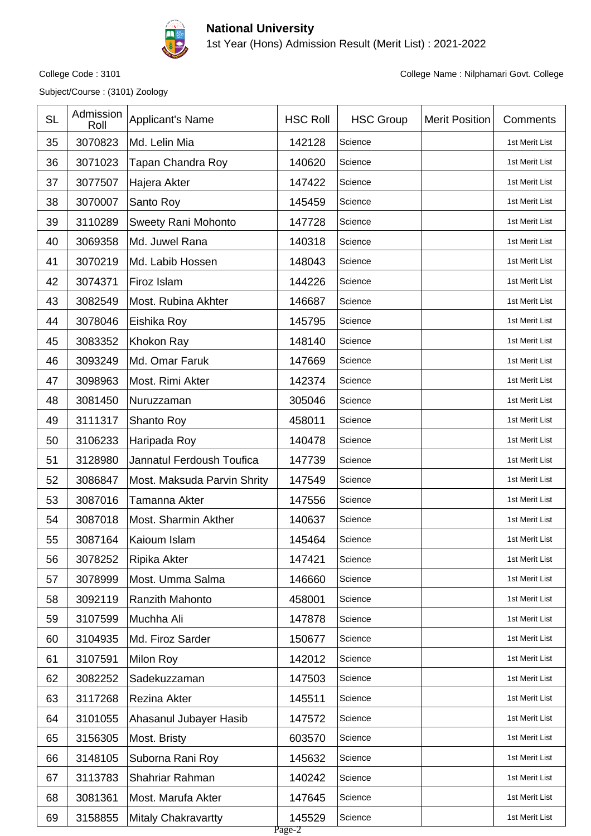

1st Year (Hons) Admission Result (Merit List) : 2021-2022

Subject/Course : (3101) Zoology

| <b>SL</b> | Admission<br>Roll | Applicant's Name            | <b>HSC Roll</b>  | <b>HSC Group</b> | <b>Merit Position</b> | Comments       |
|-----------|-------------------|-----------------------------|------------------|------------------|-----------------------|----------------|
| 35        | 3070823           | Md. Lelin Mia               | 142128           | Science          |                       | 1st Merit List |
| 36        | 3071023           | Tapan Chandra Roy           | 140620           | Science          |                       | 1st Merit List |
| 37        | 3077507           | Hajera Akter                | 147422           | Science          |                       | 1st Merit List |
| 38        | 3070007           | Santo Roy                   | 145459           | Science          |                       | 1st Merit List |
| 39        | 3110289           | Sweety Rani Mohonto         | 147728           | Science          |                       | 1st Merit List |
| 40        | 3069358           | Md. Juwel Rana              | 140318           | Science          |                       | 1st Merit List |
| 41        | 3070219           | Md. Labib Hossen            | 148043           | Science          |                       | 1st Merit List |
| 42        | 3074371           | Firoz Islam                 | 144226           | Science          |                       | 1st Merit List |
| 43        | 3082549           | Most. Rubina Akhter         | 146687           | Science          |                       | 1st Merit List |
| 44        | 3078046           | Eishika Roy                 | 145795           | Science          |                       | 1st Merit List |
| 45        | 3083352           | Khokon Ray                  | 148140           | Science          |                       | 1st Merit List |
| 46        | 3093249           | Md. Omar Faruk              | 147669           | Science          |                       | 1st Merit List |
| 47        | 3098963           | Most. Rimi Akter            | 142374           | Science          |                       | 1st Merit List |
| 48        | 3081450           | Nuruzzaman                  | 305046           | Science          |                       | 1st Merit List |
| 49        | 3111317           | Shanto Roy                  | 458011           | Science          |                       | 1st Merit List |
| 50        | 3106233           | Haripada Roy                | 140478           | Science          |                       | 1st Merit List |
| 51        | 3128980           | Jannatul Ferdoush Toufica   | 147739           | Science          |                       | 1st Merit List |
| 52        | 3086847           | Most. Maksuda Parvin Shrity | 147549           | Science          |                       | 1st Merit List |
| 53        | 3087016           | Tamanna Akter               | 147556           | Science          |                       | 1st Merit List |
| 54        | 3087018           | Most. Sharmin Akther        | 140637           | Science          |                       | 1st Merit List |
| 55        | 3087164           | Kaioum Islam                | 145464           | Science          |                       | 1st Merit List |
| 56        | 3078252           | Ripika Akter                | 147421           | Science          |                       | 1st Merit List |
| 57        | 3078999           | Most. Umma Salma            | 146660           | Science          |                       | 1st Merit List |
| 58        | 3092119           | Ranzith Mahonto             | 458001           | Science          |                       | 1st Merit List |
| 59        | 3107599           | Muchha Ali                  | 147878           | Science          |                       | 1st Merit List |
| 60        | 3104935           | Md. Firoz Sarder            | 150677           | Science          |                       | 1st Merit List |
| 61        | 3107591           | Milon Roy                   | 142012           | Science          |                       | 1st Merit List |
| 62        | 3082252           | Sadekuzzaman                | 147503           | Science          |                       | 1st Merit List |
| 63        | 3117268           | Rezina Akter                | 145511           | Science          |                       | 1st Merit List |
| 64        | 3101055           | Ahasanul Jubayer Hasib      | 147572           | Science          |                       | 1st Merit List |
| 65        | 3156305           | Most. Bristy                | 603570           | Science          |                       | 1st Merit List |
| 66        | 3148105           | Suborna Rani Roy            | 145632           | Science          |                       | 1st Merit List |
| 67        | 3113783           | Shahriar Rahman             | 140242           | Science          |                       | 1st Merit List |
| 68        | 3081361           | Most. Marufa Akter          | 147645           | Science          |                       | 1st Merit List |
| 69        | 3158855           | <b>Mitaly Chakravartty</b>  | 145529<br>Page-2 | Science          |                       | 1st Merit List |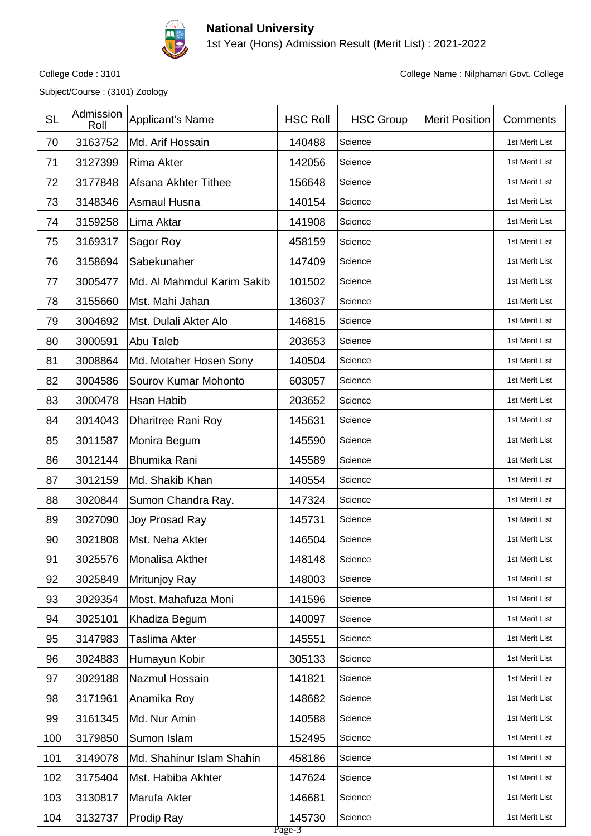

1st Year (Hons) Admission Result (Merit List) : 2021-2022

Subject/Course : (3101) Zoology

| <b>SL</b> | Admission<br>Roll | <b>Applicant's Name</b>    | <b>HSC Roll</b>  | <b>HSC Group</b> | <b>Merit Position</b> | Comments       |
|-----------|-------------------|----------------------------|------------------|------------------|-----------------------|----------------|
| 70        | 3163752           | Md. Arif Hossain           | 140488           | Science          |                       | 1st Merit List |
| 71        | 3127399           | <b>Rima Akter</b>          | 142056           | Science          |                       | 1st Merit List |
| 72        | 3177848           | Afsana Akhter Tithee       | 156648           | Science          |                       | 1st Merit List |
| 73        | 3148346           | Asmaul Husna               | 140154           | Science          |                       | 1st Merit List |
| 74        | 3159258           | Lima Aktar                 | 141908           | Science          |                       | 1st Merit List |
| 75        | 3169317           | Sagor Roy                  | 458159           | Science          |                       | 1st Merit List |
| 76        | 3158694           | Sabekunaher                | 147409           | Science          |                       | 1st Merit List |
| 77        | 3005477           | Md. Al Mahmdul Karim Sakib | 101502           | Science          |                       | 1st Merit List |
| 78        | 3155660           | Mst. Mahi Jahan            | 136037           | Science          |                       | 1st Merit List |
| 79        | 3004692           | Mst. Dulali Akter Alo      | 146815           | Science          |                       | 1st Merit List |
| 80        | 3000591           | Abu Taleb                  | 203653           | Science          |                       | 1st Merit List |
| 81        | 3008864           | Md. Motaher Hosen Sony     | 140504           | Science          |                       | 1st Merit List |
| 82        | 3004586           | Sourov Kumar Mohonto       | 603057           | Science          |                       | 1st Merit List |
| 83        | 3000478           | Hsan Habib                 | 203652           | Science          |                       | 1st Merit List |
| 84        | 3014043           | <b>Dharitree Rani Roy</b>  | 145631           | Science          |                       | 1st Merit List |
| 85        | 3011587           | Monira Begum               | 145590           | Science          |                       | 1st Merit List |
| 86        | 3012144           | <b>Bhumika Rani</b>        | 145589           | Science          |                       | 1st Merit List |
| 87        | 3012159           | Md. Shakib Khan            | 140554           | Science          |                       | 1st Merit List |
| 88        | 3020844           | Sumon Chandra Ray.         | 147324           | Science          |                       | 1st Merit List |
| 89        | 3027090           | Joy Prosad Ray             | 145731           | Science          |                       | 1st Merit List |
| 90        | 3021808           | Mst. Neha Akter            | 146504           | Science          |                       | 1st Merit List |
| 91        | 3025576           | Monalisa Akther            | 148148           | Science          |                       | 1st Merit List |
| 92        | 3025849           | Mritunjoy Ray              | 148003           | Science          |                       | 1st Merit List |
| 93        | 3029354           | Most. Mahafuza Moni        | 141596           | Science          |                       | 1st Merit List |
| 94        | 3025101           | Khadiza Begum              | 140097           | Science          |                       | 1st Merit List |
| 95        | 3147983           | Taslima Akter              | 145551           | Science          |                       | 1st Merit List |
| 96        | 3024883           | Humayun Kobir              | 305133           | Science          |                       | 1st Merit List |
| 97        | 3029188           | Nazmul Hossain             | 141821           | Science          |                       | 1st Merit List |
| 98        | 3171961           | Anamika Roy                | 148682           | Science          |                       | 1st Merit List |
| 99        | 3161345           | Md. Nur Amin               | 140588           | Science          |                       | 1st Merit List |
| 100       | 3179850           | Sumon Islam                | 152495           | Science          |                       | 1st Merit List |
| 101       | 3149078           | Md. Shahinur Islam Shahin  | 458186           | Science          |                       | 1st Merit List |
| 102       | 3175404           | Mst. Habiba Akhter         | 147624           | Science          |                       | 1st Merit List |
| 103       | 3130817           | Marufa Akter               | 146681           | Science          |                       | 1st Merit List |
| 104       | 3132737           | Prodip Ray                 | 145730<br>Page-3 | Science          |                       | 1st Merit List |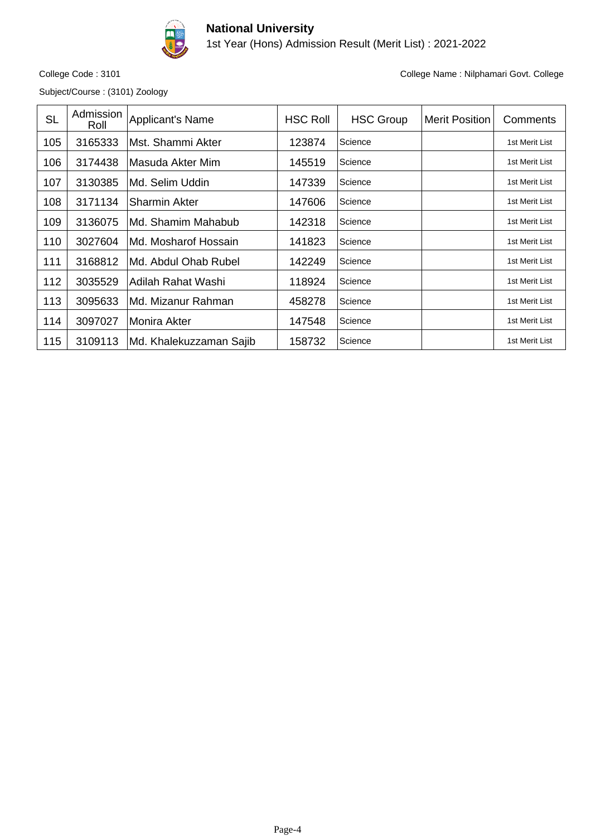

1st Year (Hons) Admission Result (Merit List) : 2021-2022

Subject/Course : (3101) Zoology

| <b>SL</b> | Admission<br>Roll | Applicant's Name        | <b>HSC Roll</b> | <b>HSC Group</b> | <b>Merit Position</b> | Comments       |
|-----------|-------------------|-------------------------|-----------------|------------------|-----------------------|----------------|
| 105       | 3165333           | Mst. Shammi Akter       | 123874          | Science          |                       | 1st Merit List |
| 106       | 3174438           | Masuda Akter Mim        | 145519          | Science          |                       | 1st Merit List |
| 107       | 3130385           | Md. Selim Uddin         | 147339          | Science          |                       | 1st Merit List |
| 108       | 3171134           | <b>Sharmin Akter</b>    | 147606          | Science          |                       | 1st Merit List |
| 109       | 3136075           | Md. Shamim Mahabub      | 142318          | Science          |                       | 1st Merit List |
| 110       | 3027604           | Md. Mosharof Hossain    | 141823          | Science          |                       | 1st Merit List |
| 111       | 3168812           | Md. Abdul Ohab Rubel    | 142249          | Science          |                       | 1st Merit List |
| 112       | 3035529           | Adilah Rahat Washi      | 118924          | Science          |                       | 1st Merit List |
| 113       | 3095633           | Md. Mizanur Rahman      | 458278          | Science          |                       | 1st Merit List |
| 114       | 3097027           | <b>Monira Akter</b>     | 147548          | Science          |                       | 1st Merit List |
| 115       | 3109113           | Md. Khalekuzzaman Sajib | 158732          | Science          |                       | 1st Merit List |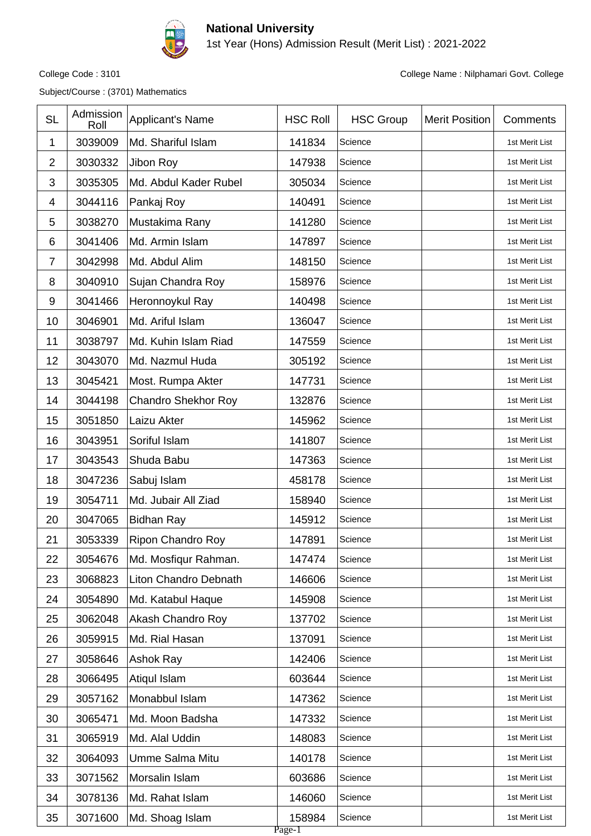

1st Year (Hons) Admission Result (Merit List) : 2021-2022

Subject/Course : (3701) Mathematics

| <b>SL</b>      | Admission<br>Roll | Applicant's Name           | <b>HSC Roll</b>  | <b>HSC Group</b> | <b>Merit Position</b> | Comments       |
|----------------|-------------------|----------------------------|------------------|------------------|-----------------------|----------------|
| 1              | 3039009           | Md. Shariful Islam         | 141834           | Science          |                       | 1st Merit List |
| $\overline{2}$ | 3030332           | Jibon Roy                  | 147938           | Science          |                       | 1st Merit List |
| 3              | 3035305           | Md. Abdul Kader Rubel      | 305034           | Science          |                       | 1st Merit List |
| 4              | 3044116           | Pankaj Roy                 | 140491           | Science          |                       | 1st Merit List |
| 5              | 3038270           | Mustakima Rany             | 141280           | Science          |                       | 1st Merit List |
| 6              | 3041406           | Md. Armin Islam            | 147897           | Science          |                       | 1st Merit List |
| $\overline{7}$ | 3042998           | Md. Abdul Alim             | 148150           | Science          |                       | 1st Merit List |
| 8              | 3040910           | Sujan Chandra Roy          | 158976           | Science          |                       | 1st Merit List |
| 9              | 3041466           | Heronnoykul Ray            | 140498           | Science          |                       | 1st Merit List |
| 10             | 3046901           | Md. Ariful Islam           | 136047           | Science          |                       | 1st Merit List |
| 11             | 3038797           | Md. Kuhin Islam Riad       | 147559           | Science          |                       | 1st Merit List |
| 12             | 3043070           | Md. Nazmul Huda            | 305192           | Science          |                       | 1st Merit List |
| 13             | 3045421           | Most. Rumpa Akter          | 147731           | Science          |                       | 1st Merit List |
| 14             | 3044198           | <b>Chandro Shekhor Roy</b> | 132876           | Science          |                       | 1st Merit List |
| 15             | 3051850           | Laizu Akter                | 145962           | Science          |                       | 1st Merit List |
| 16             | 3043951           | Soriful Islam              | 141807           | Science          |                       | 1st Merit List |
| 17             | 3043543           | Shuda Babu                 | 147363           | Science          |                       | 1st Merit List |
| 18             | 3047236           | Sabuj Islam                | 458178           | Science          |                       | 1st Merit List |
| 19             | 3054711           | Md. Jubair All Ziad        | 158940           | Science          |                       | 1st Merit List |
| 20             | 3047065           | <b>Bidhan Ray</b>          | 145912           | Science          |                       | 1st Merit List |
| 21             | 3053339           | <b>Ripon Chandro Roy</b>   | 147891           | Science          |                       | 1st Merit List |
| 22             | 3054676           | Md. Mosfiqur Rahman.       | 147474           | Science          |                       | 1st Merit List |
| 23             | 3068823           | Liton Chandro Debnath      | 146606           | Science          |                       | 1st Merit List |
| 24             | 3054890           | Md. Katabul Haque          | 145908           | Science          |                       | 1st Merit List |
| 25             | 3062048           | Akash Chandro Roy          | 137702           | Science          |                       | 1st Merit List |
| 26             | 3059915           | Md. Rial Hasan             | 137091           | Science          |                       | 1st Merit List |
| 27             | 3058646           | Ashok Ray                  | 142406           | Science          |                       | 1st Merit List |
| 28             | 3066495           | Atiqul Islam               | 603644           | Science          |                       | 1st Merit List |
| 29             | 3057162           | Monabbul Islam             | 147362           | Science          |                       | 1st Merit List |
| 30             | 3065471           | Md. Moon Badsha            | 147332           | Science          |                       | 1st Merit List |
| 31             | 3065919           | Md. Alal Uddin             | 148083           | Science          |                       | 1st Merit List |
| 32             | 3064093           | Umme Salma Mitu            | 140178           | Science          |                       | 1st Merit List |
| 33             | 3071562           | Morsalin Islam             | 603686           | Science          |                       | 1st Merit List |
| 34             | 3078136           | Md. Rahat Islam            | 146060           | Science          |                       | 1st Merit List |
| 35             | 3071600           | Md. Shoag Islam            | 158984<br>Page-1 | Science          |                       | 1st Merit List |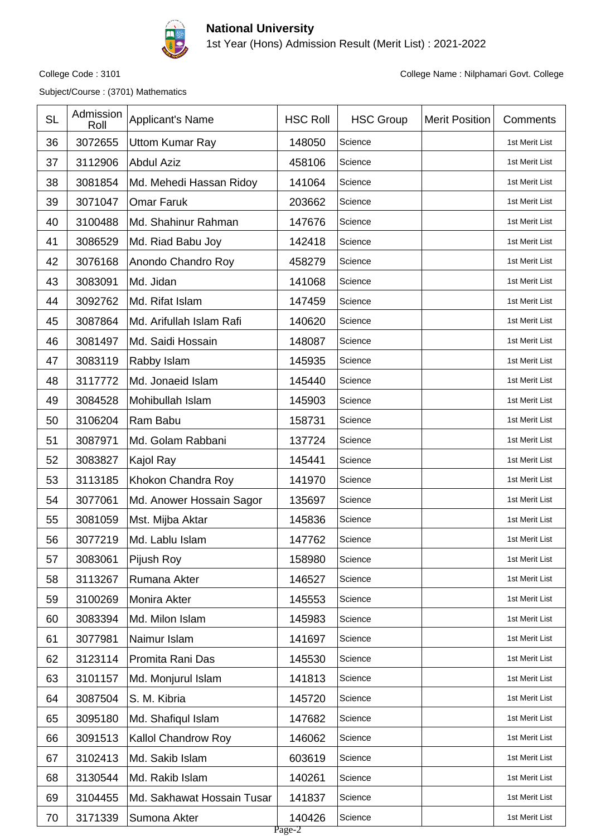

1st Year (Hons) Admission Result (Merit List) : 2021-2022

Subject/Course : (3701) Mathematics

| 36<br>3072655<br>148050<br><b>Uttom Kumar Ray</b><br>1st Merit List<br>Science<br>37<br>3112906<br>458106<br><b>Abdul Aziz</b><br>Science<br>1st Merit List<br>38<br>3081854<br>141064<br>Science<br>Md. Mehedi Hassan Ridoy<br>1st Merit List<br>3071047<br>39<br>203662<br><b>Omar Faruk</b><br>1st Merit List<br>Science<br>40<br>3100488<br>Md. Shahinur Rahman<br>147676<br>Science<br>1st Merit List<br>41<br>3086529<br>142418<br>Md. Riad Babu Joy<br>Science<br>1st Merit List |  |
|-----------------------------------------------------------------------------------------------------------------------------------------------------------------------------------------------------------------------------------------------------------------------------------------------------------------------------------------------------------------------------------------------------------------------------------------------------------------------------------------|--|
|                                                                                                                                                                                                                                                                                                                                                                                                                                                                                         |  |
|                                                                                                                                                                                                                                                                                                                                                                                                                                                                                         |  |
|                                                                                                                                                                                                                                                                                                                                                                                                                                                                                         |  |
|                                                                                                                                                                                                                                                                                                                                                                                                                                                                                         |  |
|                                                                                                                                                                                                                                                                                                                                                                                                                                                                                         |  |
|                                                                                                                                                                                                                                                                                                                                                                                                                                                                                         |  |
| 42<br>3076168<br>Anondo Chandro Roy<br>458279<br>Science<br>1st Merit List                                                                                                                                                                                                                                                                                                                                                                                                              |  |
| 43<br>3083091<br>141068<br>Md. Jidan<br>Science<br>1st Merit List                                                                                                                                                                                                                                                                                                                                                                                                                       |  |
| 44<br>3092762<br>Md. Rifat Islam<br>147459<br>Science<br>1st Merit List                                                                                                                                                                                                                                                                                                                                                                                                                 |  |
| 3087864<br>140620<br>45<br>Md. Arifullah Islam Rafi<br>Science<br>1st Merit List                                                                                                                                                                                                                                                                                                                                                                                                        |  |
| 3081497<br>46<br>Md. Saidi Hossain<br>148087<br>Science<br>1st Merit List                                                                                                                                                                                                                                                                                                                                                                                                               |  |
| 3083119<br>145935<br>47<br>Rabby Islam<br>Science<br>1st Merit List                                                                                                                                                                                                                                                                                                                                                                                                                     |  |
| 3117772<br>Md. Jonaeid Islam<br>145440<br>48<br>Science<br>1st Merit List                                                                                                                                                                                                                                                                                                                                                                                                               |  |
| 49<br>3084528<br>145903<br>Mohibullah Islam<br>Science<br>1st Merit List                                                                                                                                                                                                                                                                                                                                                                                                                |  |
| 3106204<br>Ram Babu<br>158731<br>50<br>Science<br>1st Merit List                                                                                                                                                                                                                                                                                                                                                                                                                        |  |
| 3087971<br>137724<br>51<br>Md. Golam Rabbani<br>Science<br>1st Merit List                                                                                                                                                                                                                                                                                                                                                                                                               |  |
| 52<br>3083827<br>145441<br>Kajol Ray<br>Science<br>1st Merit List                                                                                                                                                                                                                                                                                                                                                                                                                       |  |
| 53<br>3113185<br>Khokon Chandra Roy<br>141970<br>Science<br>1st Merit List                                                                                                                                                                                                                                                                                                                                                                                                              |  |
| 3077061<br>54<br>Md. Anower Hossain Sagor<br>135697<br>Science<br>1st Merit List                                                                                                                                                                                                                                                                                                                                                                                                        |  |
| 3081059<br>55<br>Mst. Mijba Aktar<br>145836<br>Science<br>1st Merit List                                                                                                                                                                                                                                                                                                                                                                                                                |  |
| 56<br>3077219<br>Md. Lablu Islam<br>147762<br>Science<br>1st Merit List                                                                                                                                                                                                                                                                                                                                                                                                                 |  |
| 3083061<br>158980<br>57<br>Pijush Roy<br>Science<br>1st Merit List                                                                                                                                                                                                                                                                                                                                                                                                                      |  |
| 3113267<br>58<br>Rumana Akter<br>146527<br>Science<br>1st Merit List                                                                                                                                                                                                                                                                                                                                                                                                                    |  |
| 3100269<br>Monira Akter<br>145553<br>59<br>1st Merit List<br>Science                                                                                                                                                                                                                                                                                                                                                                                                                    |  |
| 3083394<br>Md. Milon Islam<br>145983<br>1st Merit List<br>60<br>Science                                                                                                                                                                                                                                                                                                                                                                                                                 |  |
| Naimur Islam<br>141697<br>61<br>3077981<br>1st Merit List<br>Science                                                                                                                                                                                                                                                                                                                                                                                                                    |  |
| 3123114<br>Promita Rani Das<br>145530<br>62<br>Science<br>1st Merit List                                                                                                                                                                                                                                                                                                                                                                                                                |  |
| 63<br>3101157<br>Md. Monjurul Islam<br>141813<br>1st Merit List<br>Science                                                                                                                                                                                                                                                                                                                                                                                                              |  |
| 3087504<br>S. M. Kibria<br>64<br>145720<br>1st Merit List<br>Science                                                                                                                                                                                                                                                                                                                                                                                                                    |  |
| 3095180<br>Md. Shafiqul Islam<br>147682<br>65<br>Science<br>1st Merit List                                                                                                                                                                                                                                                                                                                                                                                                              |  |
| 3091513<br>Kallol Chandrow Roy<br>146062<br>66<br>Science<br>1st Merit List                                                                                                                                                                                                                                                                                                                                                                                                             |  |
| 3102413<br>Md. Sakib Islam<br>603619<br>67<br>1st Merit List<br>Science                                                                                                                                                                                                                                                                                                                                                                                                                 |  |
| 3130544<br>Md. Rakib Islam<br>140261<br>68<br>Science<br>1st Merit List                                                                                                                                                                                                                                                                                                                                                                                                                 |  |
| 3104455<br>Md. Sakhawat Hossain Tusar<br>141837<br>69<br>Science<br>1st Merit List                                                                                                                                                                                                                                                                                                                                                                                                      |  |
| 3171339<br>Sumona Akter<br>140426<br>70<br>1st Merit List<br>Science<br>Page-2                                                                                                                                                                                                                                                                                                                                                                                                          |  |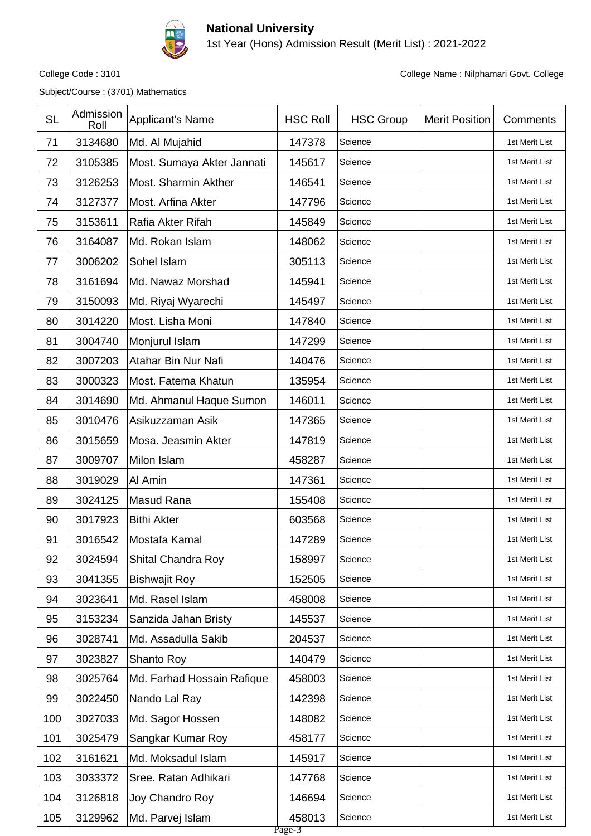

1st Year (Hons) Admission Result (Merit List) : 2021-2022

Subject/Course : (3701) Mathematics

| <b>SL</b> | Admission<br>Roll | <b>Applicant's Name</b>    | <b>HSC Roll</b>  | <b>HSC Group</b> | <b>Merit Position</b> | Comments       |
|-----------|-------------------|----------------------------|------------------|------------------|-----------------------|----------------|
| 71        | 3134680           | Md. Al Mujahid             | 147378           | Science          |                       | 1st Merit List |
| 72        | 3105385           | Most. Sumaya Akter Jannati | 145617           | Science          |                       | 1st Merit List |
| 73        | 3126253           | Most. Sharmin Akther       | 146541           | Science          |                       | 1st Merit List |
| 74        | 3127377           | Most. Arfina Akter         | 147796           | Science          |                       | 1st Merit List |
| 75        | 3153611           | Rafia Akter Rifah          | 145849           | Science          |                       | 1st Merit List |
| 76        | 3164087           | Md. Rokan Islam            | 148062           | Science          |                       | 1st Merit List |
| 77        | 3006202           | Sohel Islam                | 305113           | Science          |                       | 1st Merit List |
| 78        | 3161694           | Md. Nawaz Morshad          | 145941           | Science          |                       | 1st Merit List |
| 79        | 3150093           | Md. Riyaj Wyarechi         | 145497           | Science          |                       | 1st Merit List |
| 80        | 3014220           | Most. Lisha Moni           | 147840           | Science          |                       | 1st Merit List |
| 81        | 3004740           | Monjurul Islam             | 147299           | Science          |                       | 1st Merit List |
| 82        | 3007203           | Atahar Bin Nur Nafi        | 140476           | Science          |                       | 1st Merit List |
| 83        | 3000323           | Most. Fatema Khatun        | 135954           | Science          |                       | 1st Merit List |
| 84        | 3014690           | Md. Ahmanul Haque Sumon    | 146011           | Science          |                       | 1st Merit List |
| 85        | 3010476           | Asikuzzaman Asik           | 147365           | Science          |                       | 1st Merit List |
| 86        | 3015659           | Mosa. Jeasmin Akter        | 147819           | Science          |                       | 1st Merit List |
| 87        | 3009707           | Milon Islam                | 458287           | Science          |                       | 1st Merit List |
| 88        | 3019029           | Al Amin                    | 147361           | Science          |                       | 1st Merit List |
| 89        | 3024125           | Masud Rana                 | 155408           | Science          |                       | 1st Merit List |
| 90        | 3017923           | <b>Bithi Akter</b>         | 603568           | Science          |                       | 1st Merit List |
| 91        | 3016542           | Mostafa Kamal              | 147289           | Science          |                       | 1st Merit List |
| 92        | 3024594           | Shital Chandra Roy         | 158997           | Science          |                       | 1st Merit List |
| 93        | 3041355           | <b>Bishwajit Roy</b>       | 152505           | Science          |                       | 1st Merit List |
| 94        | 3023641           | Md. Rasel Islam            | 458008           | Science          |                       | 1st Merit List |
| 95        | 3153234           | Sanzida Jahan Bristy       | 145537           | Science          |                       | 1st Merit List |
| 96        | 3028741           | Md. Assadulla Sakib        | 204537           | Science          |                       | 1st Merit List |
| 97        | 3023827           | Shanto Roy                 | 140479           | Science          |                       | 1st Merit List |
| 98        | 3025764           | Md. Farhad Hossain Rafique | 458003           | Science          |                       | 1st Merit List |
| 99        | 3022450           | Nando Lal Ray              | 142398           | Science          |                       | 1st Merit List |
| 100       | 3027033           | Md. Sagor Hossen           | 148082           | Science          |                       | 1st Merit List |
| 101       | 3025479           | Sangkar Kumar Roy          | 458177           | Science          |                       | 1st Merit List |
| 102       | 3161621           | Md. Moksadul Islam         | 145917           | Science          |                       | 1st Merit List |
| 103       | 3033372           | Sree. Ratan Adhikari       | 147768           | Science          |                       | 1st Merit List |
| 104       | 3126818           | Joy Chandro Roy            | 146694           | Science          |                       | 1st Merit List |
| 105       | 3129962           | Md. Parvej Islam           | 458013<br>Page-3 | Science          |                       | 1st Merit List |